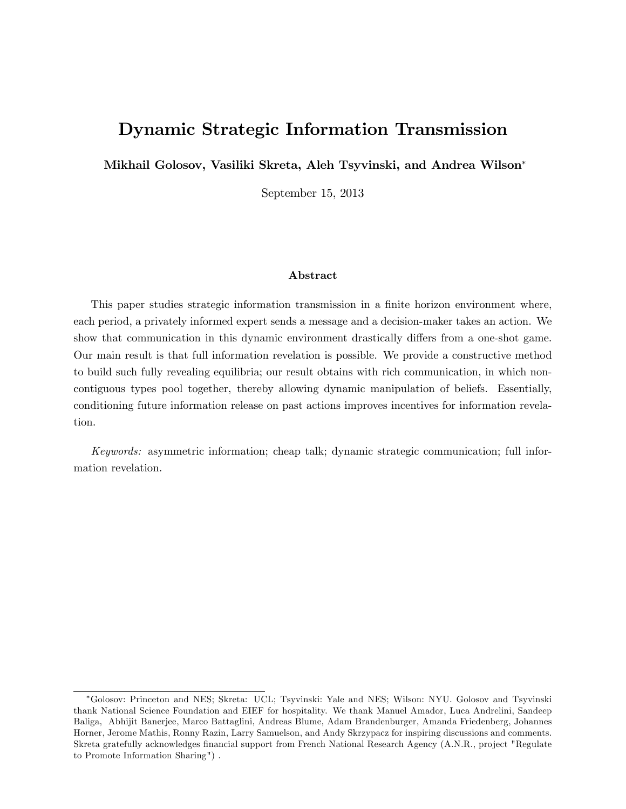# Dynamic Strategic Information Transmission

Mikhail Golosov, Vasiliki Skreta, Aleh Tsyvinski, and Andrea Wilson

September 15, 2013

#### Abstract

This paper studies strategic information transmission in a finite horizon environment where, each period, a privately informed expert sends a message and a decision-maker takes an action. We show that communication in this dynamic environment drastically differs from a one-shot game. Our main result is that full information revelation is possible. We provide a constructive method to build such fully revealing equilibria; our result obtains with rich communication, in which noncontiguous types pool together, thereby allowing dynamic manipulation of beliefs. Essentially, conditioning future information release on past actions improves incentives for information revelation.

Keywords: asymmetric information; cheap talk; dynamic strategic communication; full information revelation.

Golosov: Princeton and NES; Skreta: UCL; Tsyvinski: Yale and NES; Wilson: NYU. Golosov and Tsyvinski thank National Science Foundation and EIEF for hospitality. We thank Manuel Amador, Luca Andrelini, Sandeep Baliga, Abhijit Banerjee, Marco Battaglini, Andreas Blume, Adam Brandenburger, Amanda Friedenberg, Johannes Horner, Jerome Mathis, Ronny Razin, Larry Samuelson, and Andy Skrzypacz for inspiring discussions and comments. Skreta gratefully acknowledges financial support from French National Research Agency (A.N.R., project "Regulate to Promote Information Sharing") .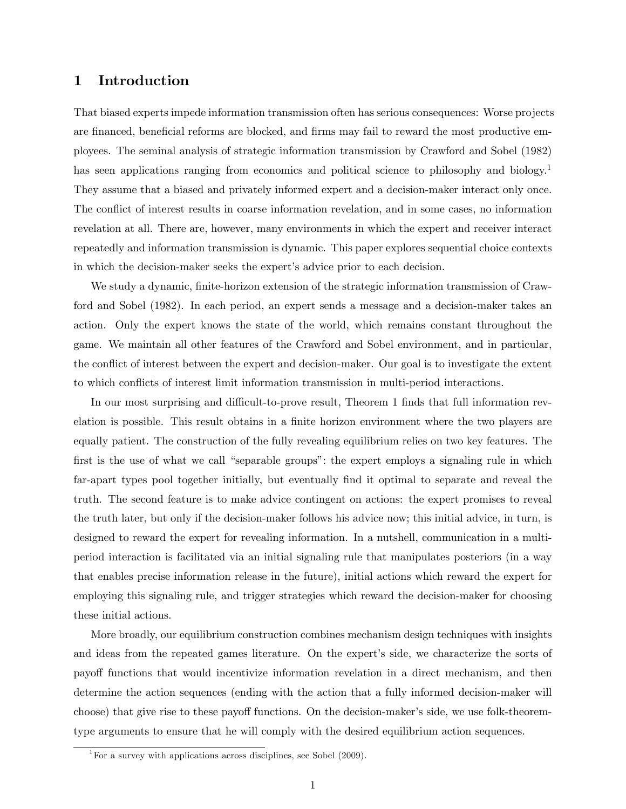## 1 Introduction

That biased experts impede information transmission often has serious consequences: Worse projects are financed, beneficial reforms are blocked, and firms may fail to reward the most productive employees. The seminal analysis of strategic information transmission by Crawford and Sobel (1982) has seen applications ranging from economics and political science to philosophy and biology.<sup>1</sup> They assume that a biased and privately informed expert and a decision-maker interact only once. The conflict of interest results in coarse information revelation, and in some cases, no information revelation at all. There are, however, many environments in which the expert and receiver interact repeatedly and information transmission is dynamic. This paper explores sequential choice contexts in which the decision-maker seeks the expert's advice prior to each decision.

We study a dynamic, finite-horizon extension of the strategic information transmission of Crawford and Sobel (1982). In each period, an expert sends a message and a decision-maker takes an action. Only the expert knows the state of the world, which remains constant throughout the game. We maintain all other features of the Crawford and Sobel environment, and in particular, the conflict of interest between the expert and decision-maker. Our goal is to investigate the extent to which conflicts of interest limit information transmission in multi-period interactions.

In our most surprising and difficult-to-prove result, Theorem 1 finds that full information revelation is possible. This result obtains in a finite horizon environment where the two players are equally patient. The construction of the fully revealing equilibrium relies on two key features. The first is the use of what we call "separable groups": the expert employs a signaling rule in which far-apart types pool together initially, but eventually find it optimal to separate and reveal the truth. The second feature is to make advice contingent on actions: the expert promises to reveal the truth later, but only if the decision-maker follows his advice now; this initial advice, in turn, is designed to reward the expert for revealing information. In a nutshell, communication in a multiperiod interaction is facilitated via an initial signaling rule that manipulates posteriors (in a way that enables precise information release in the future), initial actions which reward the expert for employing this signaling rule, and trigger strategies which reward the decision-maker for choosing these initial actions.

More broadly, our equilibrium construction combines mechanism design techniques with insights and ideas from the repeated games literature. On the expert's side, we characterize the sorts of payoff functions that would incentivize information revelation in a direct mechanism, and then determine the action sequences (ending with the action that a fully informed decision-maker will choose) that give rise to these payoff functions. On the decision-maker's side, we use folk-theoremtype arguments to ensure that he will comply with the desired equilibrium action sequences.

<sup>&</sup>lt;sup>1</sup>For a survey with applications across disciplines, see Sobel  $(2009)$ .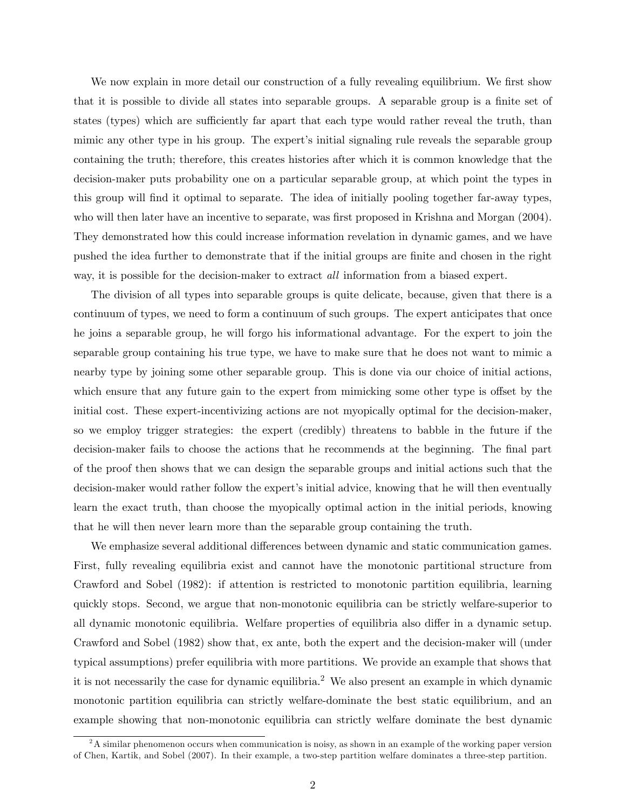We now explain in more detail our construction of a fully revealing equilibrium. We first show that it is possible to divide all states into separable groups. A separable group is a finite set of states (types) which are sufficiently far apart that each type would rather reveal the truth, than mimic any other type in his group. The expert's initial signaling rule reveals the separable group containing the truth; therefore, this creates histories after which it is common knowledge that the decision-maker puts probability one on a particular separable group, at which point the types in this group will find it optimal to separate. The idea of initially pooling together far-away types, who will then later have an incentive to separate, was first proposed in Krishna and Morgan (2004). They demonstrated how this could increase information revelation in dynamic games, and we have pushed the idea further to demonstrate that if the initial groups are Önite and chosen in the right way, it is possible for the decision-maker to extract all information from a biased expert.

The division of all types into separable groups is quite delicate, because, given that there is a continuum of types, we need to form a continuum of such groups. The expert anticipates that once he joins a separable group, he will forgo his informational advantage. For the expert to join the separable group containing his true type, we have to make sure that he does not want to mimic a nearby type by joining some other separable group. This is done via our choice of initial actions, which ensure that any future gain to the expert from mimicking some other type is offset by the initial cost. These expert-incentivizing actions are not myopically optimal for the decision-maker, so we employ trigger strategies: the expert (credibly) threatens to babble in the future if the decision-maker fails to choose the actions that he recommends at the beginning. The final part of the proof then shows that we can design the separable groups and initial actions such that the decision-maker would rather follow the expert's initial advice, knowing that he will then eventually learn the exact truth, than choose the myopically optimal action in the initial periods, knowing that he will then never learn more than the separable group containing the truth.

We emphasize several additional differences between dynamic and static communication games. First, fully revealing equilibria exist and cannot have the monotonic partitional structure from Crawford and Sobel (1982): if attention is restricted to monotonic partition equilibria, learning quickly stops. Second, we argue that non-monotonic equilibria can be strictly welfare-superior to all dynamic monotonic equilibria. Welfare properties of equilibria also differ in a dynamic setup. Crawford and Sobel (1982) show that, ex ante, both the expert and the decision-maker will (under typical assumptions) prefer equilibria with more partitions. We provide an example that shows that it is not necessarily the case for dynamic equilibria.<sup>2</sup> We also present an example in which dynamic monotonic partition equilibria can strictly welfare-dominate the best static equilibrium, and an example showing that non-monotonic equilibria can strictly welfare dominate the best dynamic

 $2A$  similar phenomenon occurs when communication is noisy, as shown in an example of the working paper version of Chen, Kartik, and Sobel (2007). In their example, a two-step partition welfare dominates a three-step partition.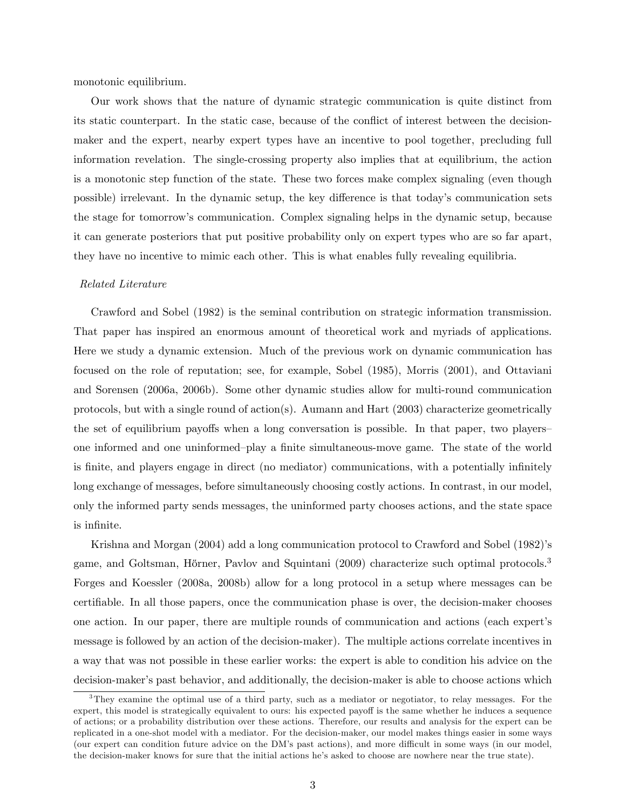monotonic equilibrium.

Our work shows that the nature of dynamic strategic communication is quite distinct from its static counterpart. In the static case, because of the conflict of interest between the decisionmaker and the expert, nearby expert types have an incentive to pool together, precluding full information revelation. The single-crossing property also implies that at equilibrium, the action is a monotonic step function of the state. These two forces make complex signaling (even though possible) irrelevant. In the dynamic setup, the key difference is that today's communication sets the stage for tomorrowís communication. Complex signaling helps in the dynamic setup, because it can generate posteriors that put positive probability only on expert types who are so far apart, they have no incentive to mimic each other. This is what enables fully revealing equilibria.

#### Related Literature

Crawford and Sobel (1982) is the seminal contribution on strategic information transmission. That paper has inspired an enormous amount of theoretical work and myriads of applications. Here we study a dynamic extension. Much of the previous work on dynamic communication has focused on the role of reputation; see, for example, Sobel (1985), Morris (2001), and Ottaviani and Sorensen (2006a, 2006b). Some other dynamic studies allow for multi-round communication protocols, but with a single round of action(s). Aumann and Hart (2003) characterize geometrically the set of equilibrium payoffs when a long conversation is possible. In that paper, two players one informed and one uninformed-play a finite simultaneous-move game. The state of the world is finite, and players engage in direct (no mediator) communications, with a potentially infinitely long exchange of messages, before simultaneously choosing costly actions. In contrast, in our model, only the informed party sends messages, the uninformed party chooses actions, and the state space is infinite.

Krishna and Morgan (2004) add a long communication protocol to Crawford and Sobel (1982)'s game, and Goltsman, Hörner, Pavlov and Squintani (2009) characterize such optimal protocols.<sup>3</sup> Forges and Koessler (2008a, 2008b) allow for a long protocol in a setup where messages can be certifiable. In all those papers, once the communication phase is over, the decision-maker chooses one action. In our paper, there are multiple rounds of communication and actions (each expertís message is followed by an action of the decision-maker). The multiple actions correlate incentives in a way that was not possible in these earlier works: the expert is able to condition his advice on the decision-maker's past behavior, and additionally, the decision-maker is able to choose actions which

<sup>&</sup>lt;sup>3</sup>They examine the optimal use of a third party, such as a mediator or negotiator, to relay messages. For the expert, this model is strategically equivalent to ours: his expected payoff is the same whether he induces a sequence of actions; or a probability distribution over these actions. Therefore, our results and analysis for the expert can be replicated in a one-shot model with a mediator. For the decision-maker, our model makes things easier in some ways (our expert can condition future advice on the DM's past actions), and more difficult in some ways (in our model, the decision-maker knows for sure that the initial actions heís asked to choose are nowhere near the true state).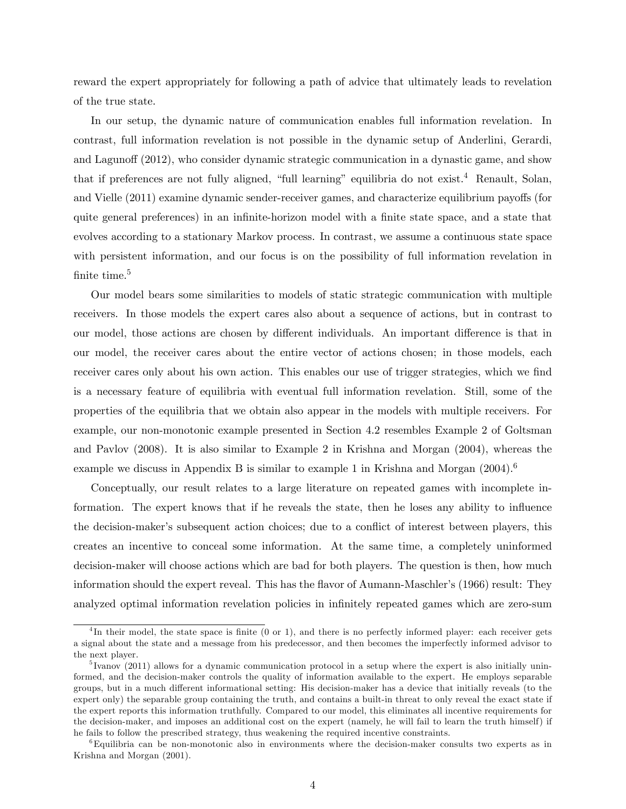reward the expert appropriately for following a path of advice that ultimately leads to revelation of the true state.

In our setup, the dynamic nature of communication enables full information revelation. In contrast, full information revelation is not possible in the dynamic setup of Anderlini, Gerardi, and Lagunoff  $(2012)$ , who consider dynamic strategic communication in a dynastic game, and show that if preferences are not fully aligned, "full learning" equilibria do not exist.<sup>4</sup> Renault, Solan, and Vielle (2011) examine dynamic sender-receiver games, and characterize equilibrium payoffs (for quite general preferences) in an infinite-horizon model with a finite state space, and a state that evolves according to a stationary Markov process. In contrast, we assume a continuous state space with persistent information, and our focus is on the possibility of full information revelation in finite time. $5$ 

Our model bears some similarities to models of static strategic communication with multiple receivers. In those models the expert cares also about a sequence of actions, but in contrast to our model, those actions are chosen by different individuals. An important difference is that in our model, the receiver cares about the entire vector of actions chosen; in those models, each receiver cares only about his own action. This enables our use of trigger strategies, which we find is a necessary feature of equilibria with eventual full information revelation. Still, some of the properties of the equilibria that we obtain also appear in the models with multiple receivers. For example, our non-monotonic example presented in Section 4.2 resembles Example 2 of Goltsman and Pavlov (2008). It is also similar to Example 2 in Krishna and Morgan (2004), whereas the example we discuss in Appendix B is similar to example 1 in Krishna and Morgan  $(2004)^6$ 

Conceptually, our result relates to a large literature on repeated games with incomplete information. The expert knows that if he reveals the state, then he loses any ability to influence the decision-maker's subsequent action choices; due to a conflict of interest between players, this creates an incentive to conceal some information. At the same time, a completely uninformed decision-maker will choose actions which are bad for both players. The question is then, how much information should the expert reveal. This has the flavor of Aumann-Maschler's (1966) result: They analyzed optimal information revelation policies in infinitely repeated games which are zero-sum

<sup>&</sup>lt;sup>4</sup>In their model, the state space is finite (0 or 1), and there is no perfectly informed player: each receiver gets a signal about the state and a message from his predecessor, and then becomes the imperfectly informed advisor to the next player.

<sup>&</sup>lt;sup>5</sup>Ivanov (2011) allows for a dynamic communication protocol in a setup where the expert is also initially uninformed, and the decision-maker controls the quality of information available to the expert. He employs separable groups, but in a much different informational setting: His decision-maker has a device that initially reveals (to the expert only) the separable group containing the truth, and contains a built-in threat to only reveal the exact state if the expert reports this information truthfully. Compared to our model, this eliminates all incentive requirements for the decision-maker, and imposes an additional cost on the expert (namely, he will fail to learn the truth himself) if he fails to follow the prescribed strategy, thus weakening the required incentive constraints.

 $6E$  Equilibria can be non-monotonic also in environments where the decision-maker consults two experts as in Krishna and Morgan (2001).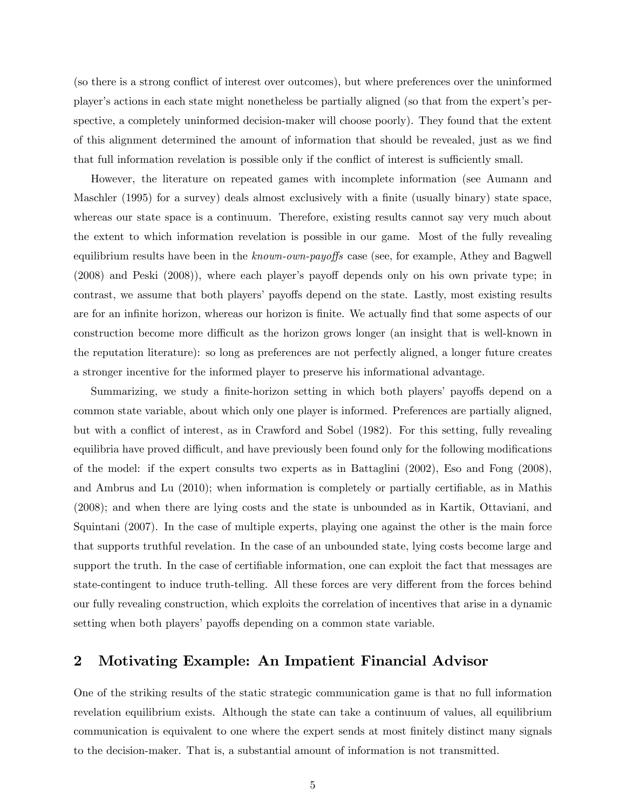(so there is a strong conflict of interest over outcomes), but where preferences over the uninformed player's actions in each state might nonetheless be partially aligned (so that from the expert's perspective, a completely uninformed decision-maker will choose poorly). They found that the extent of this alignment determined the amount of information that should be revealed, just as we Önd that full information revelation is possible only if the conflict of interest is sufficiently small.

However, the literature on repeated games with incomplete information (see Aumann and Maschler (1995) for a survey) deals almost exclusively with a finite (usually binary) state space, whereas our state space is a continuum. Therefore, existing results cannot say very much about the extent to which information revelation is possible in our game. Most of the fully revealing equilibrium results have been in the  $known\text{-}payoffs$  case (see, for example, Athey and Bagwell  $(2008)$  and Peski  $(2008)$ , where each player's payoff depends only on his own private type; in contrast, we assume that both players' payoffs depend on the state. Lastly, most existing results are for an infinite horizon, whereas our horizon is finite. We actually find that some aspects of our construction become more difficult as the horizon grows longer (an insight that is well-known in the reputation literature): so long as preferences are not perfectly aligned, a longer future creates a stronger incentive for the informed player to preserve his informational advantage.

Summarizing, we study a finite-horizon setting in which both players' payoffs depend on a common state variable, about which only one player is informed. Preferences are partially aligned, but with a conflict of interest, as in Crawford and Sobel (1982). For this setting, fully revealing equilibria have proved difficult, and have previously been found only for the following modifications of the model: if the expert consults two experts as in Battaglini (2002), Eso and Fong (2008), and Ambrus and Lu  $(2010)$ ; when information is completely or partially certifiable, as in Mathis (2008); and when there are lying costs and the state is unbounded as in Kartik, Ottaviani, and Squintani (2007). In the case of multiple experts, playing one against the other is the main force that supports truthful revelation. In the case of an unbounded state, lying costs become large and support the truth. In the case of certifiable information, one can exploit the fact that messages are state-contingent to induce truth-telling. All these forces are very different from the forces behind our fully revealing construction, which exploits the correlation of incentives that arise in a dynamic setting when both players' payoffs depending on a common state variable.

### 2 Motivating Example: An Impatient Financial Advisor

One of the striking results of the static strategic communication game is that no full information revelation equilibrium exists. Although the state can take a continuum of values, all equilibrium communication is equivalent to one where the expert sends at most Önitely distinct many signals to the decision-maker. That is, a substantial amount of information is not transmitted.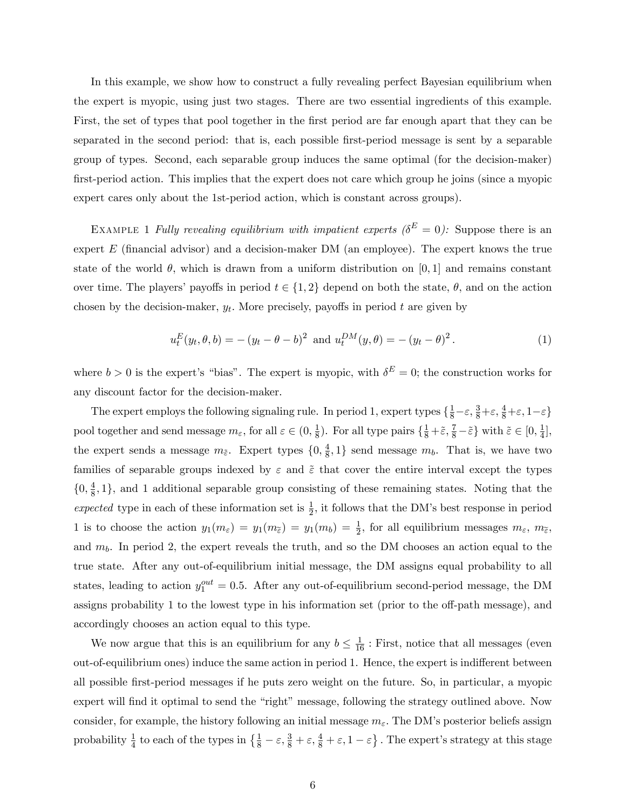In this example, we show how to construct a fully revealing perfect Bayesian equilibrium when the expert is myopic, using just two stages. There are two essential ingredients of this example. First, the set of types that pool together in the first period are far enough apart that they can be separated in the second period: that is, each possible first-period message is sent by a separable group of types. Second, each separable group induces the same optimal (for the decision-maker) first-period action. This implies that the expert does not care which group he joins (since a myopic expert cares only about the 1st-period action, which is constant across groups).

EXAMPLE 1 Fully revealing equilibrium with impatient experts  $(\delta^{E} = 0)$ : Suppose there is an expert  $E$  (financial advisor) and a decision-maker DM (an employee). The expert knows the true state of the world  $\theta$ , which is drawn from a uniform distribution on [0, 1] and remains constant over time. The players' payoffs in period  $t \in \{1, 2\}$  depend on both the state,  $\theta$ , and on the action chosen by the decision-maker,  $y_t$ . More precisely, payoffs in period  $t$  are given by

$$
u_t^E(y_t, \theta, b) = -(y_t - \theta - b)^2 \text{ and } u_t^{DM}(y, \theta) = -(y_t - \theta)^2.
$$
 (1)

where  $b > 0$  is the expert's "bias". The expert is myopic, with  $\delta^{E} = 0$ ; the construction works for any discount factor for the decision-maker.

The expert employs the following signaling rule. In period 1, expert types  $\{\frac{1}{8} - \varepsilon, \frac{3}{8} + \varepsilon, \frac{4}{8} + \varepsilon, 1 - \varepsilon\}$ pool together and send message  $m_{\varepsilon}$ , for all  $\varepsilon \in (0, \frac{1}{8})$  $\frac{1}{8}$ ). For all type pairs  $\{\frac{1}{8} + \tilde{\varepsilon}, \frac{7}{8} - \tilde{\varepsilon}\}\$  with  $\tilde{\varepsilon} \in [0, \frac{1}{4}]$  $\frac{1}{4}$ , the expert sends a message  $m_{\tilde{\varepsilon}}$ . Expert types  $\{0, \frac{4}{8}\}$  $\frac{4}{8}$ , 1} send message  $m_b$ . That is, we have two families of separable groups indexed by  $\varepsilon$  and  $\tilde{\varepsilon}$  that cover the entire interval except the types  $\{0, \frac{4}{8}\}$  $\frac{4}{8}$ , 1, and 1 additional separable group consisting of these remaining states. Noting that the expected type in each of these information set is  $\frac{1}{2}$ , it follows that the DM's best response in period 1 is to choose the action  $y_1(m_\varepsilon) = y_1(m_{\tilde{\varepsilon}}) = y_1(m_b) = \frac{1}{2}$ , for all equilibrium messages  $m_\varepsilon$ ,  $m_{\tilde{\varepsilon}}$ , and  $m_b$ . In period 2, the expert reveals the truth, and so the DM chooses an action equal to the true state. After any out-of-equilibrium initial message, the DM assigns equal probability to all states, leading to action  $y_1^{out} = 0.5$ . After any out-of-equilibrium second-period message, the DM assigns probability 1 to the lowest type in his information set (prior to the off-path message), and accordingly chooses an action equal to this type.

We now argue that this is an equilibrium for any  $b \leq \frac{1}{16}$ : First, notice that all messages (even out-of-equilibrium ones) induce the same action in period 1. Hence, the expert is indifferent between all possible Örst-period messages if he puts zero weight on the future. So, in particular, a myopic expert will find it optimal to send the "right" message, following the strategy outlined above. Now consider, for example, the history following an initial message  $m<sub>\epsilon</sub>$ . The DM's posterior beliefs assign probability  $\frac{1}{4}$  to each of the types in  $\left\{\frac{1}{8}-\varepsilon,\frac{3}{8}+\varepsilon,\frac{4}{8}+\varepsilon,1-\varepsilon\right\}$ . The expert's strategy at this stage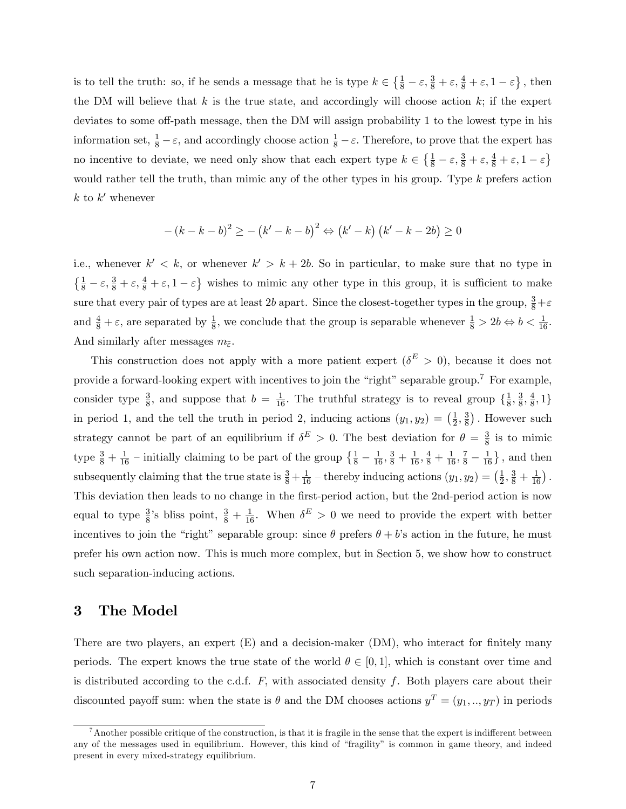is to tell the truth: so, if he sends a message that he is type  $k \in \left\{\frac{1}{8} - \varepsilon, \frac{3}{8} + \varepsilon, \frac{4}{8} + \varepsilon, 1 - \varepsilon\right\}$ , then the DM will believe that  $k$  is the true state, and accordingly will choose action  $k$ ; if the expert deviates to some off-path message, then the DM will assign probability 1 to the lowest type in his information set,  $\frac{1}{8} - \varepsilon$ , and accordingly choose action  $\frac{1}{8} - \varepsilon$ . Therefore, to prove that the expert has no incentive to deviate, we need only show that each expert type  $k \in \left\{\frac{1}{8} - \varepsilon, \frac{3}{8} + \varepsilon, \frac{4}{8} + \varepsilon, 1 - \varepsilon\right\}$ would rather tell the truth, than mimic any of the other types in his group. Type k prefers action  $k$  to  $k'$  whenever

$$
-(k - k - b)^{2} \ge -(k' - k - b)^{2} \Leftrightarrow (k' - k) (k' - k - 2b) \ge 0
$$

i.e., whenever  $k' < k$ , or whenever  $k' > k + 2b$ . So in particular, to make sure that no type in  $\{\frac{1}{8} - \varepsilon, \frac{3}{8} + \varepsilon, \frac{4}{8} + \varepsilon, 1 - \varepsilon\}$  wishes to mimic any other type in this group, it is sufficient to make sure that every pair of types are at least 2b apart. Since the closest-together types in the group,  $\frac{3}{8} + \varepsilon$ and  $\frac{4}{8} + \varepsilon$ , are separated by  $\frac{1}{8}$ , we conclude that the group is separable whenever  $\frac{1}{8} > 2b \Leftrightarrow b < \frac{1}{16}$ . And similarly after messages  $m_{\tilde{\epsilon}}$ .

This construction does not apply with a more patient expert  $(\delta^E > 0)$ , because it does not provide a forward-looking expert with incentives to join the "right" separable group.<sup>7</sup> For example, consider type  $\frac{3}{8}$ , and suppose that  $b = \frac{1}{16}$ . The truthful strategy is to reveal group  $\{\frac{1}{8}$  $\frac{1}{8}, \frac{3}{8}$  $\frac{3}{8}, \frac{4}{8}$  $\frac{4}{8}, 1\}$ in period 1, and the tell the truth in period 2, inducing actions  $(y_1, y_2) = \left(\frac{1}{2}\right)$  $\frac{1}{2}, \frac{3}{8}$  $\frac{3}{8}$ . However such strategy cannot be part of an equilibrium if  $\delta^{E} > 0$ . The best deviation for  $\theta = \frac{3}{8}$  $\frac{3}{8}$  is to mimic type  $\frac{3}{8} + \frac{1}{16}$  – initially claiming to be part of the group  $\left\{ \frac{1}{8} - \frac{1}{16}, \frac{3}{8} + \frac{1}{16}, \frac{4}{8} + \frac{1}{16}, \frac{7}{8} - \frac{1}{16} \right\}$ , and then subsequently claiming that the true state is  $\frac{3}{8} + \frac{1}{16}$  – thereby inducing actions  $(y_1, y_2) = (\frac{1}{2})$  $\frac{1}{2}, \frac{3}{8} + \frac{1}{16}$ . This deviation then leads to no change in the first-period action, but the 2nd-period action is now equal to type  $\frac{3}{8}$ 's bliss point,  $\frac{3}{8} + \frac{1}{16}$ . When  $\delta^E > 0$  we need to provide the expert with better incentives to join the "right" separable group: since  $\theta$  prefers  $\theta + b$ 's action in the future, he must prefer his own action now. This is much more complex, but in Section 5, we show how to construct such separation-inducing actions.

## 3 The Model

There are two players, an expert  $(E)$  and a decision-maker  $(DM)$ , who interact for finitely many periods. The expert knows the true state of the world  $\theta \in [0, 1]$ , which is constant over time and is distributed according to the c.d.f.  $F$ , with associated density  $f$ . Both players care about their discounted payoff sum: when the state is  $\theta$  and the DM chooses actions  $y^T = (y_1, ..., y_T)$  in periods

 $^7$ Another possible critique of the construction, is that it is fragile in the sense that the expert is indifferent between any of the messages used in equilibrium. However, this kind of "fragility" is common in game theory, and indeed present in every mixed-strategy equilibrium.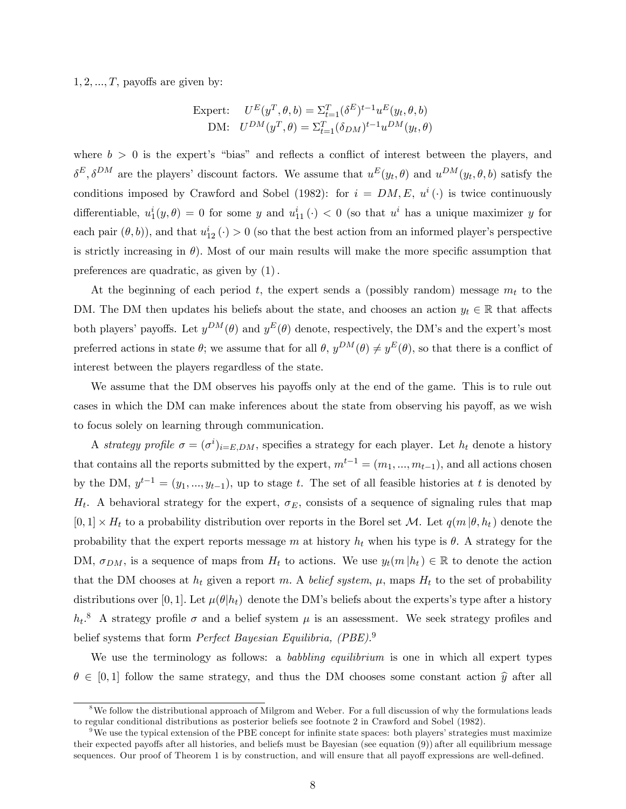$1, 2, \ldots, T$ , payoffs are given by:

$$
\begin{aligned} \text{Expert:} \quad & U^E(y^T, \theta, b) = \Sigma_{t=1}^T (\delta^E)^{t-1} u^E(y_t, \theta, b) \\ \text{DM:} \quad & U^{DM}(y^T, \theta) = \Sigma_{t=1}^T (\delta_{DM})^{t-1} u^{DM}(y_t, \theta) \end{aligned}
$$

where  $b > 0$  is the expert's "bias" and reflects a conflict of interest between the players, and  $\delta^E, \delta^{DM}$  are the players' discount factors. We assume that  $u^E(y_t, \theta)$  and  $u^{DM}(y_t, \theta, b)$  satisfy the conditions imposed by Crawford and Sobel (1982): for  $i = DM, E, u^i(\cdot)$  is twice continuously differentiable,  $u_1^i(y, \theta) = 0$  for some y and  $u_{11}^i(\cdot) < 0$  (so that  $u^i$  has a unique maximizer y for each pair  $(\theta, b)$ ), and that  $u_{12}^i(\cdot) > 0$  (so that the best action from an informed player's perspective is strictly increasing in  $\theta$ ). Most of our main results will make the more specific assumption that preferences are quadratic, as given by  $(1)$ .

At the beginning of each period t, the expert sends a (possibly random) message  $m_t$  to the DM. The DM then updates his beliefs about the state, and chooses an action  $y_t \in \mathbb{R}$  that affects both players' payoffs. Let  $y^{DM}(\theta)$  and  $y^{E}(\theta)$  denote, respectively, the DM's and the expert's most preferred actions in state  $\theta$ ; we assume that for all  $\theta$ ,  $y^{DM}(\theta) \neq y^{E}(\theta)$ , so that there is a conflict of interest between the players regardless of the state.

We assume that the DM observes his payoffs only at the end of the game. This is to rule out cases in which the DM can make inferences about the state from observing his payoff, as we wish to focus solely on learning through communication.

A strategy profile  $\sigma = (\sigma^i)_{i=E,DM}$ , specifies a strategy for each player. Let  $h_t$  denote a history that contains all the reports submitted by the expert,  $m^{t-1} = (m_1, ..., m_{t-1})$ , and all actions chosen by the DM,  $y^{t-1} = (y_1, ..., y_{t-1})$ , up to stage t. The set of all feasible histories at t is denoted by  $H_t$ . A behavioral strategy for the expert,  $\sigma_E$ , consists of a sequence of signaling rules that map  $[0,1] \times H_t$  to a probability distribution over reports in the Borel set M. Let  $q(m | \theta, h_t)$  denote the probability that the expert reports message m at history  $h_t$  when his type is  $\theta$ . A strategy for the DM,  $\sigma_{DM}$ , is a sequence of maps from  $H_t$  to actions. We use  $y_t(m|h_t) \in \mathbb{R}$  to denote the action that the DM chooses at  $h_t$  given a report m. A belief system,  $\mu$ , maps  $H_t$  to the set of probability distributions over [0, 1]. Let  $\mu(\theta|h_t)$  denote the DM's beliefs about the experts's type after a history  $h_t$ .<sup>8</sup> A strategy profile  $\sigma$  and a belief system  $\mu$  is an assessment. We seek strategy profiles and belief systems that form *Perfect Bayesian Equilibria, (PBE)*.<sup>9</sup>

We use the terminology as follows: a *babbling equilibrium* is one in which all expert types  $\theta \in [0, 1]$  follow the same strategy, and thus the DM chooses some constant action  $\hat{y}$  after all

 $8$ We follow the distributional approach of Milgrom and Weber. For a full discussion of why the formulations leads to regular conditional distributions as posterior beliefs see footnote 2 in Crawford and Sobel (1982).

<sup>&</sup>lt;sup>9</sup>We use the typical extension of the PBE concept for infinite state spaces: both players' strategies must maximize their expected payoffs after all histories, and beliefs must be Bayesian (see equation (9)) after all equilibrium message sequences. Our proof of Theorem 1 is by construction, and will ensure that all payoff expressions are well-defined.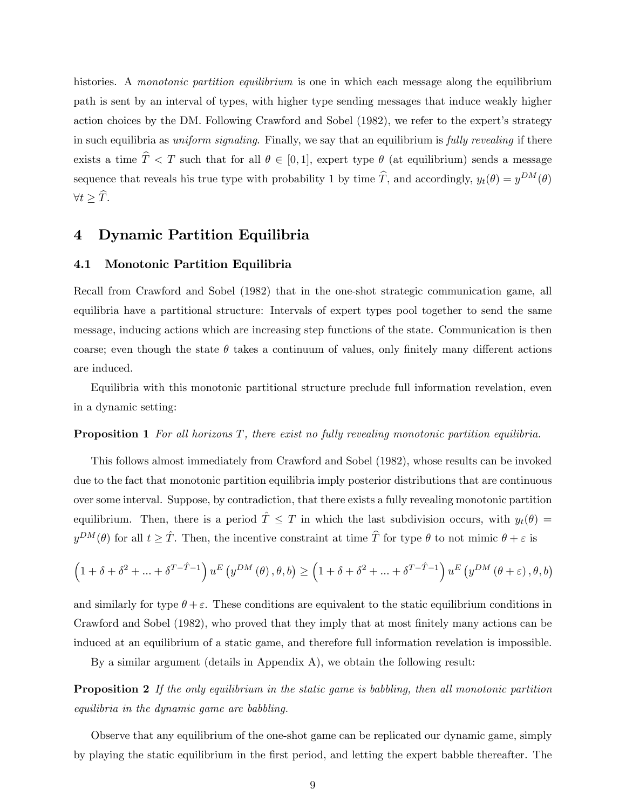histories. A monotonic partition equilibrium is one in which each message along the equilibrium path is sent by an interval of types, with higher type sending messages that induce weakly higher action choices by the DM. Following Crawford and Sobel (1982), we refer to the expert's strategy in such equilibria as uniform signaling. Finally, we say that an equilibrium is fully revealing if there exists a time  $\hat{T} < T$  such that for all  $\theta \in [0, 1]$ , expert type  $\theta$  (at equilibrium) sends a message sequence that reveals his true type with probability 1 by time  $\hat{T}$ , and accordingly,  $y_t(\theta) = y^{DM}(\theta)$  $\forall t \geq \widehat{T}$ .

# 4 Dynamic Partition Equilibria

### 4.1 Monotonic Partition Equilibria

Recall from Crawford and Sobel (1982) that in the one-shot strategic communication game, all equilibria have a partitional structure: Intervals of expert types pool together to send the same message, inducing actions which are increasing step functions of the state. Communication is then coarse; even though the state  $\theta$  takes a continuum of values, only finitely many different actions are induced.

Equilibria with this monotonic partitional structure preclude full information revelation, even in a dynamic setting:

#### **Proposition 1** For all horizons  $T$ , there exist no fully revealing monotonic partition equilibria.

This follows almost immediately from Crawford and Sobel (1982), whose results can be invoked due to the fact that monotonic partition equilibria imply posterior distributions that are continuous over some interval. Suppose, by contradiction, that there exists a fully revealing monotonic partition equilibrium. Then, there is a period  $\hat{T} \leq T$  in which the last subdivision occurs, with  $y_t(\theta) =$  $y^{DM}(\theta)$  for all  $t \geq \hat{T}$ . Then, the incentive constraint at time  $\hat{T}$  for type  $\theta$  to not mimic  $\theta + \varepsilon$  is

$$
\left(1+\delta+\delta^{2}+\ldots+\delta^{T-\hat{T}-1}\right)u^{E}\left(y^{DM}\left(\theta\right),\theta,b\right) \geq \left(1+\delta+\delta^{2}+\ldots+\delta^{T-\hat{T}-1}\right)u^{E}\left(y^{DM}\left(\theta+\varepsilon\right),\theta,b\right)
$$

and similarly for type  $\theta + \varepsilon$ . These conditions are equivalent to the static equilibrium conditions in Crawford and Sobel (1982), who proved that they imply that at most Önitely many actions can be induced at an equilibrium of a static game, and therefore full information revelation is impossible.

By a similar argument (details in Appendix A), we obtain the following result:

**Proposition 2** If the only equilibrium in the static game is babbling, then all monotonic partition equilibria in the dynamic game are babbling.

Observe that any equilibrium of the one-shot game can be replicated our dynamic game, simply by playing the static equilibrium in the Örst period, and letting the expert babble thereafter. The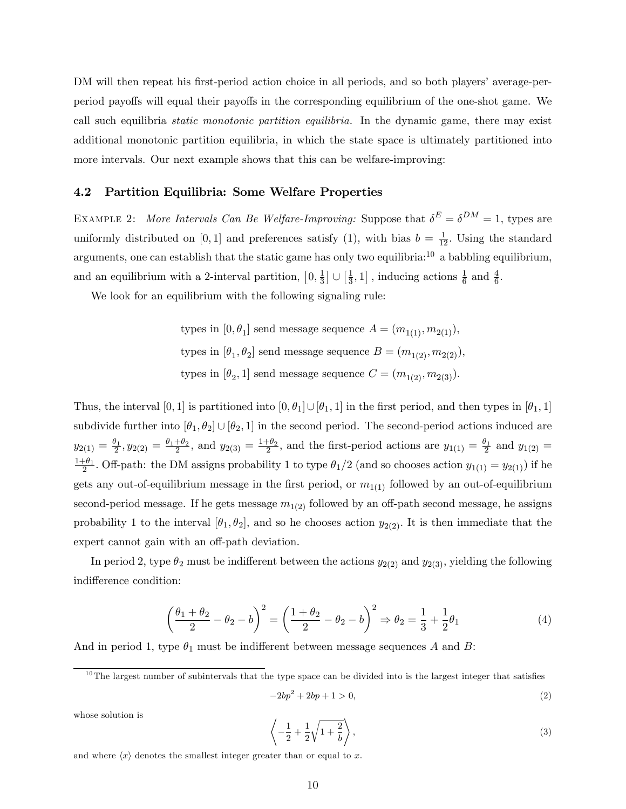DM will then repeat his first-period action choice in all periods, and so both players' average-perperiod payoffs will equal their payoffs in the corresponding equilibrium of the one-shot game. We call such equilibria static monotonic partition equilibria. In the dynamic game, there may exist additional monotonic partition equilibria, in which the state space is ultimately partitioned into more intervals. Our next example shows that this can be welfare-improving:

### 4.2 Partition Equilibria: Some Welfare Properties

EXAMPLE 2: More Intervals Can Be Welfare-Improving: Suppose that  $\delta^E = \delta^{DM} = 1$ , types are uniformly distributed on [0, 1] and preferences satisfy (1), with bias  $b = \frac{1}{12}$ . Using the standard arguments, one can establish that the static game has only two equilibria:<sup>10</sup> a babbling equilibrium, and an equilibrium with a 2-interval partition,  $[0, \frac{1}{3}]$  $\frac{1}{3}$   $\cup$   $\left[\frac{1}{3}\right]$  $\frac{1}{3}$ , 1], inducing actions  $\frac{1}{6}$  and  $\frac{4}{6}$ .

We look for an equilibrium with the following signaling rule:

types in  $[0, \theta_1]$  send message sequence  $A = (m_{1(1)}, m_{2(1)}),$ types in  $[\theta_1, \theta_2]$  send message sequence  $B = (m_{1(2)}, m_{2(2)}),$ types in  $[\theta_2, 1]$  send message sequence  $C = (m_{1(2)}, m_{2(3)})$ .

Thus, the interval [0, 1] is partitioned into  $[0, \theta_1] \cup [\theta_1, 1]$  in the first period, and then types in  $[\theta_1, 1]$ subdivide further into  $[\theta_1, \theta_2] \cup [\theta_2, 1]$  in the second period. The second-period actions induced are  $y_{2(1)} = \frac{\theta_1}{2}, y_{2(2)} = \frac{\theta_1 + \theta_2}{2}$ , and  $y_{2(3)} = \frac{1 + \theta_2}{2}$ , and the first-period actions are  $y_{1(1)} = \frac{\theta_1}{2}$  and  $y_{1(2)} = \frac{\theta_2}{2}$  $\frac{1+\theta_1}{2}$ . Off-path: the DM assigns probability 1 to type  $\theta_1/2$  (and so chooses action  $y_{1(1)} = y_{2(1)}$ ) if he gets any out-of-equilibrium message in the first period, or  $m_{1(1)}$  followed by an out-of-equilibrium second-period message. If he gets message  $m_{1(2)}$  followed by an off-path second message, he assigns probability 1 to the interval  $[\theta_1, \theta_2]$ , and so he chooses action  $y_{2(2)}$ . It is then immediate that the expert cannot gain with an off-path deviation.

In period 2, type  $\theta_2$  must be indifferent between the actions  $y_{2(2)}$  and  $y_{2(3)}$ , yielding the following indifference condition:

$$
\left(\frac{\theta_1 + \theta_2}{2} - \theta_2 - b\right)^2 = \left(\frac{1 + \theta_2}{2} - \theta_2 - b\right)^2 \Rightarrow \theta_2 = \frac{1}{3} + \frac{1}{2}\theta_1\tag{4}
$$

And in period 1, type  $\theta_1$  must be indifferent between message sequences A and B:

 $10$ The largest number of subintervals that the type space can be divided into is the largest integer that satisfies

$$
-2bp^2 + 2bp + 1 > 0,\t\t(2)
$$

whose solution is

$$
\left\langle -\frac{1}{2} + \frac{1}{2}\sqrt{1 + \frac{2}{b}} \right\rangle,\tag{3}
$$

and where  $\langle x \rangle$  denotes the smallest integer greater than or equal to x.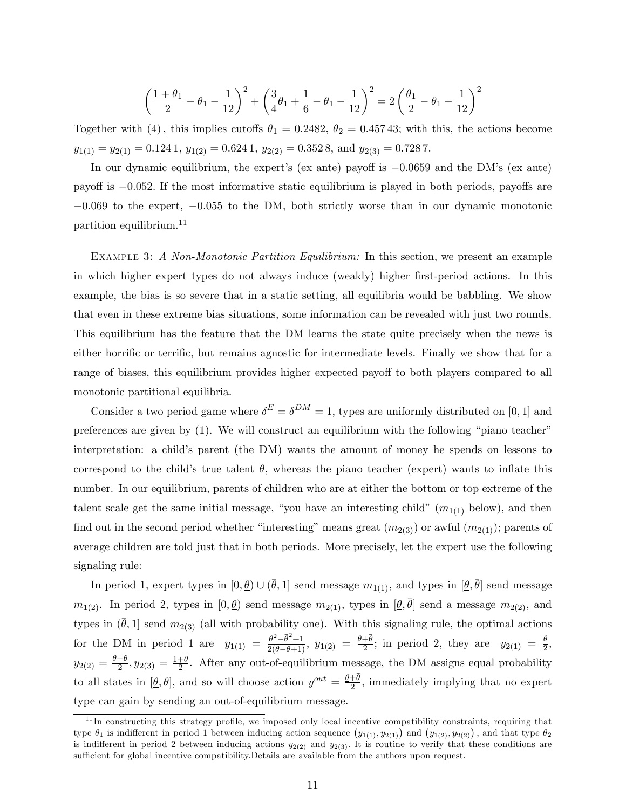$$
\left(\frac{1+\theta_1}{2} - \theta_1 - \frac{1}{12}\right)^2 + \left(\frac{3}{4}\theta_1 + \frac{1}{6} - \theta_1 - \frac{1}{12}\right)^2 = 2\left(\frac{\theta_1}{2} - \theta_1 - \frac{1}{12}\right)^2
$$

Together with (4), this implies cutoffs  $\theta_1 = 0.2482$ ,  $\theta_2 = 0.45743$ ; with this, the actions become  $y_{1(1)} = y_{2(1)} = 0.1241$ ,  $y_{1(2)} = 0.6241$ ,  $y_{2(2)} = 0.3528$ , and  $y_{2(3)} = 0.7287$ .

In our dynamic equilibrium, the expert's (ex ante) payoff is  $-0.0659$  and the DM's (ex ante) payoff is  $-0.052$ . If the most informative static equilibrium is played in both periods, payoffs are  $-0.069$  to the expert,  $-0.055$  to the DM, both strictly worse than in our dynamic monotonic partition equilibrium.<sup>11</sup>

EXAMPLE 3: A Non-Monotonic Partition Equilibrium: In this section, we present an example in which higher expert types do not always induce (weakly) higher first-period actions. In this example, the bias is so severe that in a static setting, all equilibria would be babbling. We show that even in these extreme bias situations, some information can be revealed with just two rounds. This equilibrium has the feature that the DM learns the state quite precisely when the news is either horrific or terrific, but remains agnostic for intermediate levels. Finally we show that for a range of biases, this equilibrium provides higher expected payoff to both players compared to all monotonic partitional equilibria.

Consider a two period game where  $\delta^E = \delta^{DM} = 1$ , types are uniformly distributed on [0, 1] and preferences are given by  $(1)$ . We will construct an equilibrium with the following "piano teacher" interpretation: a child's parent (the DM) wants the amount of money he spends on lessons to correspond to the child's true talent  $\theta$ , whereas the piano teacher (expert) wants to inflate this number. In our equilibrium, parents of children who are at either the bottom or top extreme of the talent scale get the same initial message, "you have an interesting child"  $(m_{1(1)}$  below), and then find out in the second period whether "interesting" means great  $(m_{2(3)})$  or awful  $(m_{2(1)})$ ; parents of average children are told just that in both periods. More precisely, let the expert use the following signaling rule:

In period 1, expert types in  $[0, \underline{\theta}) \cup (\overline{\theta}, 1]$  send message  $m_{1(1)}$ , and types in  $[\underline{\theta}, \overline{\theta}]$  send message  $m_{1(2)}$ . In period 2, types in  $[0, \underline{\theta})$  send message  $m_{2(1)}$ , types in  $[\underline{\theta}, \overline{\theta}]$  send a message  $m_{2(2)}$ , and types in  $(\bar{\theta}, 1]$  send  $m_{2(3)}$  (all with probability one). With this signaling rule, the optimal actions for the DM in period 1 are  $y_{1(1)} = \frac{\theta^2 - \bar{\theta}^2 + 1}{2(\theta - \bar{\theta} + 1)}, y_{1(2)} = \frac{\theta + \bar{\theta}}{2}$  $\frac{+ \theta}{2}$ ; in period 2, they are  $y_{2(1)} = \frac{\theta}{2}$  $\frac{\sigma}{2}$  $y_{2(2)} = \frac{\theta + \overline{\theta}}{2}$  $\frac{1+\bar{\theta}}{2}, y_{2(3)} = \frac{1+\bar{\theta}}{2}$  $\frac{+ \theta}{2}$ . After any out-of-equilibrium message, the DM assigns equal probability to all states in  $[\underline{\theta}, \overline{\theta}]$ , and so will choose action  $y^{out} = \frac{\theta + \overline{\theta}}{2}$  $\frac{+e}{2}$ , immediately implying that no expert type can gain by sending an out-of-equilibrium message.

 $11$ In constructing this strategy profile, we imposed only local incentive compatibility constraints, requiring that type  $\theta_1$  is indifferent in period 1 between inducing action sequence  $(y_{1(1)}, y_{2(1)})$  and  $(y_{1(2)}, y_{2(2)})$ , and that type  $\theta_2$ is indifferent in period 2 between inducing actions  $y_{2(2)}$  and  $y_{2(3)}$ . It is routine to verify that these conditions are sufficient for global incentive compatibility.Details are available from the authors upon request.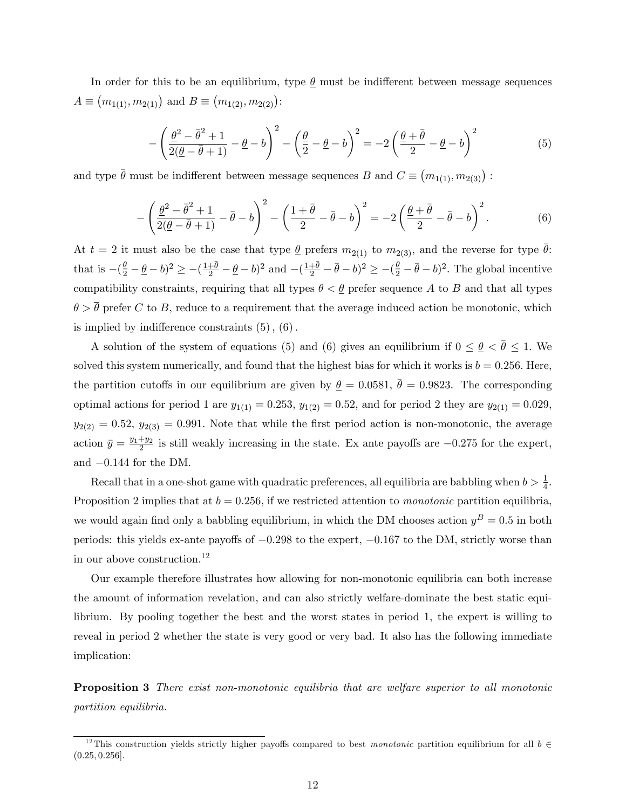In order for this to be an equilibrium, type  $\theta$  must be indifferent between message sequences  $A \equiv (m_{1(1)}, m_{2(1)})$  and  $B \equiv (m_{1(2)}, m_{2(2)})$ :

$$
-\left(\frac{\underline{\theta}^2-\overline{\theta}^2+1}{2(\underline{\theta}-\overline{\theta}+1)}-\underline{\theta}-b\right)^2-\left(\frac{\underline{\theta}}{2}-\underline{\theta}-b\right)^2=-2\left(\frac{\underline{\theta}+\overline{\theta}}{2}-\underline{\theta}-b\right)^2\tag{5}
$$

and type  $\bar{\theta}$  must be indifferent between message sequences B and  $C \equiv (m_{1(1)}, m_{2(3)})$ :

$$
-\left(\frac{\underline{\theta}^2-\bar{\theta}^2+1}{2(\underline{\theta}-\bar{\theta}+1)}-\bar{\theta}-b\right)^2-\left(\frac{1+\bar{\theta}}{2}-\bar{\theta}-b\right)^2=-2\left(\frac{\underline{\theta}+\bar{\theta}}{2}-\bar{\theta}-b\right)^2.
$$
 (6)

At  $t = 2$  it must also be the case that type  $\theta$  prefers  $m_{2(1)}$  to  $m_{2(3)}$ , and the reverse for type  $\theta$ : that is  $-(\frac{\theta}{2}-\underline{\theta}-b)^2 \ge -(\frac{1+\overline{\theta}}{2}-\underline{\theta}-b)^2$  and  $-(\frac{1+\overline{\theta}}{2}-\overline{\theta}-b)^2 \ge -(\frac{\theta}{2}-\overline{\theta}-b)^2$ . The global incentive compatibility constraints, requiring that all types  $\theta < \underline{\theta}$  prefer sequence A to B and that all types  $\theta > \overline{\theta}$  prefer C to B, reduce to a requirement that the average induced action be monotonic, which is implied by indifference constraints  $(5)$ ,  $(6)$ .

A solution of the system of equations (5) and (6) gives an equilibrium if  $0 \le \underline{\theta} < \overline{\theta} \le 1$ . We solved this system numerically, and found that the highest bias for which it works is  $b = 0.256$ . Here, the partition cutoffs in our equilibrium are given by  $\theta = 0.0581, \bar{\theta} = 0.9823$ . The corresponding optimal actions for period 1 are  $y_{1(1)} = 0.253$ ,  $y_{1(2)} = 0.52$ , and for period 2 they are  $y_{2(1)} = 0.029$ ,  $y_{2(2)} = 0.52$ ,  $y_{2(3)} = 0.991$ . Note that while the first period action is non-monotonic, the average action  $\bar{y} = \frac{y_1 + y_2}{2}$  $\frac{+y_2}{2}$  is still weakly increasing in the state. Ex ante payoffs are  $-0.275$  for the expert, and  $-0.144$  for the DM.

Recall that in a one-shot game with quadratic preferences, all equilibria are babbling when  $b > \frac{1}{4}$ . Proposition 2 implies that at  $b = 0.256$ , if we restricted attention to *monotonic* partition equilibria. we would again find only a babbling equilibrium, in which the DM chooses action  $y^B = 0.5$  in both periods: this yields ex-ante payoffs of  $-0.298$  to the expert,  $-0.167$  to the DM, strictly worse than in our above construction.<sup>12</sup>

Our example therefore illustrates how allowing for non-monotonic equilibria can both increase the amount of information revelation, and can also strictly welfare-dominate the best static equilibrium. By pooling together the best and the worst states in period 1, the expert is willing to reveal in period 2 whether the state is very good or very bad. It also has the following immediate implication:

**Proposition 3** There exist non-monotonic equilibria that are welfare superior to all monotonic partition equilibria.

<sup>&</sup>lt;sup>12</sup>This construction yields strictly higher payoffs compared to best *monotonic* partition equilibrium for all  $b \in$  $(0.25, 0.256]$ .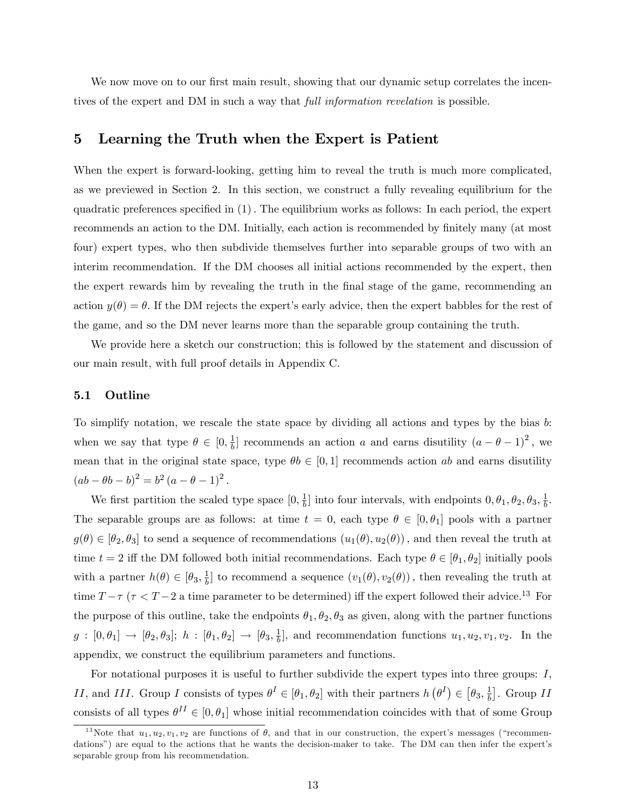We now move on to our first main result, showing that our dynamic setup correlates the incentives of the expert and DM in such a way that *full information revelation* is possible.

### 5 Learning the Truth when the Expert is Patient

When the expert is forward-looking, getting him to reveal the truth is much more complicated, as we previewed in Section 2. In this section, we construct a fully revealing equilibrium for the quadratic preferences specified in  $(1)$ . The equilibrium works as follows: In each period, the expert recommends an action to the DM. Initially, each action is recommended by finitely many (at most four) expert types, who then subdivide themselves further into separable groups of two with an interim recommendation. If the DM chooses all initial actions recommended by the expert, then the expert rewards him by revealing the truth in the final stage of the game, recommending an action  $y(\theta) = \theta$ . If the DM rejects the expert's early advice, then the expert babbles for the rest of the game, and so the DM never learns more than the separable group containing the truth.

We provide here a sketch our construction; this is followed by the statement and discussion of our main result, with full proof details in Appendix C.

#### 5.1 Outline

To simplify notation, we rescale the state space by dividing all actions and types by the bias b: when we say that type  $\theta \in [0, \frac{1}{b}]$  $\frac{1}{b}$ ] recommends an action a and earns disutility  $(a - \theta - 1)^2$ , we mean that in the original state space, type  $\theta b \in [0,1]$  recommends action ab and earns disutility  $(ab - \theta b - b)^2 = b^2 (a - \theta - 1)^2$ .

We first partition the scaled type space  $[0, \frac{1}{b}]$  $\frac{1}{b}$ ] into four intervals, with endpoints  $0, \theta_1, \theta_2, \theta_3, \frac{1}{b}$  $\frac{1}{b}$ . The separable groups are as follows: at time  $t = 0$ , each type  $\theta \in [0, \theta_1]$  pools with a partner  $g(\theta) \in [\theta_2, \theta_3]$  to send a sequence of recommendations  $(u_1(\theta), u_2(\theta))$ , and then reveal the truth at time  $t = 2$  iff the DM followed both initial recommendations. Each type  $\theta \in [\theta_1, \theta_2]$  initially pools with a partner  $h(\theta) \in [\theta_3, \frac{1}{b}]$  $\frac{1}{b}$  to recommend a sequence  $(v_1(\theta), v_2(\theta))$ , then revealing the truth at time  $T - \tau$  ( $\tau < T - 2$  a time parameter to be determined) iff the expert followed their advice.<sup>13</sup> For the purpose of this outline, take the endpoints  $\theta_1, \theta_2, \theta_3$  as given, along with the partner functions  $g : [0, \theta_1] \rightarrow [\theta_2, \theta_3]; h : [\theta_1, \theta_2] \rightarrow [\theta_3, \frac{1}{b}]$  $\frac{1}{b}$ , and recommendation functions  $u_1, u_2, v_1, v_2$ . In the appendix, we construct the equilibrium parameters and functions.

For notational purposes it is useful to further subdivide the expert types into three groups: I, II, and III. Group I consists of types  $\theta^I \in [\theta_1, \theta_2]$  with their partners  $h(\theta^I) \in [\theta_3, \frac{1}{b}]$  $\frac{1}{b}$ . Group II consists of all types  $\theta^{II} \in [0, \theta_1]$  whose initial recommendation coincides with that of some Group

<sup>&</sup>lt;sup>13</sup>Note that  $u_1, u_2, v_1, v_2$  are functions of  $\theta$ , and that in our construction, the expert's messages ("recommendations") are equal to the actions that he wants the decision-maker to take. The DM can then infer the expert's separable group from his recommendation.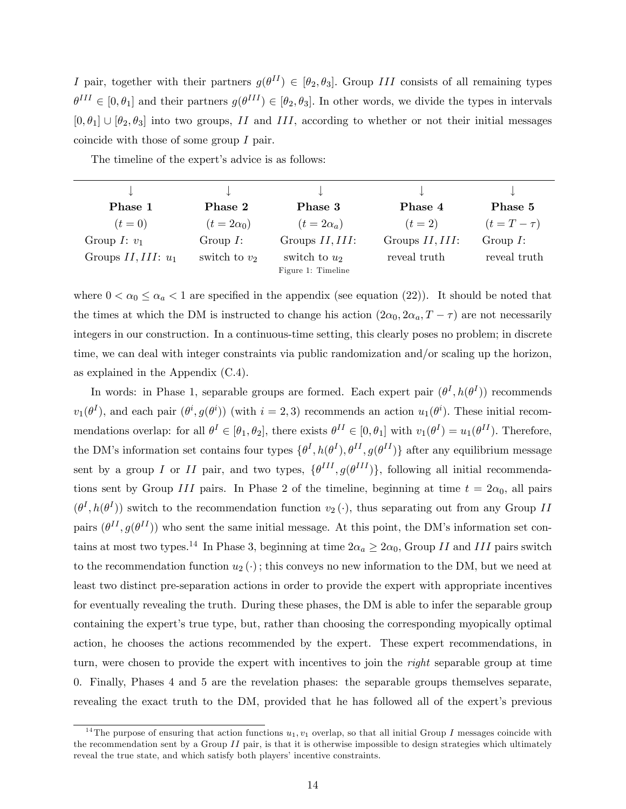I pair, together with their partners  $g(\theta^{II}) \in [\theta_2, \theta_3]$ . Group III consists of all remaining types  $\theta^{III} \in [0, \theta_1]$  and their partners  $g(\theta^{III}) \in [\theta_2, \theta_3]$ . In other words, we divide the types in intervals  $[0, \theta_1] \cup [\theta_2, \theta_3]$  into two groups, II and III, according to whether or not their initial messages coincide with those of some group I pair.

The timeline of the expert's advice is as follows:

| Phase 1               | Phase 2         | Phase 3            | Phase 4            | Phase 5      |
|-----------------------|-----------------|--------------------|--------------------|--------------|
| $(t=0)$               | $(t=2\alpha_0)$ | $(t=2\alpha_a)$    | $(t = 2)$          | $(t=T-\tau)$ |
| Group $I: v_1$        | Group $I$ :     | Groups $II, III$ : | Groups $II, III$ : | Group $I$ :  |
| Groups $II, III: u_1$ | switch to $v_2$ | switch to $u_2$    | reveal truth       | reveal truth |
|                       |                 | Figure 1: Timeline |                    |              |

where  $0 < \alpha_0 \leq \alpha_a < 1$  are specified in the appendix (see equation (22)). It should be noted that the times at which the DM is instructed to change his action  $(2\alpha_0, 2\alpha_a, T - \tau)$  are not necessarily integers in our construction. In a continuous-time setting, this clearly poses no problem; in discrete time, we can deal with integer constraints via public randomization and/or scaling up the horizon, as explained in the Appendix (C.4).

In words: in Phase 1, separable groups are formed. Each expert pair  $(\theta^I, h(\theta^I))$  recommends  $v_1(\theta^I)$ , and each pair  $(\theta^i, g(\theta^i))$  (with  $i = 2, 3$ ) recommends an action  $u_1(\theta^i)$ . These initial recommendations overlap: for all  $\theta^I \in [\theta_1, \theta_2]$ , there exists  $\theta^{II} \in [0, \theta_1]$  with  $v_1(\theta^I) = u_1(\theta^{II})$ . Therefore, the DM's information set contains four types  $\{\theta^I, h(\theta^I), \theta^{II}, g(\theta^{II})\}$  after any equilibrium message sent by a group I or II pair, and two types,  $\{\theta^{III}, g(\theta^{III})\}$ , following all initial recommendations sent by Group III pairs. In Phase 2 of the timeline, beginning at time  $t = 2\alpha_0$ , all pairs  $(\theta^I, h(\theta^I))$  switch to the recommendation function  $v_2(\cdot)$ , thus separating out from any Group II pairs  $(\theta^{II}, g(\theta^{II}))$  who sent the same initial message. At this point, the DM's information set contains at most two types.<sup>14</sup> In Phase 3, beginning at time  $2\alpha_a \geq 2\alpha_0$ , Group II and III pairs switch to the recommendation function  $u_2(\cdot)$ ; this conveys no new information to the DM, but we need at least two distinct pre-separation actions in order to provide the expert with appropriate incentives for eventually revealing the truth. During these phases, the DM is able to infer the separable group containing the expert's true type, but, rather than choosing the corresponding myopically optimal action, he chooses the actions recommended by the expert. These expert recommendations, in turn, were chosen to provide the expert with incentives to join the right separable group at time 0. Finally, Phases 4 and 5 are the revelation phases: the separable groups themselves separate, revealing the exact truth to the DM, provided that he has followed all of the expert's previous

<sup>&</sup>lt;sup>14</sup>The purpose of ensuring that action functions  $u_1, v_1$  overlap, so that all initial Group I messages coincide with the recommendation sent by a Group  $II$  pair, is that it is otherwise impossible to design strategies which ultimately reveal the true state, and which satisfy both players' incentive constraints.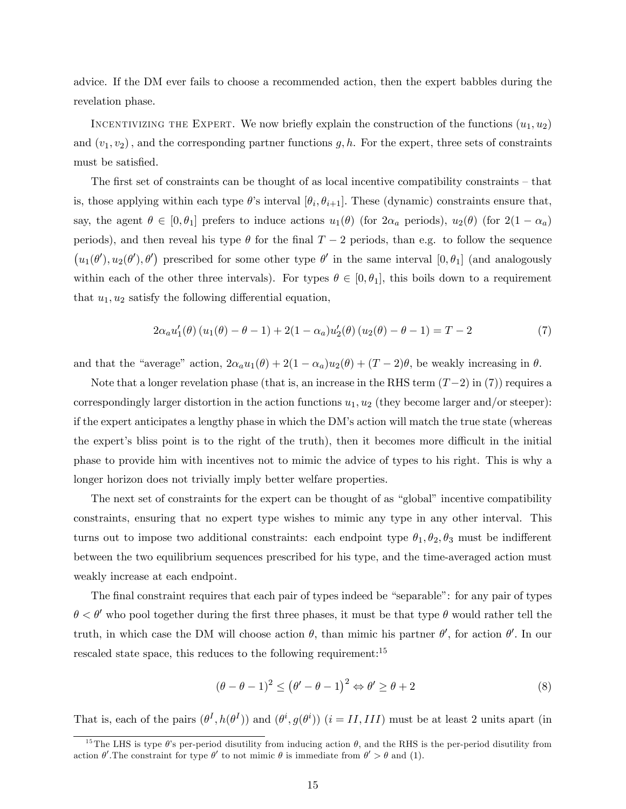advice. If the DM ever fails to choose a recommended action, then the expert babbles during the revelation phase.

INCENTIVIZING THE EXPERT. We now briefly explain the construction of the functions  $(u_1, u_2)$ and  $(v_1, v_2)$ , and the corresponding partner functions  $g, h$ . For the expert, three sets of constraints must be satisfied.

The first set of constraints can be thought of as local incentive compatibility constraints  $-$  that is, those applying within each type  $\theta$ 's interval  $[\theta_i, \theta_{i+1}]$ . These (dynamic) constraints ensure that, say, the agent  $\theta \in [0, \theta_1]$  prefers to induce actions  $u_1(\theta)$  (for  $2\alpha_a$  periods),  $u_2(\theta)$  (for  $2(1 - \alpha_a)$ ) periods), and then reveal his type  $\theta$  for the final  $T - 2$  periods, than e.g. to follow the sequence  $(u_1(\theta'), u_2(\theta'), \theta')$  prescribed for some other type  $\theta'$  in the same interval  $[0, \theta_1]$  (and analogously within each of the other three intervals). For types  $\theta \in [0, \theta_1]$ , this boils down to a requirement that  $u_1, u_2$  satisfy the following differential equation,

$$
2\alpha_a u_1'(\theta) (u_1(\theta) - \theta - 1) + 2(1 - \alpha_a) u_2'(\theta) (u_2(\theta) - \theta - 1) = T - 2
$$
\n(7)

and that the "average" action,  $2\alpha_a u_1(\theta) + 2(1 - \alpha_a)u_2(\theta) + (T - 2)\theta$ , be weakly increasing in  $\theta$ .

Note that a longer revelation phase (that is, an increase in the RHS term  $(T-2)$  in (7)) requires a correspondingly larger distortion in the action functions  $u_1, u_2$  (they become larger and/or steeper): if the expert anticipates a lengthy phase in which the DMís action will match the true state (whereas the expert's bliss point is to the right of the truth), then it becomes more difficult in the initial phase to provide him with incentives not to mimic the advice of types to his right. This is why a longer horizon does not trivially imply better welfare properties.

The next set of constraints for the expert can be thought of as "global" incentive compatibility constraints, ensuring that no expert type wishes to mimic any type in any other interval. This turns out to impose two additional constraints: each endpoint type  $\theta_1, \theta_2, \theta_3$  must be indifferent between the two equilibrium sequences prescribed for his type, and the time-averaged action must weakly increase at each endpoint.

The final constraint requires that each pair of types indeed be "separable": for any pair of types  $\theta < \theta'$  who pool together during the first three phases, it must be that type  $\theta$  would rather tell the truth, in which case the DM will choose action  $\theta$ , than mimic his partner  $\theta'$ , for action  $\theta'$ . In our rescaled state space, this reduces to the following requirement:<sup>15</sup>

$$
(\theta - \theta - 1)^2 \le (\theta' - \theta - 1)^2 \Leftrightarrow \theta' \ge \theta + 2 \tag{8}
$$

That is, each of the pairs  $(\theta^I, h(\theta^I))$  and  $(\theta^i, g(\theta^i))$   $(i = II, III)$  must be at least 2 units apart (in

<sup>&</sup>lt;sup>15</sup>The LHS is type  $\theta$ 's per-period disutility from inducing action  $\theta$ , and the RHS is the per-period disutility from action  $\theta'$ . The constraint for type  $\theta'$  to not mimic  $\theta$  is immediate from  $\theta' > \theta$  and (1).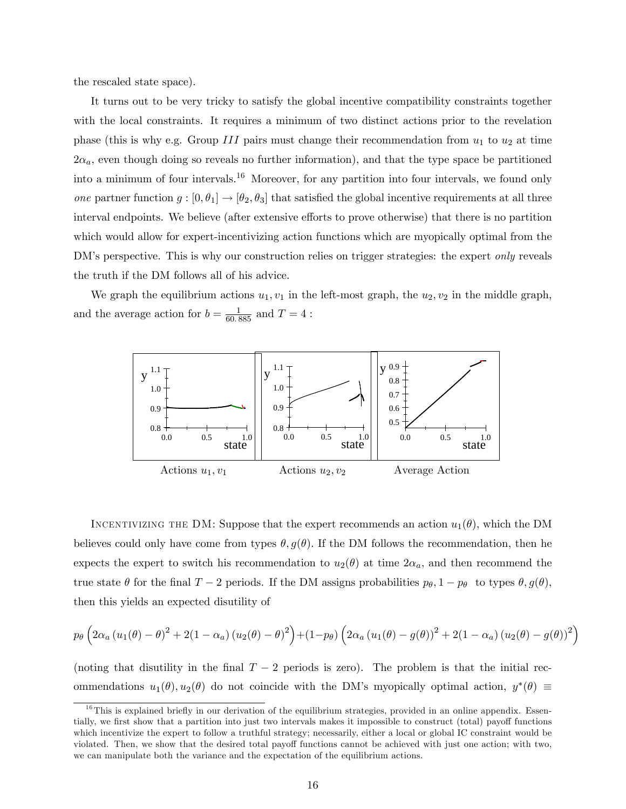the rescaled state space).

It turns out to be very tricky to satisfy the global incentive compatibility constraints together with the local constraints. It requires a minimum of two distinct actions prior to the revelation phase (this is why e.g. Group  $III$  pairs must change their recommendation from  $u_1$  to  $u_2$  at time  $2\alpha_a$ , even though doing so reveals no further information), and that the type space be partitioned into a minimum of four intervals.<sup>16</sup> Moreover, for any partition into four intervals, we found only one partner function  $g : [0, \theta_1] \to [\theta_2, \theta_3]$  that satisfied the global incentive requirements at all three interval endpoints. We believe (after extensive efforts to prove otherwise) that there is no partition which would allow for expert-incentivizing action functions which are myopically optimal from the DM's perspective. This is why our construction relies on trigger strategies: the expert *only* reveals the truth if the DM follows all of his advice.

We graph the equilibrium actions  $u_1, v_1$  in the left-most graph, the  $u_2, v_2$  in the middle graph, and the average action for  $b = \frac{1}{60.885}$  and  $T = 4$ :



INCENTIVIZING THE DM: Suppose that the expert recommends an action  $u_1(\theta)$ , which the DM believes could only have come from types  $\theta, g(\theta)$ . If the DM follows the recommendation, then he expects the expert to switch his recommendation to  $u_2(\theta)$  at time  $2\alpha_a$ , and then recommend the true state  $\theta$  for the final  $T - 2$  periods. If the DM assigns probabilities  $p_{\theta}$ ,  $1 - p_{\theta}$  to types  $\theta$ ,  $g(\theta)$ , then this yields an expected disutility of

$$
p_{\theta}\left(2\alpha_a\left(u_1(\theta)-\theta\right)^2+2(1-\alpha_a)\left(u_2(\theta)-\theta\right)^2\right)+(1-p_{\theta})\left(2\alpha_a\left(u_1(\theta)-g(\theta)\right)^2+2(1-\alpha_a)\left(u_2(\theta)-g(\theta)\right)^2\right)
$$

(noting that disutility in the final  $T - 2$  periods is zero). The problem is that the initial recommendations  $u_1(\theta), u_2(\theta)$  do not coincide with the DM's myopically optimal action,  $y^*(\theta) \equiv$ 

 $16$ This is explained briefly in our derivation of the equilibrium strategies, provided in an online appendix. Essentially, we first show that a partition into just two intervals makes it impossible to construct (total) payoff functions which incentivize the expert to follow a truthful strategy; necessarily, either a local or global IC constraint would be violated. Then, we show that the desired total payoff functions cannot be achieved with just one action; with two, we can manipulate both the variance and the expectation of the equilibrium actions.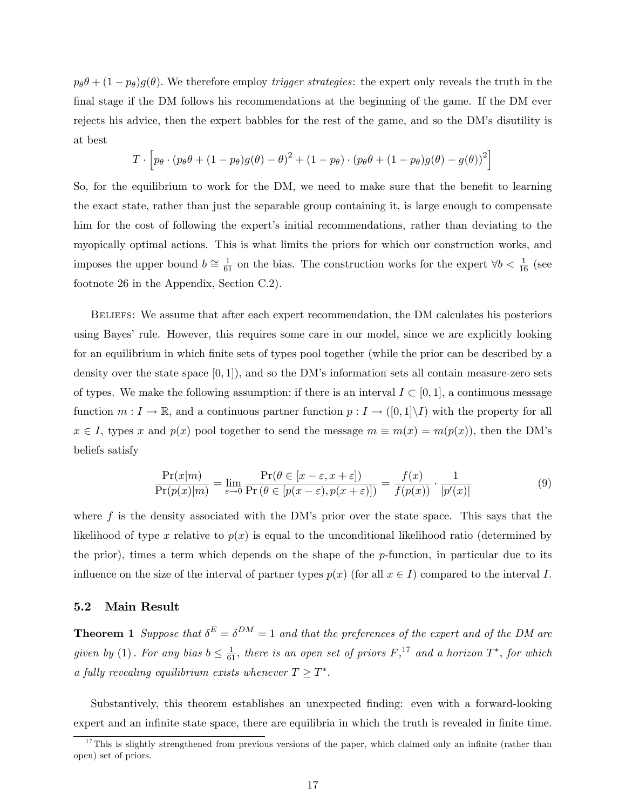$p_{\theta} \theta + (1 - p_{\theta}) g(\theta)$ . We therefore employ *trigger strategies*: the expert only reveals the truth in the final stage if the DM follows his recommendations at the beginning of the game. If the DM ever rejects his advice, then the expert babbles for the rest of the game, and so the DM's disutility is at best

$$
T \cdot \left[ p_{\theta} \cdot (p_{\theta}\theta + (1 - p_{\theta})g(\theta) - \theta)^{2} + (1 - p_{\theta}) \cdot (p_{\theta}\theta + (1 - p_{\theta})g(\theta) - g(\theta))^{2} \right]
$$

So, for the equilibrium to work for the DM, we need to make sure that the benefit to learning the exact state, rather than just the separable group containing it, is large enough to compensate him for the cost of following the expert's initial recommendations, rather than deviating to the myopically optimal actions. This is what limits the priors for which our construction works, and imposes the upper bound  $b \approx \frac{1}{61}$  on the bias. The construction works for the expert  $\forall b < \frac{1}{16}$  (see footnote 26 in the Appendix, Section C.2).

Beliefs: We assume that after each expert recommendation, the DM calculates his posteriors using Bayesí rule. However, this requires some care in our model, since we are explicitly looking for an equilibrium in which finite sets of types pool together (while the prior can be described by a density over the state space  $(0, 1)$ , and so the DM's information sets all contain measure-zero sets of types. We make the following assumption: if there is an interval  $I \subset [0, 1]$ , a continuous message function  $m: I \to \mathbb{R}$ , and a continuous partner function  $p: I \to ([0,1]\setminus I)$  with the property for all  $x \in I$ , types x and  $p(x)$  pool together to send the message  $m \equiv m(x) = m(p(x))$ , then the DM's beliefs satisfy

$$
\frac{\Pr(x|m)}{\Pr(p(x)|m)} = \lim_{\varepsilon \to 0} \frac{\Pr(\theta \in [x - \varepsilon, x + \varepsilon])}{\Pr(\theta \in [p(x - \varepsilon), p(x + \varepsilon)])} = \frac{f(x)}{f(p(x))} \cdot \frac{1}{|p'(x)|}
$$
(9)

where  $f$  is the density associated with the DM's prior over the state space. This says that the likelihood of type x relative to  $p(x)$  is equal to the unconditional likelihood ratio (determined by the prior); times a term which depends on the shape of the p-function, in particular due to its influence on the size of the interval of partner types  $p(x)$  (for all  $x \in I$ ) compared to the interval I.

#### 5.2 Main Result

**Theorem 1** Suppose that  $\delta^E = \delta^{DM} = 1$  and that the preferences of the expert and of the DM are given by (1). For any bias  $b \leq \frac{1}{61}$ , there is an open set of priors  $F$ ,<sup>17</sup> and a horizon  $T^*$ , for which a fully revealing equilibrium exists whenever  $T \geq T^*$ .

Substantively, this theorem establishes an unexpected Önding: even with a forward-looking expert and an infinite state space, there are equilibria in which the truth is revealed in finite time.

<sup>&</sup>lt;sup>17</sup>This is slightly strengthened from previous versions of the paper, which claimed only an infinite (rather than open) set of priors.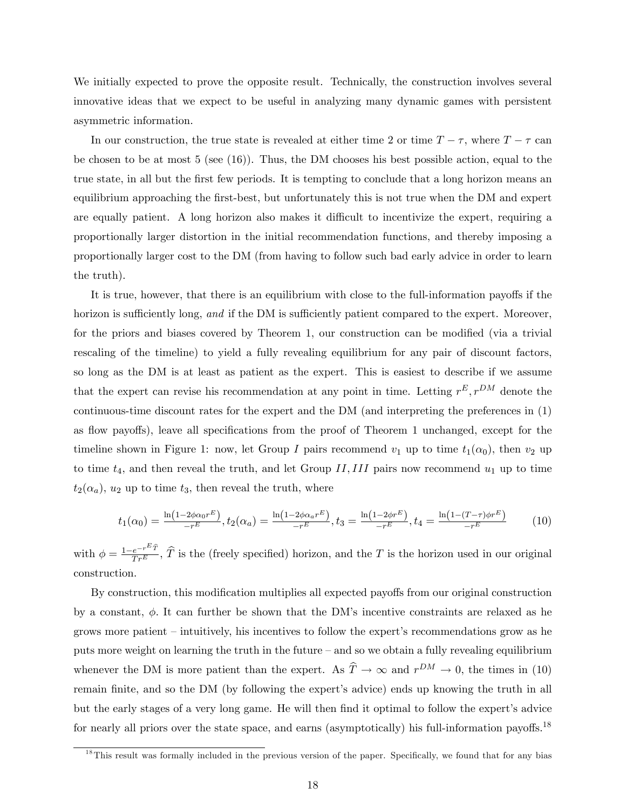We initially expected to prove the opposite result. Technically, the construction involves several innovative ideas that we expect to be useful in analyzing many dynamic games with persistent asymmetric information.

In our construction, the true state is revealed at either time 2 or time  $T - \tau$ , where  $T - \tau$  can be chosen to be at most 5 (see (16)). Thus, the DM chooses his best possible action, equal to the true state, in all but the first few periods. It is tempting to conclude that a long horizon means an equilibrium approaching the first-best, but unfortunately this is not true when the DM and expert are equally patient. A long horizon also makes it difficult to incentivize the expert, requiring a proportionally larger distortion in the initial recommendation functions, and thereby imposing a proportionally larger cost to the DM (from having to follow such bad early advice in order to learn the truth).

It is true, however, that there is an equilibrium with close to the full-information payoffs if the horizon is sufficiently long, and if the DM is sufficiently patient compared to the expert. Moreover, for the priors and biases covered by Theorem 1, our construction can be modified (via a trivial rescaling of the timeline) to yield a fully revealing equilibrium for any pair of discount factors, so long as the DM is at least as patient as the expert. This is easiest to describe if we assume that the expert can revise his recommendation at any point in time. Letting  $r^E, r^{DM}$  denote the continuous-time discount rates for the expert and the DM (and interpreting the preferences in (1) as flow payoffs), leave all specifications from the proof of Theorem 1 unchanged, except for the timeline shown in Figure 1: now, let Group I pairs recommend  $v_1$  up to time  $t_1(\alpha_0)$ , then  $v_2$  up to time  $t_4$ , and then reveal the truth, and let Group II, III pairs now recommend  $u_1$  up to time  $t_2(\alpha_a)$ ,  $u_2$  up to time  $t_3$ , then reveal the truth, where

$$
t_1(\alpha_0) = \frac{\ln(1 - 2\phi\alpha_0 r^E)}{-r^E}, t_2(\alpha_a) = \frac{\ln(1 - 2\phi\alpha_a r^E)}{-r^E}, t_3 = \frac{\ln(1 - 2\phi r^E)}{-r^E}, t_4 = \frac{\ln(1 - (T - \tau)\phi r^E)}{-r^E}
$$
(10)

with  $\phi = \frac{1-e^{-rE}\hat{T}}{Tr^E}, \hat{T}$  is the (freely specified) horizon, and the T is the horizon used in our original construction.

By construction, this modification multiplies all expected payoffs from our original construction by a constant,  $\phi$ . It can further be shown that the DM's incentive constraints are relaxed as he grows more patient  $\overline{\phantom{a}}$ -intuitively, his incentives to follow the expert's recommendations grow as he puts more weight on learning the truth in the future  $-$  and so we obtain a fully revealing equilibrium whenever the DM is more patient than the expert. As  $\hat{T} \to \infty$  and  $r^{DM} \to 0$ , the times in (10) remain finite, and so the DM (by following the expert's advice) ends up knowing the truth in all but the early stages of a very long game. He will then find it optimal to follow the expert's advice for nearly all priors over the state space, and earns (asymptotically) his full-information payoffs.<sup>18</sup>

 $18$ This result was formally included in the previous version of the paper. Specifically, we found that for any bias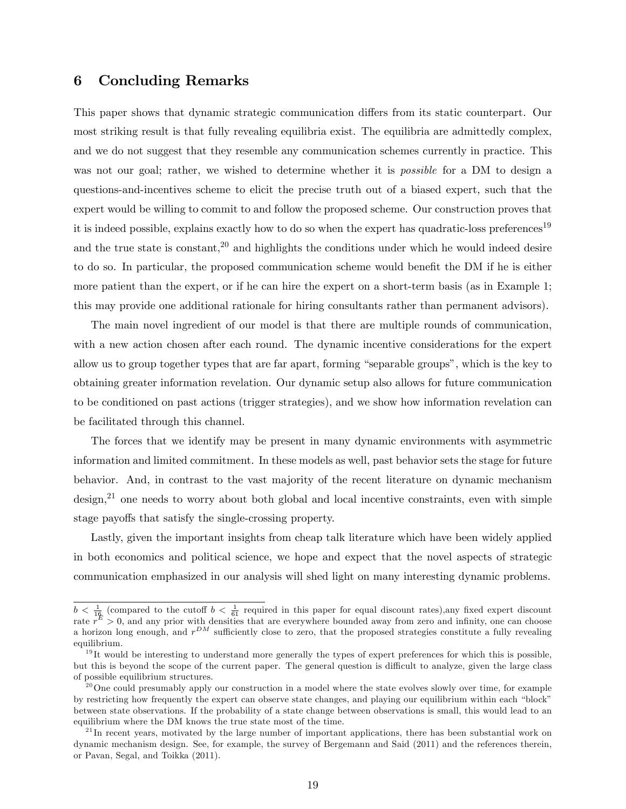# 6 Concluding Remarks

This paper shows that dynamic strategic communication differs from its static counterpart. Our most striking result is that fully revealing equilibria exist. The equilibria are admittedly complex, and we do not suggest that they resemble any communication schemes currently in practice. This was not our goal; rather, we wished to determine whether it is *possible* for a DM to design a questions-and-incentives scheme to elicit the precise truth out of a biased expert, such that the expert would be willing to commit to and follow the proposed scheme. Our construction proves that it is indeed possible, explains exactly how to do so when the expert has quadratic-loss preferences<sup>19</sup> and the true state is constant,<sup>20</sup> and highlights the conditions under which he would indeed desire to do so. In particular, the proposed communication scheme would benefit the DM if he is either more patient than the expert, or if he can hire the expert on a short-term basis (as in Example 1; this may provide one additional rationale for hiring consultants rather than permanent advisors).

The main novel ingredient of our model is that there are multiple rounds of communication, with a new action chosen after each round. The dynamic incentive considerations for the expert allow us to group together types that are far apart, forming "separable groups", which is the key to obtaining greater information revelation. Our dynamic setup also allows for future communication to be conditioned on past actions (trigger strategies), and we show how information revelation can be facilitated through this channel.

The forces that we identify may be present in many dynamic environments with asymmetric information and limited commitment. In these models as well, past behavior sets the stage for future behavior. And, in contrast to the vast majority of the recent literature on dynamic mechanism design,<sup>21</sup> one needs to worry about both global and local incentive constraints, even with simple stage payoffs that satisfy the single-crossing property.

Lastly, given the important insights from cheap talk literature which have been widely applied in both economics and political science, we hope and expect that the novel aspects of strategic communication emphasized in our analysis will shed light on many interesting dynamic problems.

 $b < \frac{1}{16}$  (compared to the cutoff  $b < \frac{1}{61}$  required in this paper for equal discount rates), any fixed expert discount rate  $r^E > 0$ , and any prior with densities that are everywhere bounded away from zero and infinity, one can choose a horizon long enough, and  $r^{DM}$  sufficiently close to zero, that the proposed strategies constitute a fully revealing equilibrium.

 $19$ It would be interesting to understand more generally the types of expert preferences for which this is possible, but this is beyond the scope of the current paper. The general question is difficult to analyze, given the large class of possible equilibrium structures.

 $^{20}$  One could presumably apply our construction in a model where the state evolves slowly over time, for example by restricting how frequently the expert can observe state changes, and playing our equilibrium within each "block" between state observations. If the probability of a state change between observations is small, this would lead to an equilibrium where the DM knows the true state most of the time.

 $^{21}$ In recent years, motivated by the large number of important applications, there has been substantial work on dynamic mechanism design. See, for example, the survey of Bergemann and Said (2011) and the references therein, or Pavan, Segal, and Toikka (2011).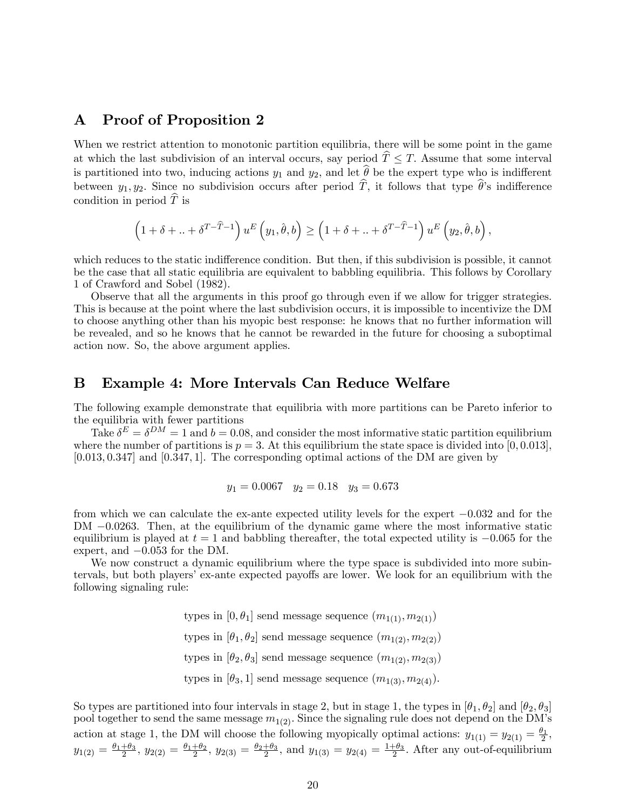# A Proof of Proposition 2

When we restrict attention to monotonic partition equilibria, there will be some point in the game at which the last subdivision of an interval occurs, say period  $\hat{T} \leq T$ . Assume that some interval is partitioned into two, inducing actions  $y_1$  and  $y_2$ , and let  $\widehat{\theta}$  be the expert type who is indifferent between  $y_1, y_2$ . Since no subdivision occurs after period  $\hat{T}$ , it follows that type  $\hat{\theta}$ 's indifference condition in period  $\hat{T}$  is

$$
\left(1+\delta+\ldots+\delta^{T-\widehat{T}-1}\right)u^E\left(y_1,\widehat{\theta},b\right)\geq \left(1+\delta+\ldots+\delta^{T-\widehat{T}-1}\right)u^E\left(y_2,\widehat{\theta},b\right),
$$

which reduces to the static indifference condition. But then, if this subdivision is possible, it cannot be the case that all static equilibria are equivalent to babbling equilibria. This follows by Corollary 1 of Crawford and Sobel (1982).

Observe that all the arguments in this proof go through even if we allow for trigger strategies. This is because at the point where the last subdivision occurs, it is impossible to incentivize the DM to choose anything other than his myopic best response: he knows that no further information will be revealed, and so he knows that he cannot be rewarded in the future for choosing a suboptimal action now. So, the above argument applies.

### B Example 4: More Intervals Can Reduce Welfare

The following example demonstrate that equilibria with more partitions can be Pareto inferior to the equilibria with fewer partitions

Take  $\delta^E = \delta^{DM} = 1$  and  $b = 0.08$ , and consider the most informative static partition equilibrium where the number of partitions is  $p = 3$ . At this equilibrium the state space is divided into [0, 0.013].  $[0.013, 0.347]$  and  $[0.347, 1]$ . The corresponding optimal actions of the DM are given by

$$
y_1 = 0.0067
$$
  $y_2 = 0.18$   $y_3 = 0.673$ 

from which we can calculate the ex-ante expected utility levels for the expert  $-0.032$  and for the  $DM -0.0263$ . Then, at the equilibrium of the dynamic game where the most informative static equilibrium is played at  $t = 1$  and babbling thereafter, the total expected utility is  $-0.065$  for the expert, and  $-0.053$  for the DM.

We now construct a dynamic equilibrium where the type space is subdivided into more subintervals, but both players' ex-ante expected payoffs are lower. We look for an equilibrium with the following signaling rule:

> types in  $[0, \theta_1]$  send message sequence  $(m_{1(1)}, m_{2(1)})$ types in  $[\theta_1, \theta_2]$  send message sequence  $(m_{1(2)}, m_{2(2)})$ types in  $[\theta_2, \theta_3]$  send message sequence  $(m_{1(2)}, m_{2(3)})$ types in  $[\theta_3, 1]$  send message sequence  $(m_{1(3)}, m_{2(4)})$ .

So types are partitioned into four intervals in stage 2, but in stage 1, the types in  $[\theta_1, \theta_2]$  and  $[\theta_2, \theta_3]$ pool together to send the same message  $m_{1(2)}$ . Since the signaling rule does not depend on the DM's action at stage 1, the DM will choose the following myopically optimal actions:  $y_{1(1)} = y_{2(1)} = \frac{\theta_1}{2}$ ,  $y_{1(2)} = \frac{\theta_1 + \theta_3}{2}$ ,  $y_{2(2)} = \frac{\theta_1 + \theta_2}{2}$ ,  $y_{2(3)} = \frac{\theta_2 + \theta_3}{2}$ , and  $y_{1(3)} = y_{2(4)} = \frac{1+\theta_3}{2}$ . After any out-of-equilibrium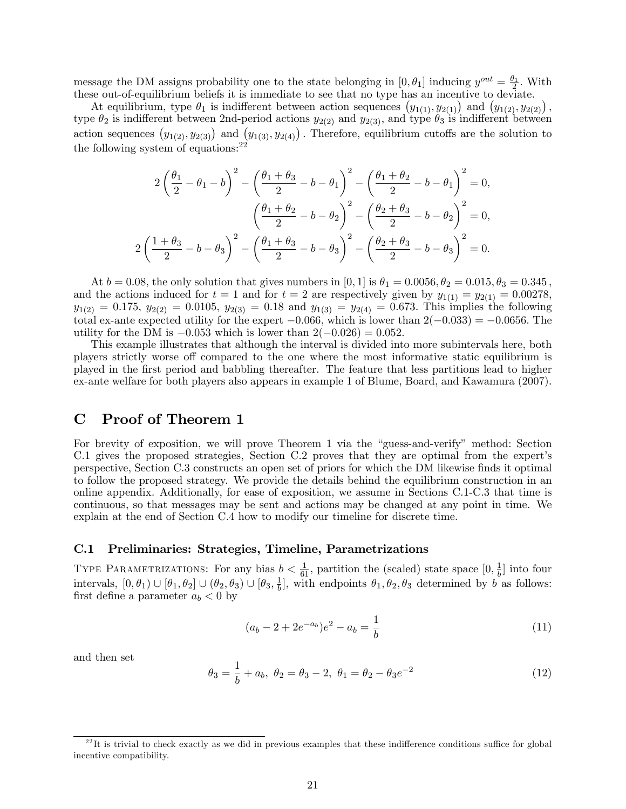message the DM assigns probability one to the state belonging in  $[0, \theta_1]$  inducing  $y^{out} = \frac{\theta_1}{2}$ . With these out-of-equilibrium beliefs it is immediate to see that no type has an incentive to deviate.

At equilibrium, type  $\theta_1$  is indifferent between action sequences  $(y_{1(1)}, y_{2(1)})$  and  $(y_{1(2)}, y_{2(2)})$ , type  $\theta_2$  is indifferent between 2nd-period actions  $y_{2(2)}$  and  $y_{2(3)}$ , and type  $\theta_3$  is indifferent between action sequences  $(y_{1(2)}, y_{2(3)})$  and  $(y_{1(3)}, y_{2(4)})$ . Therefore, equilibrium cutoffs are the solution to the following system of equations:  $2^2$ 

$$
2\left(\frac{\theta_1}{2} - \theta_1 - b\right)^2 - \left(\frac{\theta_1 + \theta_3}{2} - b - \theta_1\right)^2 - \left(\frac{\theta_1 + \theta_2}{2} - b - \theta_1\right)^2 = 0,
$$
  

$$
\left(\frac{\theta_1 + \theta_2}{2} - b - \theta_2\right)^2 - \left(\frac{\theta_2 + \theta_3}{2} - b - \theta_2\right)^2 = 0,
$$
  

$$
2\left(\frac{1 + \theta_3}{2} - b - \theta_3\right)^2 - \left(\frac{\theta_1 + \theta_3}{2} - b - \theta_3\right)^2 - \left(\frac{\theta_2 + \theta_3}{2} - b - \theta_3\right)^2 = 0.
$$

At  $b = 0.08$ , the only solution that gives numbers in [0, 1] is  $\theta_1 = 0.0056$ ,  $\theta_2 = 0.015$ ,  $\theta_3 = 0.345$ , and the actions induced for  $t = 1$  and for  $t = 2$  are respectively given by  $y_{1(1)} = y_{2(1)} = 0.00278$ ,  $y_{1(2)} = 0.175$ ,  $y_{2(2)} = 0.0105$ ,  $y_{2(3)} = 0.18$  and  $y_{1(3)} = y_{2(4)} = 0.673$ . This implies the following total ex-ante expected utility for the expert  $-0.066$ , which is lower than  $2(-0.033) = -0.0656$ . The utility for the DM is  $-0.053$  which is lower than  $2(-0.026) = 0.052$ .

This example illustrates that although the interval is divided into more subintervals here, both players strictly worse off compared to the one where the most informative static equilibrium is played in the Örst period and babbling thereafter. The feature that less partitions lead to higher ex-ante welfare for both players also appears in example 1 of Blume, Board, and Kawamura (2007).

### C Proof of Theorem 1

For brevity of exposition, we will prove Theorem 1 via the "guess-and-verify" method: Section C.1 gives the proposed strategies, Section C.2 proves that they are optimal from the expertís perspective, Section C.3 constructs an open set of priors for which the DM likewise finds it optimal to follow the proposed strategy. We provide the details behind the equilibrium construction in an online appendix. Additionally, for ease of exposition, we assume in Sections C.1-C.3 that time is continuous, so that messages may be sent and actions may be changed at any point in time. We explain at the end of Section C.4 how to modify our timeline for discrete time.

#### C.1 Preliminaries: Strategies, Timeline, Parametrizations

TYPE PARAMETRIZATIONS: For any bias  $b < \frac{1}{61}$ , partition the (scaled) state space  $[0, \frac{1}{b}]$  $\frac{1}{b}$  into four intervals,  $[0, \theta_1) \cup [\theta_1, \theta_2] \cup (\theta_2, \theta_3) \cup [\theta_3, \frac{1}{b}]$  $\frac{1}{b}$ , with endpoints  $\theta_1, \theta_2, \theta_3$  determined by b as follows: first define a parameter  $a_b < 0$  by

$$
(a_b - 2 + 2e^{-a_b})e^2 - a_b = \frac{1}{b}
$$
\n(11)

and then set

$$
\theta_3 = \frac{1}{b} + a_b, \ \theta_2 = \theta_3 - 2, \ \theta_1 = \theta_2 - \theta_3 e^{-2}
$$
 (12)

 $^{22}$ It is trivial to check exactly as we did in previous examples that these indifference conditions suffice for global incentive compatibility.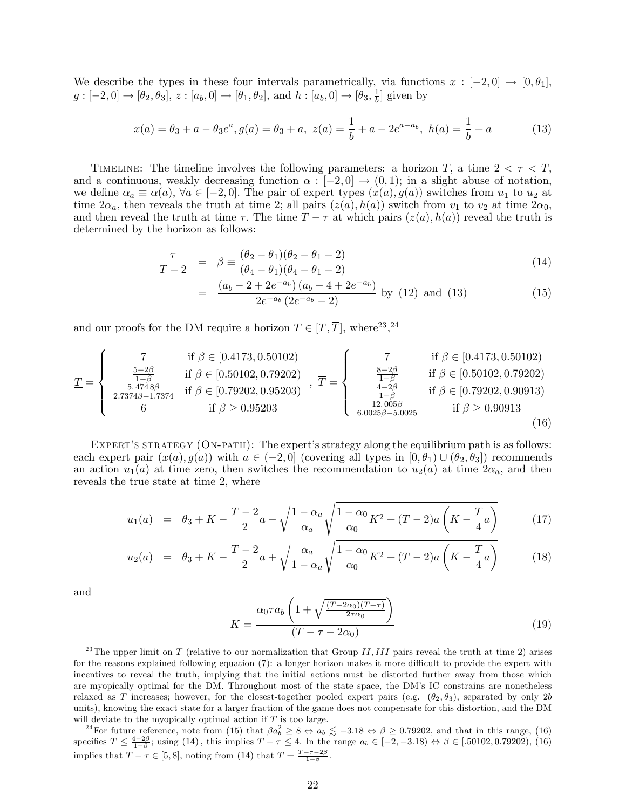We describe the types in these four intervals parametrically, via functions  $x : [-2, 0] \rightarrow [0, \theta_1],$  $g: [-2,0] \to [\theta_2, \theta_3], z: [a_b, 0] \to [\theta_1, \theta_2],$  and  $h: [a_b, 0] \to [\theta_3, \frac{1}{b}]$  $\frac{1}{b}$  given by

$$
x(a) = \theta_3 + a - \theta_3 e^a, g(a) = \theta_3 + a, \ z(a) = \frac{1}{b} + a - 2e^{a - a_b}, \ h(a) = \frac{1}{b} + a \tag{13}
$$

TIMELINE: The timeline involves the following parameters: a horizon T, a time  $2 < \tau < T$ , and a continuous, weakly decreasing function  $\alpha : [-2, 0] \to (0, 1)$ ; in a slight abuse of notation, we define  $\alpha_a \equiv \alpha(a)$ ,  $\forall a \in [-2, 0]$ . The pair of expert types  $(x(a), g(a))$  switches from  $u_1$  to  $u_2$  at time  $2\alpha_a$ , then reveals the truth at time 2; all pairs  $(z(a), h(a))$  switch from  $v_1$  to  $v_2$  at time  $2\alpha_0$ , and then reveal the truth at time  $\tau$ . The time  $T - \tau$  at which pairs  $(z(a), h(a))$  reveal the truth is determined by the horizon as follows:

$$
\frac{\tau}{T - 2} = \beta \equiv \frac{(\theta_2 - \theta_1)(\theta_2 - \theta_1 - 2)}{(\theta_4 - \theta_1)(\theta_4 - \theta_1 - 2)}
$$
(14)

$$
= \frac{(a_b - 2 + 2e^{-a_b})(a_b - 4 + 2e^{-a_b})}{2e^{-a_b}(2e^{-a_b} - 2)}
$$
 by (12) and (13) (15)

and our proofs for the DM require a horizon  $T \in [\underline{T}, \overline{T}]$ , where<sup>23</sup>,<sup>24</sup>

$$
\underline{T} = \begin{cases}\n7 & \text{if } \beta \in [0.4173, 0.50102) \\
\frac{5-2\beta}{1-\beta} & \text{if } \beta \in [0.50102, 0.79202) \\
\frac{5.4748\beta}{2.7374\beta - 1.7374} & \text{if } \beta \in [0.79202, 0.95203)\n\end{cases}, \ \overline{T} = \begin{cases}\n7 & \text{if } \beta \in [0.4173, 0.50102) \\
\frac{8-2\beta}{1-\beta} & \text{if } \beta \in [0.50102, 0.79202) \\
\frac{4-2\beta}{1-\beta} & \text{if } \beta \in [0.79202, 0.90913) \\
\frac{12.005\beta}{6.0025\beta - 5.0025} & \text{if } \beta \ge 0.90913\n\end{cases}
$$
\n(16)

EXPERT'S STRATEGY  $(ON-PATH)$ : The expert's strategy along the equilibrium path is as follows: each expert pair  $(x(a), g(a))$  with  $a \in (-2, 0]$  (covering all types in  $[0, \theta_1) \cup (\theta_2, \theta_3]$ ) recommends an action  $u_1(a)$  at time zero, then switches the recommendation to  $u_2(a)$  at time  $2\alpha_a$ , and then reveals the true state at time 2, where

$$
u_1(a) = \theta_3 + K - \frac{T - 2}{2}a - \sqrt{\frac{1 - \alpha_a}{\alpha_a}} \sqrt{\frac{1 - \alpha_0}{\alpha_0} K^2 + (T - 2)a \left( K - \frac{T}{4} a \right)}
$$
(17)

$$
u_2(a) = \theta_3 + K - \frac{T - 2}{2}a + \sqrt{\frac{\alpha_a}{1 - \alpha_a}} \sqrt{\frac{1 - \alpha_0}{\alpha_0} K^2 + (T - 2)a \left( K - \frac{T}{4} a \right)}
$$
(18)

and

$$
K = \frac{\alpha_0 \tau a_b \left( 1 + \sqrt{\frac{(T - 2\alpha_0)(T - \tau)}{2\tau \alpha_0}} \right)}{(T - \tau - 2\alpha_0)}
$$
(19)

<sup>&</sup>lt;sup>23</sup>The upper limit on T (relative to our normalization that Group II, III pairs reveal the truth at time 2) arises for the reasons explained following equation  $(7)$ : a longer horizon makes it more difficult to provide the expert with incentives to reveal the truth, implying that the initial actions must be distorted further away from those which are myopically optimal for the DM. Throughout most of the state space, the DM's IC constrains are nonetheless relaxed as T increases; however, for the closest-together pooled expert pairs (e.g.  $(\theta_2, \theta_3)$ , separated by only 2b units), knowing the exact state for a larger fraction of the game does not compensate for this distortion, and the DM will deviate to the myopically optimal action if  $T$  is too large.

<sup>&</sup>lt;sup>24</sup> For future reference, note from (15) that  $\beta a_b^2 \geq 8 \Leftrightarrow a_b \lesssim -3.18 \Leftrightarrow \beta \geq 0.79202$ , and that in this range, (16) specifies  $\overline{T} \leq \frac{4-2\beta}{1-\beta}$ ; using (14), this implies  $T - \tau \leq 4$ . In the range  $a_b \in [-2, -3.18) \Leftrightarrow \beta \in [.50102, 0.79202)$ , (16) implies that  $T - \tau \in [5, 8]$ , noting from (14) that  $T = \frac{T - \tau - 2\beta}{1 - \beta}$ .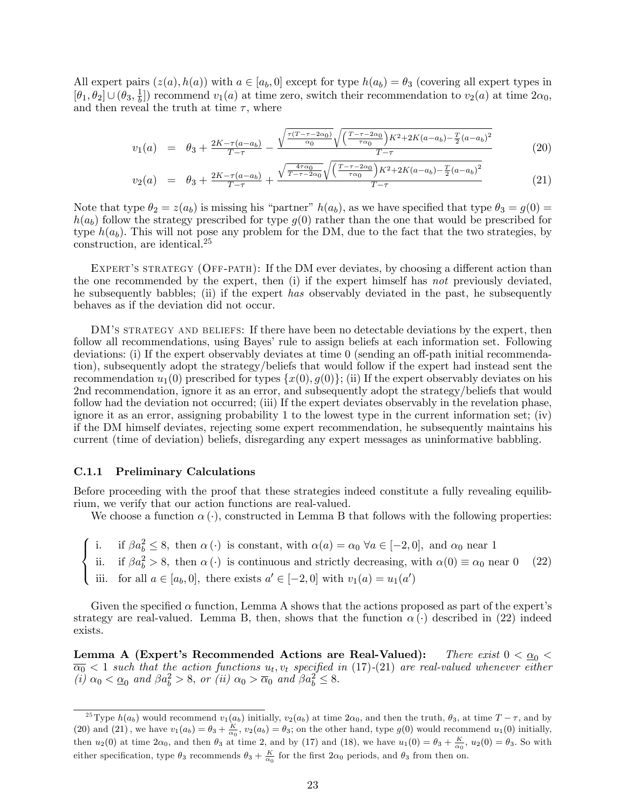All expert pairs  $(z(a), h(a))$  with  $a \in [a_b, 0]$  except for type  $h(a_b) = \theta_3$  (covering all expert types in  $[\theta_1, \theta_2] \cup (\theta_3, \frac{1}{b})$  $\frac{1}{b}$ ) recommend  $v_1(a)$  at time zero, switch their recommendation to  $v_2(a)$  at time  $2\alpha_0$ , and then reveal the truth at time  $\tau$ , where

$$
v_1(a) = \theta_3 + \frac{2K - \tau(a - a_b)}{T - \tau} - \frac{\sqrt{\frac{\tau(T - \tau - 2\alpha_0)}{\alpha_0}} \sqrt{\left(\frac{T - \tau - 2\alpha_0}{\tau \alpha_0}\right) K^2 + 2K(a - a_b) - \frac{T}{2}(a - a_b)^2}}{T - \tau}
$$
(20)

$$
v_2(a) = \theta_3 + \frac{2K - \tau(a - a_b)}{T - \tau} + \frac{\sqrt{\frac{4\tau a_0}{T - \tau - 2a_0}} \sqrt{\left(\frac{T - \tau - 2a_0}{\tau a_0}\right)K^2 + 2K(a - a_b) - \frac{T}{2}(a - a_b)^2}}{T - \tau}
$$
(21)

Note that type  $\theta_2 = z(a_b)$  is missing his "partner"  $h(a_b)$ , as we have specified that type  $\theta_3 = g(0)$  =  $h(a_b)$  follow the strategy prescribed for type  $g(0)$  rather than the one that would be prescribed for type  $h(a_b)$ . This will not pose any problem for the DM, due to the fact that the two strategies, by construction, are identical.<sup>25</sup>

EXPERT'S STRATEGY (OFF-PATH): If the DM ever deviates, by choosing a different action than the one recommended by the expert, then (i) if the expert himself has not previously deviated, he subsequently babbles; (ii) if the expert has observably deviated in the past, he subsequently behaves as if the deviation did not occur.

DM's STRATEGY AND BELIEFS: If there have been no detectable deviations by the expert, then follow all recommendations, using Bayes' rule to assign beliefs at each information set. Following deviations: (i) If the expert observably deviates at time  $0$  (sending an off-path initial recommendation), subsequently adopt the strategy/beliefs that would follow if the expert had instead sent the recommendation  $u_1(0)$  prescribed for types  $\{x(0), g(0)\}$ ; (ii) If the expert observably deviates on his 2nd recommendation, ignore it as an error, and subsequently adopt the strategy/beliefs that would follow had the deviation not occurred; (iii) If the expert deviates observably in the revelation phase, ignore it as an error, assigning probability 1 to the lowest type in the current information set; (iv) if the DM himself deviates, rejecting some expert recommendation, he subsequently maintains his current (time of deviation) beliefs, disregarding any expert messages as uninformative babbling.

#### C.1.1 Preliminary Calculations

Before proceeding with the proof that these strategies indeed constitute a fully revealing equilibrium, we verify that our action functions are real-valued.

We choose a function  $\alpha(\cdot)$ , constructed in Lemma B that follows with the following properties:

 $\sqrt{2}$  $\int$  $\downarrow$ i. if  $\beta a_b^2 \leq 8$ , then  $\alpha(\cdot)$  is constant, with  $\alpha(a) = \alpha_0 \,\forall a \in [-2, 0]$ , and  $\alpha_0$  near 1 ii. if  $\beta a_b^2 > 8$ , then  $\alpha(\cdot)$  is continuous and strictly decreasing, with  $\alpha(0) \equiv \alpha_0$  near 0 iii. for all  $a \in [a_b, 0]$ , there exists  $a' \in [-2, 0]$  with  $v_1(a) = u_1(a')$ (22)

Given the specified  $\alpha$  function, Lemma A shows that the actions proposed as part of the expert's strategy are real-valued. Lemma B, then, shows that the function  $\alpha(\cdot)$  described in (22) indeed exists.

Lemma A (Expert's Recommended Actions are Real-Valued): There exist  $0 < \underline{\alpha}_0 <$  $\overline{\alpha_0}$  < 1 such that the action functions  $u_t$ ,  $v_t$  specified in (17)-(21) are real-valued whenever either (*i*)  $\alpha_0 < \underline{\alpha}_0$  and  $\beta a_b^2 > 8$ , or (*ii*)  $\alpha_0 > \overline{\alpha}_0$  and  $\beta a_b^2 \leq 8$ .

<sup>&</sup>lt;sup>25</sup>Type  $h(a_b)$  would recommend  $v_1(a_b)$  initially,  $v_2(a_b)$  at time  $2\alpha_0$ , and then the truth,  $\theta_3$ , at time  $T-\tau$ , and by (20) and (21), we have  $v_1(a_b) = \theta_3 + \frac{K}{\alpha_0}$ ,  $v_2(a_b) = \theta_3$ ; on the other hand, type  $g(0)$  would recommend  $u_1(0)$  initially, then  $u_2(0)$  at time  $2\alpha_0$ , and then  $\theta_3$  at time 2, and by (17) and (18), we have  $u_1(0) = \theta_3 + \frac{K}{\alpha_2}$ ,  $u_2(0) = \theta_3$ . So with either specification, type  $\theta_3$  recommends  $\theta_3 + \frac{K}{\alpha_0}$  for the first  $2\alpha_0$  periods, and  $\theta_3$  from then on.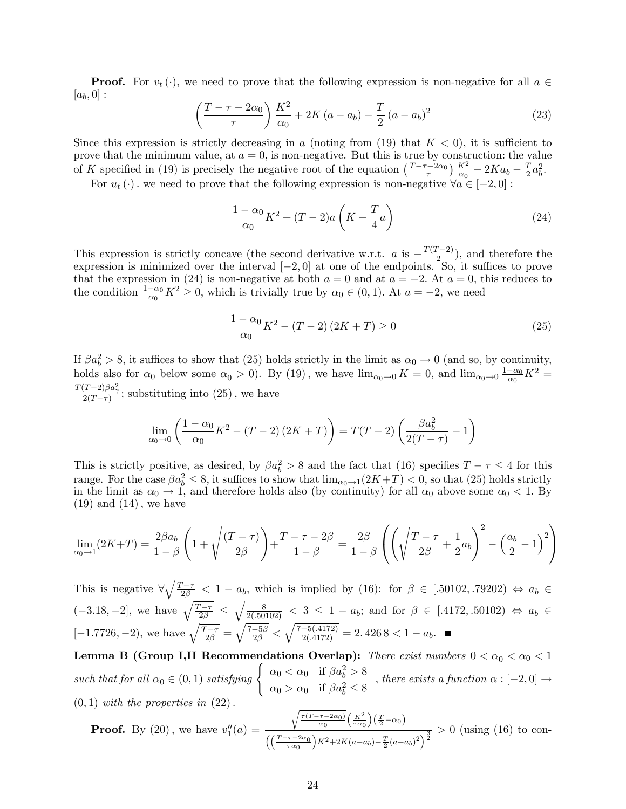**Proof.** For  $v_t(\cdot)$ , we need to prove that the following expression is non-negative for all  $a \in$  $[a_b, 0]$ :

$$
\left(\frac{T-\tau-2\alpha_0}{\tau}\right)\frac{K^2}{\alpha_0} + 2K\left(a-a_b\right) - \frac{T}{2}\left(a-a_b\right)^2\tag{23}
$$

Since this expression is strictly decreasing in a (noting from (19) that  $K < 0$ ), it is sufficient to prove that the minimum value, at  $a = 0$ , is non-negative. But this is true by construction: the value of K specified in (19) is precisely the negative root of the equation  $\left(\frac{T-\tau-2\alpha_0}{\tau}\right)\frac{K^2}{\alpha_0}-2Ka_b-\frac{T}{2}$  $rac{T}{2}a_b^2$ .

For  $u_t(\cdot)$ , we need to prove that the following expression is non-negative  $\forall a \in [-2, 0]$ :

$$
\frac{1-\alpha_0}{\alpha_0}K^2 + (T-2)a\left(K - \frac{T}{4}a\right)
$$
\n(24)

This expression is strictly concave (the second derivative w.r.t. a is  $-\frac{T(T-2)}{2}$ ), and therefore the expression is minimized over the interval  $[-2, 0]$  at one of the endpoints. So, it suffices to prove that the expression in (24) is non-negative at both  $a = 0$  and at  $a = -2$ . At  $a = 0$ , this reduces to the condition  $\frac{1-\alpha_0}{\alpha_0}K^2 \geq 0$ , which is trivially true by  $\alpha_0 \in (0,1)$ . At  $a = -2$ , we need

$$
\frac{1 - \alpha_0}{\alpha_0} K^2 - (T - 2)(2K + T) \ge 0
$$
\n(25)

If  $\beta a_b^2 > 8$ , it suffices to show that (25) holds strictly in the limit as  $\alpha_0 \to 0$  (and so, by continuity, holds also for  $\alpha_0$  below some  $\underline{\alpha}_0 > 0$ . By (19), we have  $\lim_{\alpha_0 \to 0} K = 0$ , and  $\lim_{\alpha_0 \to 0} \frac{1-\alpha_0}{\alpha_0} K^2 =$  $\frac{T(T-2)\beta a_{\gamma}^2}{2(T-\tau)}$ ; substituting into (25), we have

$$
\lim_{\alpha_0 \to 0} \left( \frac{1 - \alpha_0}{\alpha_0} K^2 - (T - 2)(2K + T) \right) = T(T - 2) \left( \frac{\beta a_b^2}{2(T - \tau)} - 1 \right)
$$

This is strictly positive, as desired, by  $\beta a_b^2 > 8$  and the fact that (16) specifies  $T - \tau \leq 4$  for this range. For the case  $\beta a_b^2 \leq 8$ , it suffices to show that  $\lim_{\alpha_0 \to 1} (2K+T) < 0$ , so that (25) holds strictly in the limit as  $\alpha_0 \to 1$ , and therefore holds also (by continuity) for all  $\alpha_0$  above some  $\overline{\alpha_0} < 1$ . By  $(19)$  and  $(14)$ , we have

$$
\lim_{\alpha_0 \to 1} (2K + T) = \frac{2\beta a_b}{1 - \beta} \left( 1 + \sqrt{\frac{(T - \tau)}{2\beta}} \right) + \frac{T - \tau - 2\beta}{1 - \beta} = \frac{2\beta}{1 - \beta} \left( \left( \sqrt{\frac{T - \tau}{2\beta}} + \frac{1}{2} a_b \right)^2 - \left( \frac{a_b}{2} - 1 \right)^2 \right)
$$

This is negative  $\forall \sqrt{\frac{T-\tau}{2\beta}} < 1 - a_b$ , which is implied by (16): for  $\beta \in [.50102, .79202) \Leftrightarrow a_b \in$  $(-3.18, -2]$ , we have  $\sqrt{\frac{T-\tau}{2\beta}} \leq$  $\sqrt{\frac{8}{2(.50102)}}$  < 3  $\leq$  1 – a<sub>b</sub>; and for  $\beta \in [.4172, .50102) \Leftrightarrow a_b \in$  $[-1.7726, -2)$ , we have  $\sqrt{\frac{T-\tau}{2\beta}} = \sqrt{\frac{7-5\beta}{2\beta}} < \sqrt{\frac{7-5(0.4172)}{2(0.4172)}} = 2.4268 < 1 - a_b$ .

Lemma B (Group I,II Recommendations Overlap): *There exist numbers*  $0 < \underline{\alpha}_0 < \overline{\alpha_0} < 1$ such that for all  $\alpha_0 \in (0,1)$  satisfying  $\begin{cases} \alpha_0 < \alpha_0 & \text{if } \beta a_0^2 > 8 \\ \alpha_0 > \overline{\alpha_0} & \text{if } \beta a^2 < 8 \end{cases}$  $\alpha_0 > \overline{\alpha_0}$  if  $\beta a_b^2 \le 8$ , there exists a function  $\alpha : [-2, 0] \rightarrow$  $(0, 1)$  with the properties in  $(22)$ .

**Proof.** By (20), we have 
$$
v''_1(a) = \frac{\sqrt{\frac{\tau(T-\tau-2\alpha_0)}{\alpha_0}} \left(\frac{K^2}{\tau\alpha_0}\right) \left(\frac{T}{2}-\alpha_0\right)}{\left(\left(\frac{T-\tau-2\alpha_0}{\tau\alpha_0}\right)K^2 + 2K(a-a_b) - \frac{T}{2}(a-a_b)^2\right)^{\frac{3}{2}}} > 0
$$
 (using (16) to con-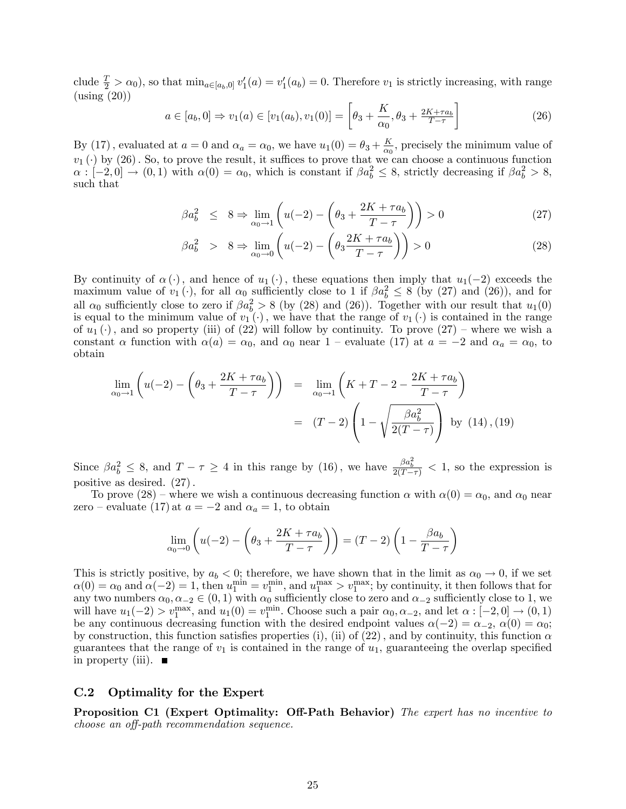clude  $\frac{T}{2} > \alpha_0$ , so that  $\min_{a \in [a_b, 0]} v_1'(a) = v_1'(a_b) = 0$ . Therefore  $v_1$  is strictly increasing, with range (using (20))

$$
a \in [a_b, 0] \Rightarrow v_1(a) \in [v_1(a_b), v_1(0)] = \left[\theta_3 + \frac{K}{\alpha_0}, \theta_3 + \frac{2K + \tau a_b}{T - \tau}\right]
$$
\n(26)

By (17), evaluated at  $a = 0$  and  $\alpha_a = \alpha_0$ , we have  $u_1(0) = \theta_3 + \frac{K}{\alpha_0}$  $\frac{K}{\alpha_0}$ , precisely the minimum value of  $v_1(\cdot)$  by (26). So, to prove the result, it suffices to prove that we can choose a continuous function  $\alpha: [-2,0] \to (0,1)$  with  $\alpha(0) = \alpha_0$ , which is constant if  $\beta a_b^2 \le 8$ , strictly decreasing if  $\beta a_b^2 > 8$ , such that

$$
\beta a_b^2 \le 8 \Rightarrow \lim_{\alpha_0 \to 1} \left( u(-2) - \left( \theta_3 + \frac{2K + \tau a_b}{T - \tau} \right) \right) > 0 \tag{27}
$$

$$
\beta a_b^2 > 8 \Rightarrow \lim_{\alpha_0 \to 0} \left( u(-2) - \left( \theta_3 \frac{2K + \tau a_b}{T - \tau} \right) \right) > 0 \tag{28}
$$

By continuity of  $\alpha(\cdot)$ , and hence of  $u_1(\cdot)$ , these equations then imply that  $u_1(-2)$  exceeds the maximum value of  $v_1(\cdot)$ , for all  $\alpha_0$  sufficiently close to 1 if  $\beta a_b^2 \leq 8$  (by (27) and (26)), and for all  $\alpha_0$  sufficiently close to zero if  $\beta a_b^2 > 8$  (by (28) and (26)). Together with our result that  $u_1(0)$ is equal to the minimum value of  $v_1(\cdot)$ , we have that the range of  $v_1(\cdot)$  is contained in the range of  $u_1(\cdot)$ , and so property (iii) of (22) will follow by continuity. To prove (27) – where we wish a constant  $\alpha$  function with  $\alpha(a) = \alpha_0$ , and  $\alpha_0$  near 1 – evaluate (17) at  $a = -2$  and  $\alpha_a = \alpha_0$ , to obtain

$$
\lim_{\alpha_0 \to 1} \left( u(-2) - \left( \theta_3 + \frac{2K + \tau a_b}{T - \tau} \right) \right) = \lim_{\alpha_0 \to 1} \left( K + T - 2 - \frac{2K + \tau a_b}{T - \tau} \right)
$$

$$
= (T - 2) \left( 1 - \sqrt{\frac{\beta a_b^2}{2(T - \tau)}} \right) \text{ by (14), (19)}
$$

Since  $\beta a_b^2 \leq 8$ , and  $T - \tau \geq 4$  in this range by (16), we have  $\frac{\beta a_b^2}{2(T-\tau)} < 1$ , so the expression is positive as desired.  $(27)$ .

To prove (28) – where we wish a continuous decreasing function  $\alpha$  with  $\alpha(0) = \alpha_0$ , and  $\alpha_0$  near zero – evaluate (17) at  $a = -2$  and  $\alpha_a = 1$ , to obtain

$$
\lim_{\alpha_0 \to 0} \left( u(-2) - \left( \theta_3 + \frac{2K + \tau a_b}{T - \tau} \right) \right) = (T - 2) \left( 1 - \frac{\beta a_b}{T - \tau} \right)
$$

This is strictly positive, by  $a_b < 0$ ; therefore, we have shown that in the limit as  $\alpha_0 \to 0$ , if we set  $\alpha(0) = \alpha_0$  and  $\alpha(-2) = 1$ , then  $u_1^{\text{min}} = v_1^{\text{min}}$ , and  $u_1^{\text{max}} > v_1^{\text{max}}$ ; by continuity, it then follows that for any two numbers  $\alpha_0, \alpha_{-2} \in (0, 1)$  with  $\alpha_0$  sufficiently close to zero and  $\alpha_{-2}$  sufficiently close to 1, we will have  $u_1(-2) > v_1^{\text{max}}$ , and  $u_1(0) = v_1^{\text{min}}$ . Choose such a pair  $\alpha_0, \alpha_{-2}$ , and let  $\alpha : [-2, 0] \rightarrow (0, 1)$ be any continuous decreasing function with the desired endpoint values  $\alpha(-2) = \alpha_{-2}, \alpha(0) = \alpha_0;$ by construction, this function satisfies properties (i), (ii) of (22), and by continuity, this function  $\alpha$ guarantees that the range of  $v_1$  is contained in the range of  $u_1$ , guaranteeing the overlap specified in property (iii).  $\blacksquare$ 

#### C.2 Optimality for the Expert

**Proposition C1 (Expert Optimality: Off-Path Behavior)** The expert has no incentive to choose an off-path recommendation sequence.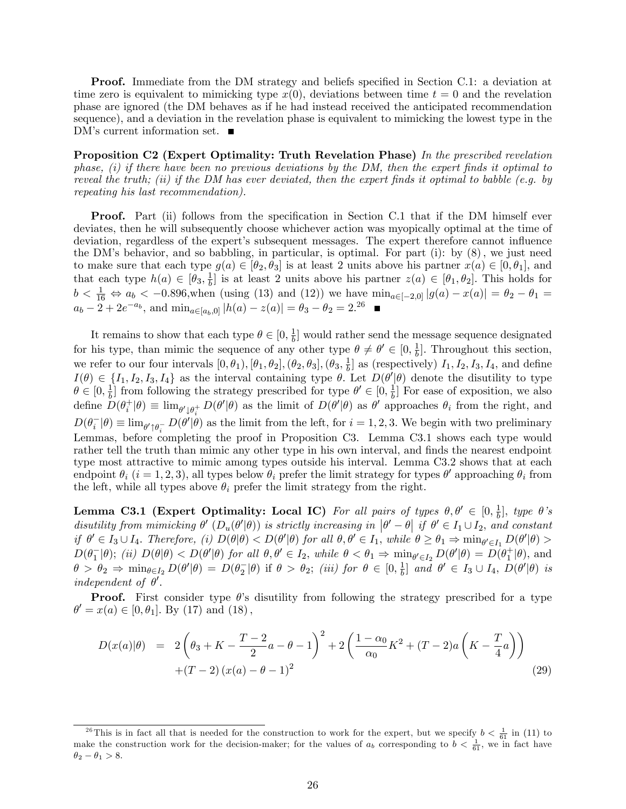**Proof.** Immediate from the DM strategy and beliefs specified in Section C.1: a deviation at time zero is equivalent to mimicking type  $x(0)$ , deviations between time  $t = 0$  and the revelation phase are ignored (the DM behaves as if he had instead received the anticipated recommendation sequence), and a deviation in the revelation phase is equivalent to mimicking the lowest type in the DM's current information set.  $\blacksquare$ 

Proposition C2 (Expert Optimality: Truth Revelation Phase) In the prescribed revelation phase,  $(i)$  if there have been no previous deviations by the DM, then the expert finds it optimal to reveal the truth; (ii) if the DM has ever deviated, then the expert finds it optimal to babble (e.g. by repeating his last recommendation).

**Proof.** Part (ii) follows from the specification in Section C.1 that if the DM himself ever deviates, then he will subsequently choose whichever action was myopically optimal at the time of deviation, regardless of the expert's subsequent messages. The expert therefore cannot influence the DM's behavior, and so babbling, in particular, is optimal. For part (i): by  $(8)$ , we just need to make sure that each type  $g(a) \in [\theta_2, \theta_3]$  is at least 2 units above his partner  $x(a) \in [0, \theta_1]$ , and that each type  $h(a) \in [\theta_3, \frac{1}{b}]$  $\frac{1}{b}$  is at least 2 units above his partner  $z(a) \in [\theta_1, \theta_2]$ . This holds for  $b < \frac{1}{16} \Leftrightarrow a_b < -0.896$ , when (using (13) and (12)) we have  $\min_{a \in [-2,0]} |g(a) - x(a)| = \theta_2 - \theta_1 =$  $a_b - 2 + 2e^{-a_b}$ , and  $\min_{a \in [a_b, 0]} |h(a) - z(a)| = \theta_3 - \theta_2 = 2^{26}$ 

It remains to show that each type  $\theta \in [0, \frac{1}{b}]$  $\frac{1}{b}$  would rather send the message sequence designated for his type, than mimic the sequence of any other type  $\theta \neq \theta' \in [0, \frac{1}{b}]$  $\frac{1}{b}$ . Throughout this section, we refer to our four intervals  $[0, \theta_1), [\theta_1, \theta_2], (\theta_2, \theta_3], (\theta_3, \frac{1}{b})$  $\frac{1}{b}$  as (respectively)  $I_1, I_2, I_3, I_4$ , and define  $I(\theta) \in \{I_1, I_2, I_3, I_4\}$  as the interval containing type  $\theta$ . Let  $D(\theta'|\theta)$  denote the disutility to type  $\theta \in [0, \frac{1}{b}]$  $\frac{1}{b}$ ] from following the strategy prescribed for type  $\theta' \in [0, \frac{1}{b}]$  $\frac{1}{b}$  For ease of exposition, we also define  $D(\theta_i^+|\theta) \equiv \lim_{\theta' \downarrow \theta_i^+} D(\theta'|\theta)$  as the limit of  $D(\theta'|\theta)$  as  $\theta'$  approaches  $\theta_i$  from the right, and  $D(\theta_i^-|\theta) \equiv \lim_{\theta' \uparrow \theta_i^-} D(\theta'|\theta)$  as the limit from the left, for  $i = 1, 2, 3$ . We begin with two preliminary Lemmas, before completing the proof in Proposition C3. Lemma C3.1 shows each type would rather tell the truth than mimic any other type in his own interval, and finds the nearest endpoint type most attractive to mimic among types outside his interval. Lemma C3.2 shows that at each endpoint  $\theta_i$  (i = 1, 2, 3), all types below  $\theta_i$  prefer the limit strategy for types  $\theta'$  approaching  $\theta_i$  from the left, while all types above  $\theta_i$  prefer the limit strategy from the right.

Lemma C3.1 (Expert Optimality: Local IC) For all pairs of types  $\theta, \theta' \in [0, \frac{1}{b}]$  $\frac{1}{b}$ , type  $\theta$ 's disutility from mimicking  $\theta' (D_u(\theta'|\theta))$  is strictly increasing in  $|\theta' - \theta|$  if  $\theta' \in I_1 \cup I_2$ , and constant if  $\theta' \in I_3 \cup I_4$ . Therefore, (i)  $D(\theta|\theta) < D(\theta'|\theta)$  for all  $\theta, \theta' \in I_1$ , while  $\theta \ge \theta_1 \Rightarrow \min_{\theta' \in I_1} D(\theta'|\theta) >$  $D(\theta_1^-\|\theta)$ ; (ii)  $D(\theta|\theta) < D(\theta'|\theta)$  for all  $\theta, \theta' \in I_2$ , while  $\theta < \theta_1 \Rightarrow \min_{\theta' \in I_2} D(\theta'|\theta) = D(\theta_1^+|\theta)$ , and  $\theta > \theta_2 \Rightarrow \min_{\theta \in I_2} D(\theta'|\theta) = D(\theta_2^-|\theta)$  if  $\theta > \theta_2$ ; (iii) for  $\theta \in [0, \frac{1}{b}]$  $\left[\frac{1}{b}\right]$  and  $\theta' \in I_3 \cup I_4$ ,  $D(\theta'|\theta)$  is independent of  $\theta'$ .

**Proof.** First consider type  $\theta$ 's disutility from following the strategy prescribed for a type  $\theta' = x(a) \in [0, \theta_1].$  By (17) and (18),

$$
D(x(a)|\theta) = 2\left(\theta_3 + K - \frac{T-2}{2}a - \theta - 1\right)^2 + 2\left(\frac{1-\alpha_0}{\alpha_0}K^2 + (T-2)a\left(K - \frac{T}{4}a\right)\right) + (T-2)(x(a) - \theta - 1)^2
$$
\n(29)

<sup>&</sup>lt;sup>26</sup>This is in fact all that is needed for the construction to work for the expert, but we specify  $b < \frac{1}{61}$  in (11) to make the construction work for the decision-maker; for the values of  $a_b$  corresponding to  $b < \frac{1}{61}$ , we in fact have  $\theta_2 - \theta_1 > 8.$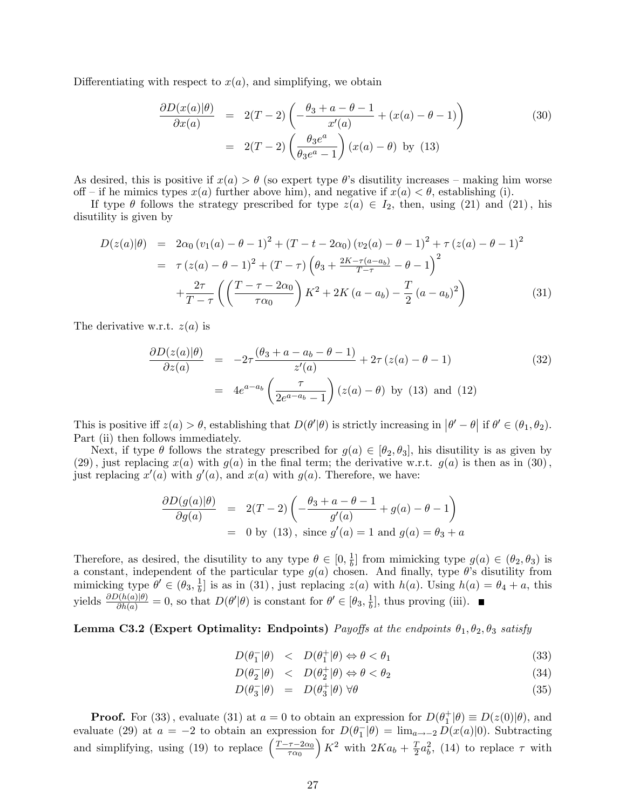Differentiating with respect to  $x(a)$ , and simplifying, we obtain

$$
\frac{\partial D(x(a)|\theta)}{\partial x(a)} = 2(T-2)\left(-\frac{\theta_3 + a - \theta - 1}{x'(a)} + (x(a) - \theta - 1)\right)
$$
(30)  

$$
= 2(T-2)\left(\frac{\theta_3 e^a}{\theta_3 e^a - 1}\right)(x(a) - \theta) \text{ by (13)}
$$

As desired, this is positive if  $x(a) > \theta$  (so expert type  $\theta$ 's disutility increases – making him worse off – if he mimics types  $x(a)$  further above him), and negative if  $x(a) < \theta$ , establishing (i).

If type  $\theta$  follows the strategy prescribed for type  $z(a) \in I_2$ , then, using (21) and (21), his disutility is given by

$$
D(z(a)|\theta) = 2\alpha_0 (v_1(a) - \theta - 1)^2 + (T - t - 2\alpha_0) (v_2(a) - \theta - 1)^2 + \tau (z(a) - \theta - 1)^2
$$
  
=  $\tau (z(a) - \theta - 1)^2 + (T - \tau) \left(\theta_3 + \frac{2K - \tau(a - a_b)}{T - \tau} - \theta - 1\right)^2$   
+  $\frac{2\tau}{T - \tau} \left(\left(\frac{T - \tau - 2\alpha_0}{\tau\alpha_0}\right) K^2 + 2K (a - a_b) - \frac{T}{2} (a - a_b)^2\right)$  (31)

The derivative w.r.t.  $z(a)$  is

$$
\frac{\partial D(z(a)|\theta)}{\partial z(a)} = -2\tau \frac{(\theta_3 + a - a_b - \theta - 1)}{z'(a)} + 2\tau (z(a) - \theta - 1)
$$
\n
$$
= 4e^{a - a_b} \left(\frac{\tau}{2e^{a - a_b} - 1}\right) (z(a) - \theta) \text{ by (13) and (12)}
$$
\n(32)

This is positive iff  $z(a) > \theta$ , establishing that  $D(\theta'|\theta)$  is strictly increasing in  $|\theta' - \theta|$  if  $\theta' \in (\theta_1, \theta_2)$ . Part (ii) then follows immediately.

Next, if type  $\theta$  follows the strategy prescribed for  $g(a) \in [\theta_2, \theta_3]$ , his disutility is as given by (29), just replacing  $x(a)$  with  $g(a)$  in the final term; the derivative w.r.t.  $g(a)$  is then as in (30), just replacing  $x'(a)$  with  $g'(a)$ , and  $x(a)$  with  $g(a)$ . Therefore, we have:

$$
\frac{\partial D(g(a)|\theta)}{\partial g(a)} = 2(T-2)\left(-\frac{\theta_3 + a - \theta - 1}{g'(a)} + g(a) - \theta - 1\right)
$$
  
= 0 by (13), since  $g'(a) = 1$  and  $g(a) = \theta_3 + a$ 

Therefore, as desired, the disutility to any type  $\theta \in [0, \frac{1}{b}]$  $\frac{1}{b}$  from mimicking type  $g(a) \in (\theta_2, \theta_3)$  is a constant, independent of the particular type  $g(a)$  chosen. And finally, type  $\theta$ 's disutility from mimicking type  $\theta' \in (\theta_3, \frac{1}{b})$  $\frac{1}{b}$  is as in (31), just replacing  $z(a)$  with  $h(a)$ . Using  $h(a) = \theta_4 + a$ , this yields  $\frac{\partial D(h(a)|\theta)}{\partial h(a)} = 0$ , so that  $D(\theta'|\theta)$  is constant for  $\theta' \in [\theta_3, \frac{1}{b}]$  $\frac{1}{b}$ , thus proving (iii).

Lemma C3.2 (Expert Optimality: Endpoints) Payoffs at the endpoints  $\theta_1, \theta_2, \theta_3$  satisfy

$$
D(\theta_1^-|\theta) \quad < \quad D(\theta_1^+|\theta) \Leftrightarrow \theta < \theta_1 \tag{33}
$$

$$
D(\theta_2^-|\theta) \quad < \quad D(\theta_2^+|\theta) \Leftrightarrow \theta < \theta_2 \tag{34}
$$

$$
D(\theta_3^-|\theta) = D(\theta_3^+|\theta) \,\forall \theta \tag{35}
$$

**Proof.** For (33), evaluate (31) at  $a = 0$  to obtain an expression for  $D(\theta_1^+|\theta) \equiv D(z(0)|\theta)$ , and evaluate (29) at  $a = -2$  to obtain an expression for  $D(\theta_1^{-}|\theta) = \lim_{a \to -2} D(x(a)|0)$ . Subtracting and simplifying, using (19) to replace  $\left(\frac{T-\tau-2\alpha_0}{\tau\alpha_0}\right)$  $K^2$  with  $2Ka_b + \frac{7}{2}$  $\frac{T}{2}a_b^2$ , (14) to replace  $\tau$  with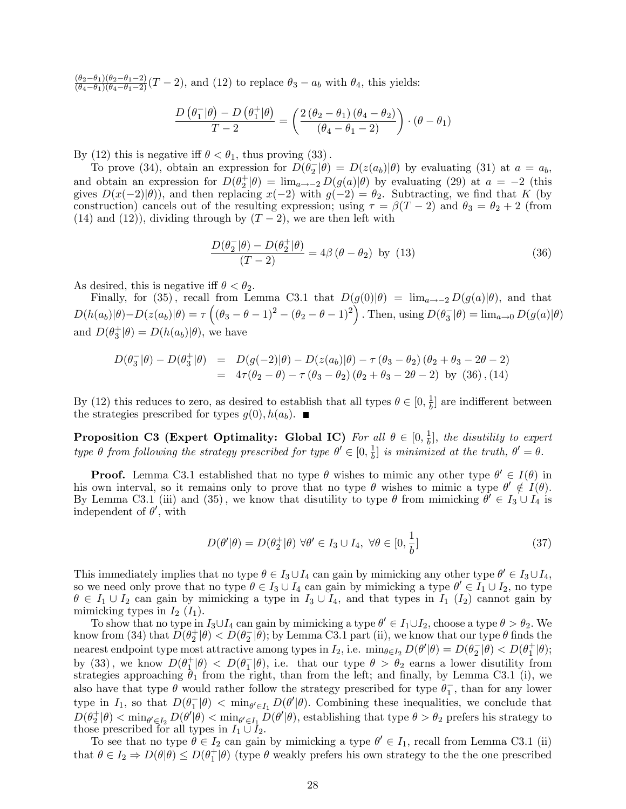$\frac{(\theta_2-\theta_1)(\theta_2-\theta_1-2)}{(\theta_4-\theta_1)(\theta_4-\theta_1-2)}(T-2)$ , and (12) to replace  $\theta_3-a_b$  with  $\theta_4$ , this yields:

$$
\frac{D(\theta_1^-|\theta)-D(\theta_1^+|\theta)}{T-2}=\left(\frac{2(\theta_2-\theta_1)(\theta_4-\theta_2)}{(\theta_4-\theta_1-2)}\right)\cdot(\theta-\theta_1)
$$

By (12) this is negative iff  $\theta < \theta_1$ , thus proving (33).

To prove (34), obtain an expression for  $D(\theta_2^-|\theta) = D(z(a_b)|\theta)$  by evaluating (31) at  $a = a_b$ , and obtain an expression for  $D(\theta_2^+|\theta) = \lim_{a \to -2} D(g(a)|\theta)$  by evaluating (29) at  $a = -2$  (this gives  $D(x(-2)|\theta)$ , and then replacing  $x(-2)$  with  $g(-2) = \theta_2$ . Subtracting, we find that K (by construction) cancels out of the resulting expression; using  $\tau = \beta(T - 2)$  and  $\theta_3 = \theta_2 + 2$  (from (14) and (12)), dividing through by  $(T - 2)$ , we are then left with

$$
\frac{D(\theta_2^-|\theta) - D(\theta_2^+|\theta)}{(T-2)} = 4\beta(\theta - \theta_2) \text{ by (13)}
$$
\n
$$
(36)
$$

As desired, this is negative iff  $\theta < \theta_2$ .

Finally, for (35), recall from Lemma C3.1 that  $D(g(0)|\theta) = \lim_{a\to -2} D(g(a)|\theta)$ , and that  $D(h(a_b)|\theta) - D(z(a_b)|\theta) = \tau \left( (\theta_3 - \theta - 1)^2 - (\theta_2 - \theta - 1)^2 \right)$ . Then, using  $D(\theta_3^-|\theta) = \lim_{a\to 0} D(g(a)|\theta)$ and  $D(\theta_3^+|\theta) = D(h(a_b)|\theta)$ , we have

$$
D(\theta_3^-|\theta) - D(\theta_3^+|\theta) = D(g(-2)|\theta) - D(z(a_b)|\theta) - \tau (\theta_3 - \theta_2) (\theta_2 + \theta_3 - 2\theta - 2)
$$
  
=  $4\tau(\theta_2 - \theta) - \tau (\theta_3 - \theta_2) (\theta_2 + \theta_3 - 2\theta - 2)$  by (36), (14)

By (12) this reduces to zero, as desired to establish that all types  $\theta \in [0, \frac{1}{b}]$  $\frac{1}{b}$  are indifferent between the strategies prescribed for types  $g(0)$ ,  $h(a_b)$ .

Proposition C3 (Expert Optimality: Global IC) For all  $\theta \in [0, \frac{1}{b}]$  $\frac{1}{b}$ , the disutility to expert type  $\theta$  from following the strategy prescribed for type  $\theta' \in [0, \frac{1}{b}]$  $\frac{1}{b}$  is minimized at the truth,  $\theta' = \theta$ .

**Proof.** Lemma C3.1 established that no type  $\theta$  wishes to mimic any other type  $\theta' \in I(\theta)$  in his own interval, so it remains only to prove that no type  $\theta$  wishes to mimic a type  $\theta' \notin I(\theta)$ . By Lemma C3.1 (iii) and (35), we know that disutility to type  $\theta$  from mimicking  $\theta' \in I_3 \cup I_4$  is independent of  $\theta'$ , with

$$
D(\theta'|\theta) = D(\theta_2^+|\theta) \,\forall \theta' \in I_3 \cup I_4, \,\forall \theta \in [0, \frac{1}{b}] \tag{37}
$$

This immediately implies that no type  $\theta \in I_3 \cup I_4$  can gain by mimicking any other type  $\theta' \in I_3 \cup I_4$ , so we need only prove that no type  $\theta \in I_3 \cup I_4$  can gain by mimicking a type  $\theta' \in I_1 \cup I_2$ , no type  $\theta \in I_1 \cup I_2$  can gain by mimicking a type in  $I_3 \cup I_4$ , and that types in  $I_1$  ( $I_2$ ) cannot gain by mimicking types in  $I_2$  ( $I_1$ ).

To show that no type in  $I_3 \cup I_4$  can gain by mimicking a type  $\theta' \in I_1 \cup I_2$ , choose a type  $\theta > \theta_2$ . We know from (34) that  $D(\theta_2^+|\theta) < D(\theta_2^-|\theta)$ ; by Lemma C3.1 part (ii), we know that our type  $\theta$  finds the nearest endpoint type most attractive among types in  $I_2$ , i.e.  $\min_{\theta \in I_2} D(\theta'|\theta) = D(\theta_2^-|\theta) < D(\theta_1^+|\theta);$ by (33), we know  $D(\theta_1^+|\theta) < D(\theta_1^-|\theta)$ , i.e. that our type  $\theta > \theta_2$  earns a lower disutility from strategies approaching  $\theta_1$  from the right, than from the left; and finally, by Lemma C3.1 (i), we also have that type  $\theta$  would rather follow the strategy prescribed for type  $\theta_1^-$ , than for any lower type in  $I_1$ , so that  $D(\theta^-|\theta) < \min_{\theta' \in I_1} D(\theta'|\theta)$ . Combining these inequalities, we conclude that  $D(\theta_2^+|\theta) < \min_{\theta' \in I_2} D(\theta'|\theta) < \min_{\theta' \in I_1} D(\theta'|\theta)$ , establishing that type  $\theta > \theta_2$  prefers his strategy to those prescribed for all types in  $I_1 \cup I_2$ .

To see that no type  $\theta \in I_2$  can gain by mimicking a type  $\theta' \in I_1$ , recall from Lemma C3.1 (ii) that  $\theta \in I_2 \Rightarrow D(\theta|\theta) \le D(\theta|\theta)$  (type  $\theta$  weakly prefers his own strategy to the the one prescribed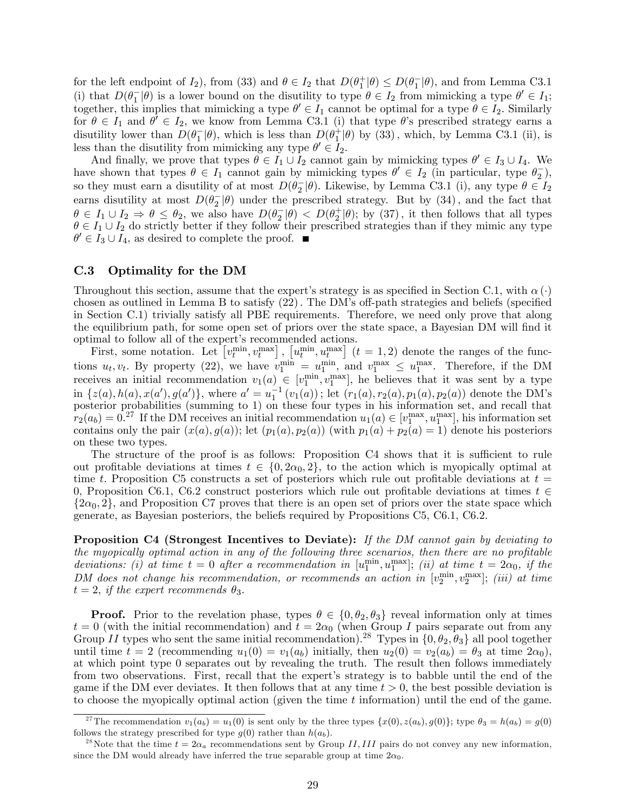for the left endpoint of  $I_2$ ), from (33) and  $\theta \in I_2$  that  $D(\theta_1^+|\theta) \leq D(\theta_1^-|\theta)$ , and from Lemma C3.1 (i) that  $D(\theta_1^-|\theta)$  is a lower bound on the disutility to type  $\theta \in I_2$  from mimicking a type  $\theta' \in I_1$ ; together, this implies that mimicking a type  $\theta' \in I_1$  cannot be optimal for a type  $\theta \in I_2$ . Similarly for  $\theta \in I_1$  and  $\theta' \in I_2$ , we know from Lemma C3.1 (i) that type  $\theta$ 's prescribed strategy earns a disutility lower than  $D(\theta_1^-|\theta)$ , which is less than  $D(\theta_1^+|\theta)$  by (33), which, by Lemma C3.1 (ii), is less than the disutility from mimicking any type  $\theta' \in I_2$ .

And finally, we prove that types  $\theta \in I_1 \cup I_2$  cannot gain by mimicking types  $\theta' \in I_3 \cup I_4$ . We have shown that types  $\theta \in I_1$  cannot gain by mimicking types  $\theta' \in I_2$  (in particular, type  $\theta_2$ ), so they must earn a disutility of at most  $D(\theta_2^-|\theta)$ . Likewise, by Lemma C3.1 (i), any type  $\theta \in I_2$ earns disutility at most  $D(\theta_2^-|\theta)$  under the prescribed strategy. But by (34), and the fact that  $\theta \in I_1 \cup I_2 \Rightarrow \theta \leq \theta_2$ , we also have  $D(\theta_2^{-}|\theta) < D(\theta_2^{+}|\theta)$ ; by (37), it then follows that all types  $\theta \in I_1 \cup I_2$  do strictly better if they follow their prescribed strategies than if they mimic any type  $\theta' \in I_3 \cup I_4$ , as desired to complete the proof.

#### C.3 Optimality for the DM

Throughout this section, assume that the expert's strategy is as specified in Section C.1, with  $\alpha(\cdot)$ chosen as outlined in Lemma B to satisfy  $(22)$ . The DM's off-path strategies and beliefs (specified in Section C.1) trivially satisfy all PBE requirements. Therefore, we need only prove that along the equilibrium path, for some open set of priors over the state space, a Bayesian DM will find it optimal to follow all of the expert's recommended actions.

First, some notation. Let  $[v_t^{\min}, v_t^{\max}]$ ,  $[u_t^{\min}, u_t^{\max}]$   $(t = 1, 2)$  denote the ranges of the functions  $u_t, v_t$ . By property (22), we have  $v_1^{\min} = u_1^{\min}$ , and  $v_1^{\max} \leq u_1^{\max}$ . Therefore, if the DM receives an initial recommendation  $v_1(a) \in [v_1^{\min}, v_1^{\max}]$ , he believes that it was sent by a type in  $\{z(a), h(a), x(a'), g(a')\}$ , where  $a' = u_1^{-1}(v_1(a))$ ; let  $(r_1(a), r_2(a), p_1(a), p_2(a))$  denote the DM's posterior probabilities (summing to 1) on these four types in his information set, and recall that  $r_2(a_b) = 0.^{27}$  If the DM receives an initial recommendation  $u_1(a) \in [v_1^{\max}, u_1^{\max}]$ , his information set contains only the pair  $(x(a), g(a))$ ; let  $(p_1(a), p_2(a))$  (with  $p_1(a) + p_2(a) = 1$ ) denote his posteriors on these two types.

The structure of the proof is as follows: Proposition C4 shows that it is sufficient to rule out profitable deviations at times  $t \in \{0, 2\alpha_0, 2\}$ , to the action which is myopically optimal at time t. Proposition C5 constructs a set of posteriors which rule out profitable deviations at  $t =$ 0, Proposition C6.1, C6.2 construct posteriors which rule out profitable deviations at times  $t \in$  $\{2\alpha_0, 2\}$ , and Proposition C7 proves that there is an open set of priors over the state space which generate, as Bayesian posteriors, the beliefs required by Propositions C5, C6.1, C6.2.

Proposition C4 (Strongest Incentives to Deviate): If the DM cannot gain by deviating to the myopically optimal action in any of the following three scenarios, then there are no profitable deviations: (i) at time  $t = 0$  after a recommendation in  $[u_1^{\min}, u_1^{\max}]$ ; (ii) at time  $t = 2\alpha_0$ , if the DM does not change his recommendation, or recommends an action in  $[v_2^{\min}, v_2^{\max}]$ ; (iii) at time  $t = 2$ , if the expert recommends  $\theta_3$ .

**Proof.** Prior to the revelation phase, types  $\theta \in \{0, \theta_2, \theta_3\}$  reveal information only at times  $t = 0$  (with the initial recommendation) and  $t = 2\alpha_0$  (when Group I pairs separate out from any Group II types who sent the same initial recommendation).<sup>28</sup> Types in  $\{0, \theta_2, \theta_3\}$  all pool together until time  $t = 2$  (recommending  $u_1(0) = v_1(a_b)$  initially, then  $u_2(0) = v_2(a_b) = \theta_3$  at time  $2\alpha_0$ ), at which point type 0 separates out by revealing the truth. The result then follows immediately from two observations. First, recall that the expert's strategy is to babble until the end of the game if the DM ever deviates. It then follows that at any time  $t > 0$ , the best possible deviation is to choose the myopically optimal action (given the time  $t$  information) until the end of the game.

<sup>&</sup>lt;sup>27</sup>The recommendation  $v_1(a_b) = u_1(0)$  is sent only by the three types  $\{x(0), z(a_b), g(0)\}$ ; type  $\theta_3 = h(a_b) = g(0)$ follows the strategy prescribed for type  $g(0)$  rather than  $h(a_b)$ .

<sup>&</sup>lt;sup>28</sup>Note that the time  $t = 2\alpha_a$  recommendations sent by Group II, III pairs do not convey any new information, since the DM would already have inferred the true separable group at time  $2\alpha_0$ .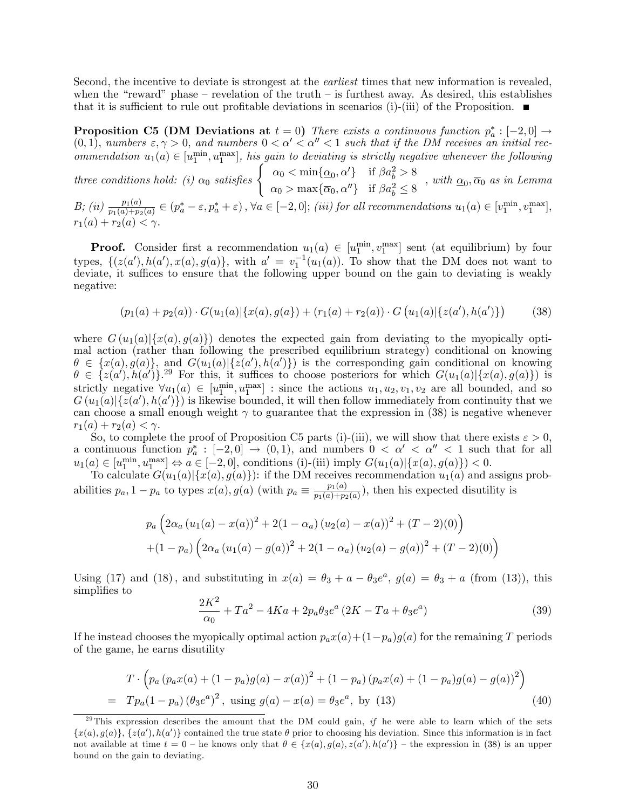Second, the incentive to deviate is strongest at the earliest times that new information is revealed, when the "reward" phase  $-$  revelation of the truth  $-$  is furthest away. As desired, this establishes that it is sufficient to rule out profitable deviations in scenarios (i)-(iii) of the Proposition.

**Proposition C5 (DM Deviations at**  $t = 0$ ) There exists a continuous function  $p_a^*: [-2,0] \rightarrow$  $(0, 1)$ , numbers  $\varepsilon, \gamma > 0$ , and numbers  $0 < \alpha' < \alpha'' < 1$  such that if the DM receives an initial recommendation  $u_1(a) \in [u_1^{\min}, u_1^{\max}]$ , his gain to deviating is strictly negative whenever the following

three conditions hold: (i)  $\alpha_0$  satisfies  $\begin{cases} \alpha_0 < \min{\{\alpha_0, \alpha'\}} & \text{if } \beta a_0^2 > 8 \\ \alpha_0 < \min{\{\alpha_0, \alpha'\}} & \text{if } \beta a_0^2 > 8 \end{cases}$  $\alpha_0 > \max\{\overline{\alpha}_0, \alpha''\}$  if  $\beta a_b^2 \le 8$  $, with \underline{\alpha}_0, \overline{\alpha}_0$  as in Lemma  $B; (ii) \frac{p_1(a)}{p_1(a)+p_2(a)} \in (p_a^*-\varepsilon, p_a^*+\varepsilon), \forall a \in [-2,0]; (iii) \text{ for all recommendations } u_1(a) \in [v_1^{\min}, v_1^{\max}],$  $r_1(a) + r_2(a) < \gamma.$ 

**Proof.** Consider first a recommendation  $u_1(a) \in [u_1^{\min}, v_1^{\max}]$  sent (at equilibrium) by four types,  $\{(z(a'), h(a'), x(a), g(a)\},$  with  $a' = v_1^{-1}(u_1(a))$ . To show that the DM does not want to deviate, it suffices to ensure that the following upper bound on the gain to deviating is weakly negative:

$$
(p_1(a) + p_2(a)) \cdot G(u_1(a) | \{x(a), g(a)\} + (r_1(a) + r_2(a)) \cdot G(u_1(a) | \{z(a'), h(a')\})
$$
 (38)

where  $G(u_1(a)|\{x(a), g(a)\})$  denotes the expected gain from deviating to the myopically optimal action (rather than following the prescribed equilibrium strategy) conditional on knowing  $\theta \in \{x(a), g(a)\}\$ , and  $G(u_1(a)|\{z(a'), h(a')\}\)$  is the corresponding gain conditional on knowing  $\theta \in \{z(a'), h(a')\}$ <sup>29</sup> For this, it suffices to choose posteriors for which  $G(u_1(a)|\{x(a), g(a)\})$  is strictly negative  $\forall u_1(a) \in [u_1^{\min}, u_1^{\max}]$ : since the actions  $u_1, u_2, v_1, v_2$  are all bounded, and so  $G(u_1(a)|\{z(a'),h(a')\})$  is likewise bounded, it will then follow immediately from continuity that we can choose a small enough weight  $\gamma$  to guarantee that the expression in (38) is negative whenever  $r_1(a) + r_2(a) < \gamma.$ 

So, to complete the proof of Proposition C5 parts (i)-(iii), we will show that there exists  $\varepsilon > 0$ , a continuous function  $p_a^* : [-2,0] \to (0,1)$ , and numbers  $0 < \alpha' < \alpha'' < 1$  such that for all  $u_1(a) \in [u_1^{\min}, u_1^{\max}] \Leftrightarrow a \in [-2, 0],$  conditions (i)-(iii) imply  $G(u_1(a)|\{x(a), g(a)\}) < 0.$ 

To calculate  $G(u_1(a)|\{x(a), g(a)\})$ : if the DM receives recommendation  $u_1(a)$  and assigns probabilities  $p_a$ ,  $1 - p_a$  to types  $x(a)$ ,  $g(a)$  (with  $p_a \equiv \frac{p_1(a)}{p_1(a) + p_2}$  $\frac{p_1(a)}{p_1(a)+p_2(a)}$ , then his expected disutility is

$$
p_a \left(2\alpha_a \left(u_1(a) - x(a)\right)^2 + 2(1 - \alpha_a) \left(u_2(a) - x(a)\right)^2 + (T - 2)(0)\right) + (1 - p_a) \left(2\alpha_a \left(u_1(a) - g(a)\right)^2 + 2(1 - \alpha_a) \left(u_2(a) - g(a)\right)^2 + (T - 2)(0)\right)
$$

Using (17) and (18), and substituting in  $x(a) = \theta_3 + a - \theta_3 e^a$ ,  $g(a) = \theta_3 + a$  (from (13)), this simplifies to

$$
\frac{2K^2}{\alpha_0} + Ta^2 - 4Ka + 2p_a\theta_3e^a(2K - Ta + \theta_3e^a)
$$
\n(39)

If he instead chooses the myopically optimal action  $p_a x(a)+(1-p_a)g(a)$  for the remaining T periods of the game, he earns disutility

$$
T \cdot \left( p_a \left( p_a x(a) + (1 - p_a) g(a) - x(a) \right)^2 + (1 - p_a) \left( p_a x(a) + (1 - p_a) g(a) - g(a) \right)^2 \right)
$$
  
= 
$$
T p_a (1 - p_a) \left( \theta_3 e^a \right)^2, \text{ using } g(a) - x(a) = \theta_3 e^a, \text{ by (13)} \tag{40}
$$

<sup>&</sup>lt;sup>29</sup>This expression describes the amount that the DM could gain, if he were able to learn which of the sets  $\{x(a), g(a)\}, \{z(a'), h(a')\}$  contained the true state  $\theta$  prior to choosing his deviation. Since this information is in fact not available at time  $t = 0$  – he knows only that  $\theta \in \{x(a), g(a), z(a'), h(a')\}$  – the expression in (38) is an upper bound on the gain to deviating.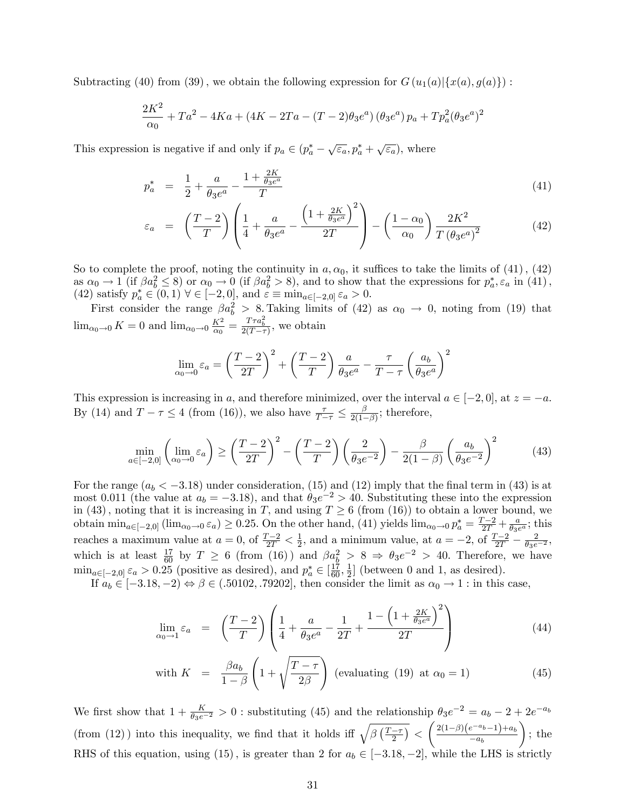Subtracting (40) from (39), we obtain the following expression for  $G(u_1(a)|\{x(a),g(a)\})$ :

$$
\frac{2K^2}{\alpha_0} + Ta^2 - 4Ka + (4K - 2Ta - (T - 2)\theta_3 e^a) (\theta_3 e^a) p_a + T p_a^2 (\theta_3 e^a)^2
$$

This expression is negative if and only if  $p_a \in (p_a^* - \sqrt{\varepsilon_a}, p_a^* + \sqrt{\varepsilon_a})$ , where

$$
p_a^* = \frac{1}{2} + \frac{a}{\theta_3 e^a} - \frac{1 + \frac{2K}{\theta_3 e^a}}{T}
$$
\n(41)

$$
\varepsilon_a = \left(\frac{T-2}{T}\right) \left(\frac{1}{4} + \frac{a}{\theta_3 e^a} - \frac{\left(1 + \frac{2K}{\theta_3 e^a}\right)^2}{2T}\right) - \left(\frac{1 - \alpha_0}{\alpha_0}\right) \frac{2K^2}{T(\theta_3 e^a)^2}
$$
(42)

So to complete the proof, noting the continuity in  $a, \alpha_0$ , it suffices to take the limits of (41), (42) as  $\alpha_0 \to 1$  (if  $\beta a_b^2 \le 8$ ) or  $\alpha_0 \to 0$  (if  $\beta a_b^2 > 8$ ), and to show that the expressions for  $p_a^*, \varepsilon_a$  in (41), (42) satisfy  $p_a^* \in (0,1) \ \forall \in [-2,0],$  and  $\varepsilon \equiv \min_{a \in [-2,0]} \varepsilon_a > 0.$ 

First consider the range  $\beta a_b^2 > 8$ . Taking limits of (42) as  $\alpha_0 \to 0$ , noting from (19) that  $\lim_{\alpha_0 \to 0} K = 0$  and  $\lim_{\alpha_0 \to 0} \frac{K^2}{\alpha_0}$  $\frac{K^2}{\alpha_0} = \frac{T \tau a_b^2}{2(T - \tau)},$  we obtain

$$
\lim_{\alpha_0 \to 0} \varepsilon_a = \left(\frac{T-2}{2T}\right)^2 + \left(\frac{T-2}{T}\right) \frac{a}{\theta_3 e^a} - \frac{\tau}{T-\tau} \left(\frac{a_b}{\theta_3 e^a}\right)^2
$$

This expression is increasing in a, and therefore minimized, over the interval  $a \in [-2, 0]$ , at  $z = -a$ . By (14) and  $T - \tau \le 4$  (from (16)), we also have  $\frac{\tau}{T - \tau} \le \frac{\beta}{2(1-\tau)}$  $\frac{\beta}{2(1-\beta)}$ ; therefore,

$$
\min_{a \in [-2,0]} \left( \lim_{\alpha_0 \to 0} \varepsilon_a \right) \ge \left( \frac{T-2}{2T} \right)^2 - \left( \frac{T-2}{T} \right) \left( \frac{2}{\theta_3 e^{-2}} \right) - \frac{\beta}{2(1-\beta)} \left( \frac{a_b}{\theta_3 e^{-2}} \right)^2 \tag{43}
$$

For the range  $(a_b < -3.18)$  under consideration,  $(15)$  and  $(12)$  imply that the final term in (43) is at most 0.011 (the value at  $a_b = -3.18$ ), and that  $\theta_3 e^{-2} > 40$ . Substituting these into the expression in (43), noting that it is increasing in T, and using  $T \ge 6$  (from (16)) to obtain a lower bound, we obtain  $\min_{a \in [-2,0]} (\lim_{\alpha_0 \to 0} \varepsilon_a) \ge 0.25$ . On the other hand, (41) yields  $\lim_{\alpha_0 \to 0} p_a^* = \frac{T-2}{2T} + \frac{a}{\theta_3 e}$  $\frac{a}{\theta_3 e^a}$ ; this reaches a maximum value at  $a = 0$ , of  $\frac{T-2}{2T} < \frac{1}{2}$  $\frac{1}{2}$ , and a minimum value, at  $a = -2$ , of  $\frac{T-2}{2T} - \frac{2}{\theta_3 e^{-2}}$ , which is at least  $\frac{17}{60}$  by  $T \ge 6$  (from (16)) and  $\beta a_{\frac{1}{2}}^2 > 8 \Rightarrow \theta_3 e^{-2} > 40$ . Therefore, we have  $\min_{a \in [-2,0]} \varepsilon_a > 0.25$  (positive as desired), and  $p_a^* \in [\frac{17}{60}, \frac{1}{2}]$  $\frac{1}{2}$  (between 0 and 1, as desired).

If  $a_b \in [-3.18, -2] \Leftrightarrow \beta \in (.50102, .79202]$ , then consider the limit as  $\alpha_0 \to 1$ : in this case,

$$
\lim_{\alpha_0 \to 1} \varepsilon_a = \left(\frac{T-2}{T}\right) \left(\frac{1}{4} + \frac{a}{\theta_3 e^a} - \frac{1}{2T} + \frac{1 - \left(1 + \frac{2K}{\theta_3 e^a}\right)^2}{2T}\right) \tag{44}
$$

with 
$$
K = \frac{\beta a_b}{1 - \beta} \left( 1 + \sqrt{\frac{T - \tau}{2\beta}} \right)
$$
 (evaluating (19) at  $\alpha_0 = 1$ ) (45)

We first show that  $1 + \frac{K}{\theta_3 e^{-2}} > 0$ : substituting (45) and the relationship  $\theta_3 e^{-2} = a_b - 2 + 2e^{-a_b}$ (from (12)) into this inequality, we find that it holds iff  $\sqrt{\beta\left(\frac{T-\tau}{2}\right)}$  $\int \frac{2(1-\beta)(e^{-a}b-1)+a_b}{h}$  $-a<sub>b</sub>$  $\overline{ }$ ; the RHS of this equation, using (15), is greater than 2 for  $a_b \in [-3.18, -2]$ , while the LHS is strictly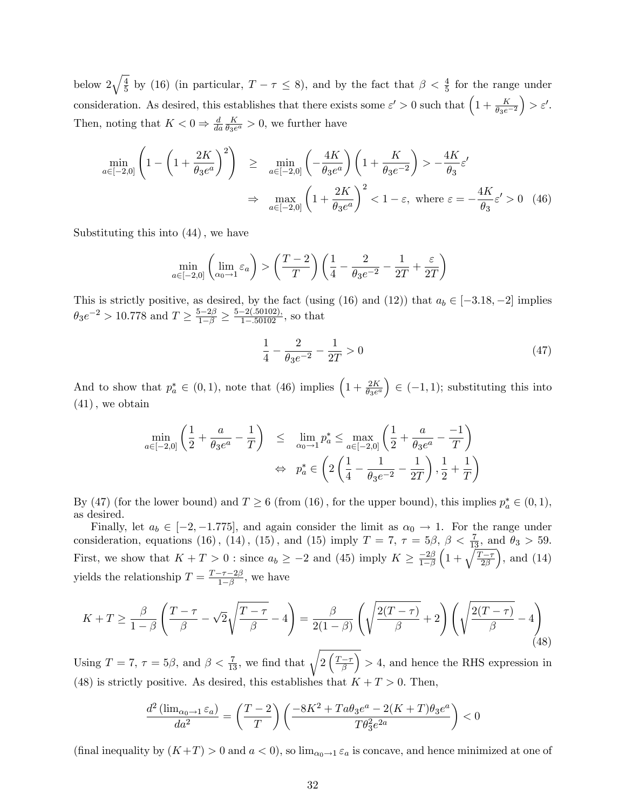below  $2\sqrt{\frac{4}{5}}$  $\frac{4}{5}$  by (16) (in particular,  $T - \tau \le 8$ ), and by the fact that  $\beta < \frac{4}{5}$  for the range under consideration. As desired, this establishes that there exists some  $\varepsilon' > 0$  such that  $\left(1 + \frac{K}{\theta_3 e^{-2}}\right)$  $\epsilon'.$ Then, noting that  $K < 0 \Rightarrow \frac{d}{da}$ K  $\frac{K}{\theta_3 e^a} > 0$ , we further have

$$
\min_{a \in [-2,0]} \left( 1 - \left( 1 + \frac{2K}{\theta_3 e^a} \right)^2 \right) \ge \min_{a \in [-2,0]} \left( -\frac{4K}{\theta_3 e^a} \right) \left( 1 + \frac{K}{\theta_3 e^{-2}} \right) > -\frac{4K}{\theta_3} \varepsilon'
$$
\n
$$
\Rightarrow \max_{a \in [-2,0]} \left( 1 + \frac{2K}{\theta_3 e^a} \right)^2 < 1 - \varepsilon, \text{ where } \varepsilon = -\frac{4K}{\theta_3} \varepsilon' > 0 \quad (46)
$$

Substituting this into  $(44)$ , we have

$$
\min_{a \in [-2,0]} \left( \lim_{\alpha_0 \to 1} \varepsilon_a \right) > \left( \frac{T-2}{T} \right) \left( \frac{1}{4} - \frac{2}{\theta_3 e^{-2}} - \frac{1}{2T} + \frac{\varepsilon}{2T} \right)
$$

This is strictly positive, as desired, by the fact (using (16) and (12)) that  $a_b \in [-3.18, -2]$  implies  $\theta_3 e^{-2} > 10.778$  and  $T \ge \frac{5-2\beta}{1-\beta} \ge \frac{5-2(.50102)}{1-.50102}$ , so that

$$
\frac{1}{4} - \frac{2}{\theta_3 e^{-2}} - \frac{1}{2T} > 0\tag{47}
$$

And to show that  $p_a^* \in (0,1)$ , note that (46) implies  $\left(1 + \frac{2K}{\theta_3 e^a}\right) \in (-1,1)$ ; substituting this into  $(41)$ , we obtain

$$
\min_{a \in [-2,0]} \left( \frac{1}{2} + \frac{a}{\theta_3 e^a} - \frac{1}{T} \right) \leq \lim_{\alpha_0 \to 1} p_a^* \leq \max_{a \in [-2,0]} \left( \frac{1}{2} + \frac{a}{\theta_3 e^a} - \frac{-1}{T} \right)
$$

$$
\Leftrightarrow p_a^* \in \left( 2 \left( \frac{1}{4} - \frac{1}{\theta_3 e^{-2}} - \frac{1}{2T} \right), \frac{1}{2} + \frac{1}{T} \right)
$$

By (47) (for the lower bound) and  $T \ge 6$  (from (16), for the upper bound), this implies  $p_a^* \in (0,1)$ , as desired.

Finally, let  $a_b \in [-2, -1.775]$ , and again consider the limit as  $\alpha_0 \to 1$ . For the range under consideration, equations (16), (14), (15), and (15) imply  $T = 7$ ,  $\tau = 5\beta$ ,  $\beta < \frac{7}{13}$ , and  $\theta_3 > 59$ . First, we show that  $K + T > 0$ : since  $a_b \ge -2$  and (45) imply  $K \ge \frac{-2\beta}{1-\beta}$  $1-\beta$  $\left(1+\sqrt{\frac{T-\tau}{2\beta}}\right)$  $\big)$ , and  $(14)$ yields the relationship  $T = \frac{T - \tau - 2\beta}{1 - \beta}$  $\frac{-\tau-2\rho}{1-\beta}$ , we have

$$
K + T \ge \frac{\beta}{1 - \beta} \left( \frac{T - \tau}{\beta} - \sqrt{2} \sqrt{\frac{T - \tau}{\beta}} - 4 \right) = \frac{\beta}{2(1 - \beta)} \left( \sqrt{\frac{2(T - \tau)}{\beta}} + 2 \right) \left( \sqrt{\frac{2(T - \tau)}{\beta}} - 4 \right)
$$
\n(48)

Using  $T = 7, \tau = 5\beta$ , and  $\beta < \frac{7}{13}$ , we find that  $\sqrt{2\left(\frac{T-\tau}{\beta}\right)}$  $\big) > 4$ , and hence the RHS expression in (48) is strictly positive. As desired, this establishes that  $K + T > 0$ . Then,

$$
\frac{d^2\left(\lim_{\alpha_0 \to 1} \varepsilon_a\right)}{da^2} = \left(\frac{T-2}{T}\right) \left(\frac{-8K^2 + Ta\theta_3 e^a - 2(K+T)\theta_3 e^a}{T\theta_3^2 e^{2a}}\right) < 0
$$

(final inequality by  $(K+T) > 0$  and  $a < 0$ ), so  $\lim_{\alpha_0 \to 1} \varepsilon_a$  is concave, and hence minimized at one of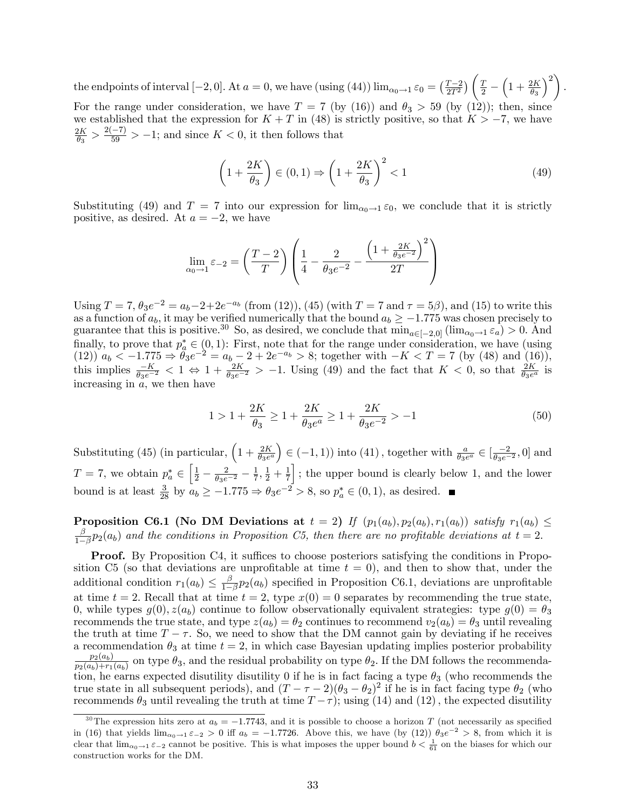the endpoints of interval  $[-2, 0]$ . At  $a = 0$ , we have (using (44))  $\lim_{\alpha_0 \to 1} \varepsilon_0 = \left(\frac{T-2}{2T^2}\right) \left(\frac{T}{2} \left(1+\frac{2K}{\theta_3}\right)$  $\langle \rangle^2$ : For the range under consideration, we have  $T = 7$  (by (16)) and  $\theta_3 > 59$  (by (12)); then, since we established that the expression for  $K + T$  in (48) is strictly positive, so that  $K > -7$ , we have  $\frac{2K}{2}$  $\frac{2K}{\theta_3} > \frac{2(-7)}{59} > -1$ ; and since  $K < 0$ , it then follows that

$$
\left(1 + \frac{2K}{\theta_3}\right) \in (0, 1) \Rightarrow \left(1 + \frac{2K}{\theta_3}\right)^2 < 1\tag{49}
$$

Substituting (49) and  $T = 7$  into our expression for  $\lim_{\alpha_0 \to 1} \varepsilon_0$ , we conclude that it is strictly positive, as desired. At  $a = -2$ , we have

$$
\lim_{\alpha_0 \to 1} \varepsilon_{-2} = \left(\frac{T-2}{T}\right) \left(\frac{1}{4} - \frac{2}{\theta_3 e^{-2}} - \frac{\left(1 + \frac{2K}{\theta_3 e^{-2}}\right)^2}{2T}\right)
$$

Using  $T = 7$ ,  $\theta_3 e^{-2} = a_b - 2 + 2e^{-a_b}$  (from (12)), (45) (with  $T = 7$  and  $\tau = 5\beta$ ), and (15) to write this as a function of  $a_b$ , it may be verified numerically that the bound  $a_b \ge -1.775$  was chosen precisely to guarantee that this is positive.<sup>30</sup> So, as desired, we conclude that  $\min_{a \in [-2,0]} (\lim_{\alpha_0 \to 1} \varepsilon_a) > 0$ . And finally, to prove that  $p_a^* \in (0, 1)$ : First, note that for the range under consideration, we have (using  $(10)$ ) (12))  $a_b < -1.775 \Rightarrow \theta_3 e^{-2} = a_b - 2 + 2e^{-a_b} > 8$ ; together with  $-K < T = 7$  (by (48) and (16)), this implies  $\frac{-K}{\theta_3 e^{-2}} < 1 \Leftrightarrow 1 + \frac{2K}{\theta_3 e^{-2}} > -1$ . Using (49) and the fact that  $K < 0$ , so that  $\frac{2K}{\theta_3 e^a}$  is increasing in  $\ddot{a}$ , we then have

$$
1 > 1 + \frac{2K}{\theta_3} \ge 1 + \frac{2K}{\theta_3 e^a} \ge 1 + \frac{2K}{\theta_3 e^{-2}} > -1
$$
\n<sup>(50)</sup>

Substituting (45) (in particular,  $\left(1+\frac{2K}{\theta_3e^a}\right) \in (-1,1)$ ) into (41), together with  $\frac{a}{\theta_3e^a} \in \left[\frac{-2}{\theta_3e^{-2}},0\right]$  and  $T = 7$ , we obtain  $p_a^* \in$  $\left[\frac{1}{2} - \frac{2}{\theta_3 e^{-2}} - \frac{1}{7}\right]$  $\frac{1}{7}, \frac{1}{2} + \frac{1}{7}$ 7 ; the upper bound is clearly below 1, and the lower bound is at least  $\frac{3}{28}$  by  $a_b \ge -1.775 \Rightarrow \theta_3 e^{-2} > 8$ , so  $p_a^* \in (0,1)$ , as desired.

**Proposition C6.1** (No DM Deviations at  $t = 2$ ) If  $(p_1(a_b), p_2(a_b), r_1(a_b))$  satisfy  $r_1(a_b) \leq$ β  $\frac{\beta}{1-\beta}p_2(a_b)$  and the conditions in Proposition C5, then there are no profitable deviations at  $t=2$ .

**Proof.** By Proposition C4, it suffices to choose posteriors satisfying the conditions in Proposition C5 (so that deviations are unprofitable at time  $t = 0$ ), and then to show that, under the additional condition  $r_1(a_b) \leq \frac{\beta}{1-a_b}$  $\frac{\beta}{1-\beta}p_2(a_b)$  specified in Proposition C6.1, deviations are unprofitable at time  $t = 2$ . Recall that at time  $t = 2$ , type  $x(0) = 0$  separates by recommending the true state, 0, while types  $g(0), z(a_b)$  continue to follow observationally equivalent strategies: type  $g(0) = \theta_3$ recommends the true state, and type  $z(a_b) = \theta_2$  continues to recommend  $v_2(a_b) = \theta_3$  until revealing the truth at time  $T - \tau$ . So, we need to show that the DM cannot gain by deviating if he receives a recommendation  $\theta_3$  at time  $t = 2$ , in which case Bayesian updating implies posterior probability  $p_2(a_b)$  $\frac{p_2(a_b)}{p_2(a_b)+r_1(a_b)}$  on type  $\theta_3$ , and the residual probability on type  $\theta_2$ . If the DM follows the recommendation, he earns expected disutility disutility 0 if he is in fact facing a type  $\theta_3$  (who recommends the true state in all subsequent periods), and  $(T - \tau - 2)(\theta_3 - \theta_2)^2$  if he is in fact facing type  $\theta_2$  (who recommends  $\theta_3$  until revealing the truth at time  $T - \tau$ ); using (14) and (12), the expected disutility

<sup>&</sup>lt;sup>30</sup>The expression hits zero at  $a_b = -1.7743$ , and it is possible to choose a horizon T (not necessarily as specified in (16) that yields  $\lim_{\alpha_0 \to 1} \epsilon_{-2} > 0$  iff  $a_b = -1.7726$ . Above this, we have (by (12))  $\theta_3 e^{-2} > 8$ , from which it is clear that  $\lim_{\alpha_0 \to 1} \varepsilon_{-2}$  cannot be positive. This is what imposes the upper bound  $b < \frac{1}{61}$  on the biases for which our construction works for the DM.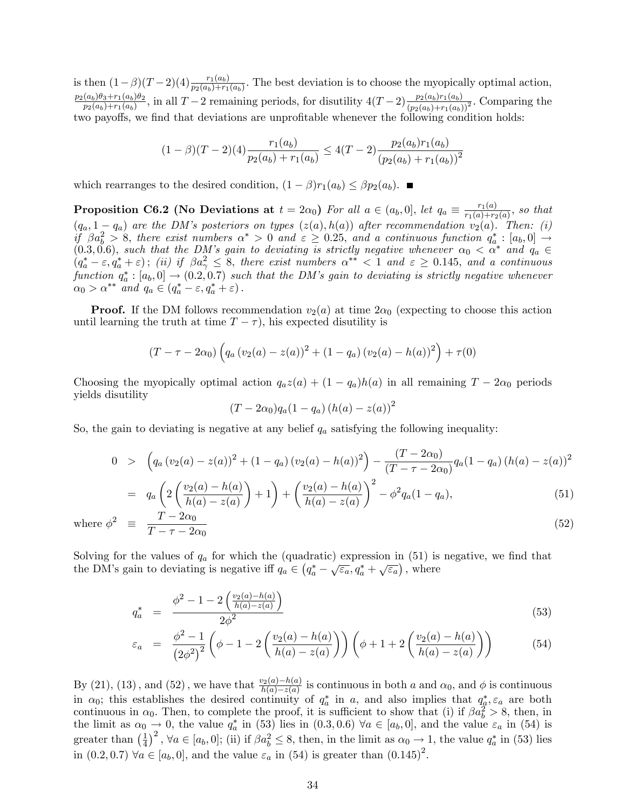is then  $(1-\beta)(T-2)(4) \frac{r_1(a_b)}{p_2(a_b)+r_1(a_b)}$ . The best deviation is to choose the myopically optimal action,  $p_2(a_b)\theta_3 + r_1(a_b)\theta_2$  $\frac{(a_b)\theta_3+r_1(a_b)\theta_2}{(p_2(a_b)+r_1(a_b))}$ , in all  $T-2$  remaining periods, for disutility  $4(T-2)\frac{p_2(a_b)r_1(a_b)}{(p_2(a_b)+r_1(a_b))^2}$ . Comparing the two payoffs, we find that deviations are unprofitable whenever the following condition holds:

$$
(1 - \beta)(T - 2)(4)\frac{r_1(a_b)}{p_2(a_b) + r_1(a_b)} \le 4(T - 2)\frac{p_2(a_b)r_1(a_b)}{(p_2(a_b) + r_1(a_b))^2}
$$

which rearranges to the desired condition,  $(1 - \beta)r_1(a_b) \leq \beta p_2(a_b)$ .

Proposition C6.2 (No Deviations at  $t = 2\alpha_0$ ) For all  $a \in (a_b, 0]$ , let  $q_a \equiv \frac{r_1(a)}{r_1(a) + r_2}$  $\frac{r_1(a)}{r_1(a)+r_2(a)}$ , so that  $(q_a, 1 - q_a)$  are the DM's posteriors on types  $(z(a), h(a))$  after recommendation  $v_2(a)$ . Then: (i) if  $\beta a_b^2 > 8$ , there exist numbers  $\alpha^* > 0$  and  $\varepsilon \geq 0.25$ , and a continuous function  $q_a^*$ :  $[a_b, 0] \rightarrow$  $(0.3, 0.6)$ , such that the DM's gain to deviating is strictly negative whenever  $\alpha_0 < \alpha^*$  and  $q_a \in$  $(q_a^*-\varepsilon, q_a^*+\varepsilon)$ ; (ii) if  $\beta a_\gamma^2 \leq 8$ , there exist numbers  $\alpha^{**} < 1$  and  $\varepsilon \geq 0.145$ , and a continuous function  $q_a^*: [a_b, 0] \rightarrow (0.2, 0.7)$  such that the DM's gain to deviating is strictly negative whenever  $\alpha_0 > \alpha^{**}$  and  $q_a \in (q_a^* - \varepsilon, q_a^* + \varepsilon).$ 

**Proof.** If the DM follows recommendation  $v_2(a)$  at time  $2\alpha_0$  (expecting to choose this action until learning the truth at time  $T - \tau$ ), his expected disutility is

$$
(T - \tau - 2\alpha_0) \left( q_a (v_2(a) - z(a))^2 + (1 - q_a) (v_2(a) - h(a))^2 \right) + \tau(0)
$$

Choosing the myopically optimal action  $q_a z(a) + (1 - q_a)h(a)$  in all remaining  $T - 2\alpha_0$  periods yields disutility

$$
(T - 2\alpha_0)q_a(1 - q_a) (h(a) - z(a))^2
$$

So, the gain to deviating is negative at any belief  $q_a$  satisfying the following inequality:

$$
0 > (q_a (v_2(a) - z(a))^2 + (1 - q_a) (v_2(a) - h(a))^2) - \frac{(T - 2\alpha_0)}{(T - \tau - 2\alpha_0)} q_a (1 - q_a) (h(a) - z(a))^2
$$

$$
= q_a \left( 2 \left( \frac{v_2(a) - h(a)}{h(a) - z(a)} \right) + 1 \right) + \left( \frac{v_2(a) - h(a)}{h(a) - z(a)} \right)^2 - \phi^2 q_a (1 - q_a), \tag{51}
$$

(52)

where  $\phi^2 \equiv \frac{T - 2\alpha_0}{T - \tau - 2\alpha_0}$ 

 $T - \tau - 2\alpha_0$ 

Solving for the values of  $q_a$  for which the (quadratic) expression in (51) is negative, we find that the DM's gain to deviating is negative iff  $q_a \in (q_a^* - \sqrt{\varepsilon_a}, q_a^* + \sqrt{\varepsilon_a})$ , where

$$
q_a^* = \frac{\phi^2 - 1 - 2\left(\frac{v_2(a) - h(a)}{h(a) - z(a)}\right)}{2\phi^2} \tag{53}
$$

$$
\varepsilon_a = \frac{\phi^2 - 1}{(2\phi^2)^2} \left( \phi - 1 - 2 \left( \frac{v_2(a) - h(a)}{h(a) - z(a)} \right) \right) \left( \phi + 1 + 2 \left( \frac{v_2(a) - h(a)}{h(a) - z(a)} \right) \right)
$$
(54)

By (21), (13), and (52), we have that  $\frac{v_2(a)-h(a)}{h(a)-z(a)}$  is continuous in both a and  $\alpha_0$ , and  $\phi$  is continuous in  $\alpha_0$ ; this establishes the desired continuity of  $q_a^*$  in a, and also implies that  $q_a^*, \varepsilon_a$  are both continuous in  $\alpha_0$ . Then, to complete the proof, it is sufficient to show that (i) if  $\beta a_b^2 > 8$ , then, in the limit as  $\alpha_0 \to 0$ , the value  $q_a^*$  in (53) lies in (0.3, 0.6)  $\forall a \in [a_b, 0]$ , and the value  $\varepsilon_a$  in (54) is greater than  $\left(\frac{1}{4}\right)$  $(\frac{1}{4})^2$ ,  $\forall a \in [a_b, 0]$ ; (ii) if  $\beta a_b^2 \le 8$ , then, in the limit as  $\alpha_0 \to 1$ , the value  $q_a^*$  in (53) lies in  $(0.2, 0.7)$   $\forall a \in [a_b, 0]$ , and the value  $\varepsilon_a$  in (54) is greater than  $(0.145)^2$ .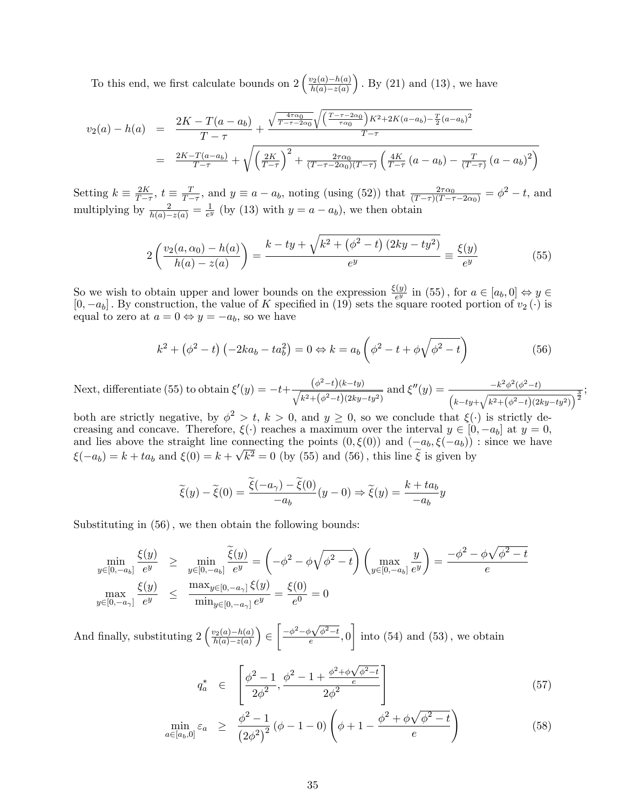To this end, we first calculate bounds on  $2\left(\frac{v_2(a)-h(a)}{h(a)-z(a)}\right)$  $h(a)-z(a)$  $\big)$ . By (21) and (13), we have

$$
v_2(a) - h(a) = \frac{2K - T(a - a_b)}{T - \tau} + \frac{\sqrt{\frac{4\tau\alpha_0}{T - \tau - 2\alpha_0}} \sqrt{\left(\frac{T - \tau - 2\alpha_0}{\tau\alpha_0}\right)K^2 + 2K(a - a_b) - \frac{T}{2}(a - a_b)^2}}{T - \tau}
$$
  
= 
$$
\frac{2K - T(a - a_b)}{T - \tau} + \sqrt{\left(\frac{2K}{T - \tau}\right)^2 + \frac{2\tau\alpha_0}{(T - \tau - 2\alpha_0)(T - \tau)} \left(\frac{4K}{T - \tau}\left(a - a_b\right) - \frac{T}{(T - \tau)}\left(a - a_b\right)^2\right)}
$$

Setting  $k \equiv \frac{2K}{T-\gamma}$  $\frac{2K}{T-\tau}$ ,  $t \equiv \frac{T}{T-\tau}$  $\frac{T}{(T-\tau)}$ , and  $y \equiv a - a_b$ , noting (using (52)) that  $\frac{2\tau\alpha_0}{(T-\tau)(T-\tau-2\alpha_0)} = \phi^2 - t$ , and multiplying by  $\frac{2}{h(a)-z(a)} = \frac{1}{e^{\lambda}}$  $\frac{1}{e^y}$  (by (13) with  $y = a - a_b$ ), we then obtain

$$
2\left(\frac{v_2(a,\alpha_0) - h(a)}{h(a) - z(a)}\right) = \frac{k - ty + \sqrt{k^2 + (\phi^2 - t)(2ky - ty^2)}}{e^y} \equiv \frac{\xi(y)}{e^y}
$$
(55)

So we wish to obtain upper and lower bounds on the expression  $\frac{\xi(y)}{e^y}$  in (55), for  $a \in [a_b, 0] \Leftrightarrow y \in$  $[0, -a_b]$ . By construction, the value of K specified in (19) sets the square rooted portion of  $v_2(\cdot)$  is equal to zero at  $a = 0 \Leftrightarrow y = -a_b$ , so we have

$$
k^{2} + (\phi^{2} - t) (-2ka_{b} - ta_{b}^{2}) = 0 \Leftrightarrow k = a_{b} \left(\phi^{2} - t + \phi \sqrt{\phi^{2} - t}\right)
$$
 (56)

Next, differentiate (55) to obtain  $\xi'(y) = -t + \frac{(\phi^2 - t)(k - ty)}{\sqrt{k^2 + (\phi^2 - t)(2ky - ty^2)}}$ and  $\xi''(y) = \frac{-k^2\phi^2(\phi^2-t)}{2}$  $\frac{-\kappa^2\phi^2\left(\phi^2-t\right)}{\left(k-ty+\sqrt{k^2+\left(\phi^2-t\right)(2ky-ty^2)}\right)^{\frac{3}{2}}};$ 

both are strictly negative, by  $\phi^2 > t$ ,  $k > 0$ , and  $y \ge 0$ , so we conclude that  $\xi(\cdot)$  is strictly decreasing and concave. Therefore,  $\xi(\cdot)$  reaches a maximum over the interval  $y \in [0, -a_b]$  at  $y = 0$ ; and lies above the straight line connecting the points  $(0,\xi(0))$  and  $(-a_b,\xi(-a_b))$ : since we have  $\xi(-a_b) = k + ta_b$  and  $\xi(0) = k + \sqrt{k^2} = 0$  (by (55) and (56), this line  $\widetilde{\xi}$  is given by

$$
\widetilde{\xi}(y) - \widetilde{\xi}(0) = \frac{\widetilde{\xi}(-a_{\gamma}) - \widetilde{\xi}(0)}{-a_b}(y - 0) \Rightarrow \widetilde{\xi}(y) = \frac{k + ta_b}{-a_b}y
$$

Substituting in  $(56)$ , we then obtain the following bounds:

$$
\min_{y \in [0, -a_b]} \frac{\xi(y)}{e^y} \ge \min_{y \in [0, -a_b]} \frac{\tilde{\xi}(y)}{e^y} = \left(-\phi^2 - \phi\sqrt{\phi^2 - t}\right) \left(\max_{y \in [0, -a_b]} \frac{y}{e^y}\right) = \frac{-\phi^2 - \phi\sqrt{\phi^2 - t}}{e}
$$
\n
$$
\max_{y \in [0, -a_\gamma]} \frac{\xi(y)}{e^y} \le \frac{\max_{y \in [0, -a_\gamma]} \xi(y)}{\min_{y \in [0, -a_\gamma]} e^y} = \frac{\xi(0)}{e^0} = 0
$$

And finally, substituting  $2\left(\frac{v_2(a)-h(a)}{h(a)-z(a)}\right)$  $h(a)-z(a)$  $\overline{\phantom{0}}$  $\epsilon$  $\int \frac{-\phi^2 - \phi \sqrt{\phi^2 - t}}{e}, 0$  $\overline{1}$ into  $(54)$  and  $(53)$ , we obtain

$$
q_a^* \in \left[\frac{\phi^2 - 1}{2\phi^2}, \frac{\phi^2 - 1 + \frac{\phi^2 + \phi\sqrt{\phi^2 - t}}{e}}{2\phi^2}\right]
$$
\n(57)

$$
\min_{a \in [a_b, 0]} \varepsilon_a \ge \frac{\phi^2 - 1}{(2\phi^2)^2} (\phi - 1 - 0) \left( \phi + 1 - \frac{\phi^2 + \phi\sqrt{\phi^2 - t}}{e} \right)
$$
(58)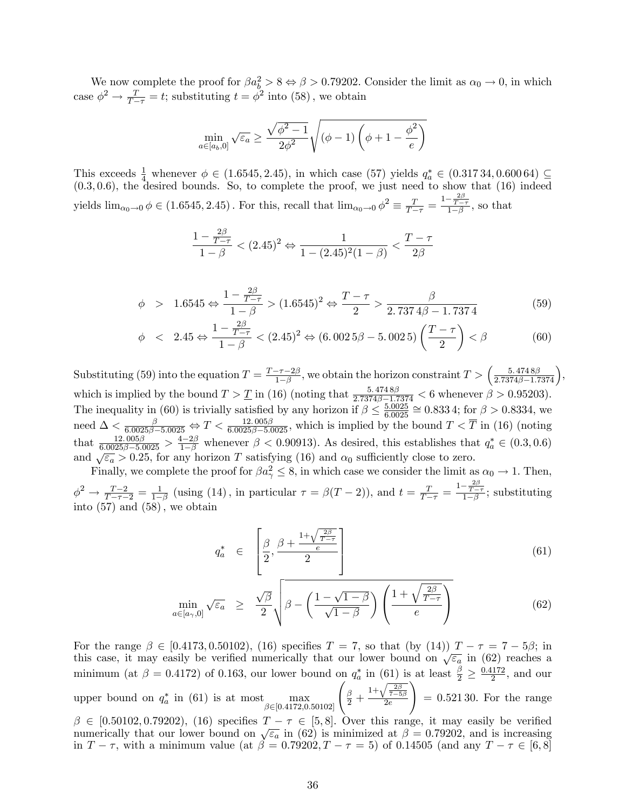We now complete the proof for  $\beta a_b^2 > 8 \Leftrightarrow \beta > 0.79202$ . Consider the limit as  $\alpha_0 \to 0$ , in which case  $\phi^2 \to \frac{T}{T-\tau} = t$ ; substituting  $t = \phi^2$  into (58), we obtain

$$
\min_{a \in [a_b, 0]} \sqrt{\varepsilon_a} \ge \frac{\sqrt{\phi^2 - 1}}{2\phi^2} \sqrt{(\phi - 1) \left(\phi + 1 - \frac{\phi^2}{e}\right)}
$$

This exceeds  $\frac{1}{4}$  whenever  $\phi \in (1.6545, 2.45)$ , in which case (57) yields  $q_a^* \in (0.317, 34, 0.60064) \subseteq$  $(0.3, 0.6)$ , the desired bounds. So, to complete the proof, we just need to show that  $(16)$  indeed yields  $\lim_{\alpha_0 \to 0} \phi \in (1.6545, 2.45)$ . For this, recall that  $\lim_{\alpha_0 \to 0} \phi^2 \equiv \frac{T}{T-\tau} = \frac{1-\frac{2\beta}{T-\tau}}{1-\beta}$ , so that

$$
\frac{1 - \frac{2\beta}{T - \tau}}{1 - \beta} < (2.45)^2 \Leftrightarrow \frac{1}{1 - (2.45)^2 (1 - \beta)} < \frac{T - \tau}{2\beta}
$$

$$
\phi > 1.6545 \Leftrightarrow \frac{1 - \frac{2\beta}{T - \tau}}{1 - \beta} > (1.6545)^2 \Leftrightarrow \frac{T - \tau}{2} > \frac{\beta}{2.7374\beta - 1.7374}
$$
(59)

$$
\phi < 2.45 \Leftrightarrow \frac{1 - \frac{2\beta}{T - \tau}}{1 - \beta} < (2.45)^2 \Leftrightarrow (6.0025\beta - 5.0025) \left(\frac{T - \tau}{2}\right) < \beta \tag{60}
$$

Substituting (59) into the equation  $T = \frac{T - \tau - 2\beta}{1 - \beta}$ , we obtain the horizon constraint  $T > \left(\frac{5.4748\beta}{2.7374\beta - 1.7374}\right)$ ,  $1-\beta$ which is implied by the bound  $T > T$  in (16) (noting that  $\frac{5.4748\beta}{2.7374\beta - 1.7374} < 6$  whenever  $\beta > 0.95203$ ). The inequality in (60) is trivially satisfied by any horizon if  $\beta \leq \frac{5.0025}{6.0025}$  $\frac{5.0025}{6.0025} \approx 0.8334$ ; for  $\beta > 0.8334$ , we need  $\Delta < \frac{\beta}{6.0025\beta - 5.0025} \Leftrightarrow T < \frac{12.005\beta}{6.0025\beta - 5.0025}$ , which is implied by the bound  $T < \overline{T}$  in (16) (noting that  $\frac{12.005\beta}{6.0025\beta - 5.0025} > \frac{4-2\beta}{1-\beta}$  whenever  $\beta < 0.90913$ ). As desired, this establishes that  $q_a^* \in (0.3, 0.6)$ and  $\sqrt{\varepsilon_a} > 0.25$ , for any horizon T satisfying (16) and  $\alpha_0$  sufficiently close to zero.

Finally, we complete the proof for  $\beta a_\gamma^2 \leq 8$ , in which case we consider the limit as  $\alpha_0 \to 1$ . Then,  $\phi^2 \rightarrow \frac{T-2}{T-\tau-2} = \frac{1}{1-\tau}$  $\frac{1}{1-\beta}$  (using (14), in particular  $\tau = \beta(T-2)$ ), and  $t = \frac{T}{T-\tau} = \frac{1-\frac{2\beta}{T-\tau}}{1-\beta}$ ; substituting into  $(57)$  and  $(58)$ , we obtain

$$
q_a^* \in \left[\frac{\beta}{2}, \frac{\beta + \frac{1 + \sqrt{\frac{2\beta}{T - \tau}}}{e}}{2}\right] \tag{61}
$$

$$
\min_{a \in [a_{\gamma}, 0]} \sqrt{\varepsilon_a} \ge \frac{\sqrt{\beta}}{2} \sqrt{\beta - \left(\frac{1 - \sqrt{1 - \beta}}{\sqrt{1 - \beta}}\right) \left(\frac{1 + \sqrt{\frac{2\beta}{T - \tau}}}{e}\right)}
$$
(62)

For the range  $\beta \in [0.4173, 0.50102), (16)$  specifies  $T = 7$ , so that (by (14))  $T - \tau = 7 - 5\beta$ ; in this case, it may easily be verified numerically that our lower bound on  $\sqrt{\varepsilon_a}$  in (62) reaches a minimum (at  $\beta = 0.4172$ ) of 0.163, our lower bound on  $q_a^*$  in (61) is at least  $\frac{\beta}{2} \geq \frac{0.4172}{2}$  $\frac{1172}{2}$ , and our upper bound on  $q_a^*$  in (61) is at most max  $\begin{pmatrix} \max\ \beta \in [0.4172, 0.50102] \end{pmatrix}$  $\frac{\beta}{2}$  +  $\frac{1+\sqrt{\frac{2\beta}{7-5\beta}}}{2e}$ !  $= 0.52130$ . For the range  $\beta \in [0.50102, 0.79202],$  (16) specifies  $T - \tau \in [5, 8]$ . Over this range, it may easily be verified numerically that our lower bound on  $\sqrt{\varepsilon_a}$  in (62) is minimized at  $\beta = 0.79202$ , and is increasing in  $T - \tau$ , with a minimum value (at  $\beta = 0.79202, T - \tau = 5$ ) of 0.14505 (and any  $T - \tau \in [6, 8]$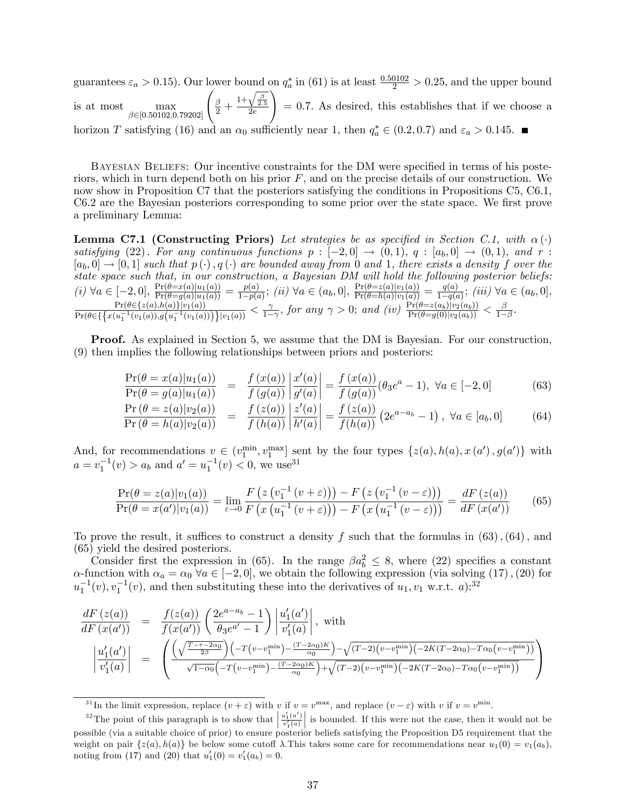guarantees  $\varepsilon_a > 0.15$ ). Our lower bound on  $q_a^*$  in (61) is at least  $\frac{0.50102}{2} > 0.25$ , and the upper bound is at  $\operatorname{most}$  $\begin{pmatrix} \max\ \beta \in [0.50102, 0.79202] \end{pmatrix}$  $\frac{\beta}{2}$  +  $\frac{1+\sqrt{\frac{\beta}{2.5}}}{2e}$  $\setminus$  $= 0.7.$  As desired, this establishes that if we choose a horizon T satisfying (16) and an  $\alpha_0$  sufficiently near 1, then  $q_a^* \in (0.2, 0.7)$  and  $\varepsilon_a > 0.145$ .

BAYESIAN BELIEFS: Our incentive constraints for the DM were specified in terms of his posteriors, which in turn depend both on his prior  $F$ , and on the precise details of our construction. We now show in Proposition C7 that the posteriors satisfying the conditions in Propositions C5, C6.1, C6.2 are the Bayesian posteriors corresponding to some prior over the state space. We first prove a preliminary Lemma:

**Lemma C7.1 (Constructing Priors)** Let strategies be as specified in Section C.1, with  $\alpha(\cdot)$ satisfying (22). For any continuous functions  $p : [-2,0] \rightarrow (0,1), q : [a_b,0] \rightarrow (0,1),$  and r:  $[a_b, 0] \rightarrow [0, 1]$  such that  $p(\cdot), q(\cdot)$  are bounded away from 0 and 1, there exists a density f over the state space such that, in our construction, a Bayesian DM will hold the following posterior beliefs: (i)  $\forall a \in [-2,0], \frac{\Pr(\theta = x(a)|u_1(a))}{\Pr(\theta = g(a)|u_1(a))} = \frac{p(a)}{1-p(a)}$  $\frac{p(a)}{1-p(a)}$ ; (ii)  $\forall a \in (a_b, 0]$ ,  $\frac{\Pr(\theta = z(a)|v_1(a))}{\Pr(\theta = h(a)|v_1(a))} = \frac{q(a)}{1-q(a)}$  $\frac{q(a)}{1-q(a)}$ ; *(iii)*  $\forall a \in (a_b, 0],$  $Pr(\theta \in \{z(a), h(a)\}|v_1(a))$  $\frac{\Pr(\theta \in \{z(a), h(a)\}|v_1(a))}{\Pr(\theta \in \{\{x(u_1^{-1}(v_1(a)), g(u_1^{-1}(v_1(a)))\}|v_1(a))} < \frac{\gamma}{1-\gamma}$  $\frac{\gamma}{1-\gamma}$ , for any  $\gamma > 0$ ; and (iv)  $\frac{\Pr(\theta = z(a_b)|v_2(a_b))}{\Pr(\theta = g(0)|v_2(a_b))} < \frac{\beta}{1-\gamma}$  $\frac{\beta}{1-\beta}$ .

Proof. As explained in Section 5, we assume that the DM is Bayesian. For our construction, (9) then implies the following relationships between priors and posteriors:

$$
\frac{\Pr(\theta = x(a)|u_1(a))}{\Pr(\theta = g(a)|u_1(a))} = \frac{f(x(a))}{f(g(a))} \left| \frac{x'(a)}{g'(a)} \right| = \frac{f(x(a))}{f(g(a))} (\theta_3 e^a - 1), \ \forall a \in [-2, 0]
$$
\n(63)

$$
\frac{\Pr(\theta = z(a)|v_2(a))}{\Pr(\theta = h(a)|v_2(a))} = \frac{f(z(a))}{f(h(a))} \left| \frac{z'(a)}{h'(a)} \right| = \frac{f(z(a))}{f(h(a))} (2e^{a-a_b} - 1), \ \forall a \in [a_b, 0]
$$
(64)

And, for recommendations  $v \in (v_1^{\min}, v_1^{\max}]$  sent by the four types  $\{z(a), h(a), x(a'), g(a')\}$  with  $a = v_1^{-1}(v) > a_b$  and  $a' = u_1^{-1}(v) < 0$ , we use<sup>31</sup>

$$
\frac{\Pr(\theta = z(a)|v_1(a))}{\Pr(\theta = x(a')|v_1(a))} = \lim_{\varepsilon \to 0} \frac{F(z(v_1^{-1}(v+\varepsilon))) - F(z(v_1^{-1}(v-\varepsilon)))}{F(x(u_1^{-1}(v+\varepsilon))) - F(x(u_1^{-1}(v-\varepsilon)))} = \frac{dF(z(a))}{dF(x(a'))}
$$
(65)

To prove the result, it suffices to construct a density f such that the formulas in  $(63)$ ,  $(64)$ , and (65) yield the desired posteriors.

Consider first the expression in (65). In the range  $\beta a_b^2 \leq 8$ , where (22) specifies a constant  $\alpha$ -function with  $\alpha_a = \alpha_0 \,\forall a \in [-2, 0]$ , we obtain the following expression (via solving (17), (20) for  $u_1^{-1}(v), v_1^{-1}(v)$ , and then substituting these into the derivatives of  $u_1, v_1$  w.r.t. a):<sup>32</sup>

$$
\frac{dF(z(a))}{dF(x(a'))} = \frac{f(z(a))}{f(x(a'))} \left( \frac{2e^{a-a_b}-1}{\theta_3 e^{a'}-1} \right) \left| \frac{u'_1(a')}{v'_1(a)} \right|, \text{ with}
$$
\n
$$
\left| \frac{u'_1(a')}{v'_1(a)} \right| = \left( \frac{\left( \sqrt{\frac{T-\tau - 2\alpha_0}{2\beta}} \right) \left( -T(v-v_1^{\min}) - \frac{(T-2\alpha_0)K}{\alpha_0} \right) - \sqrt{(T-2)(v-v_1^{\min}) \left( -2K(T-2\alpha_0) - T\alpha_0 (v-v_1^{\min}) \right)} }{\sqrt{1-\alpha_0} \left( -T(v-v_1^{\min}) - \frac{(T-2\alpha_0)K}{\alpha_0} \right) + \sqrt{(T-2)(v-v_1^{\min}) \left( -2K(T-2\alpha_0) - T\alpha_0 (v-v_1^{\min}) \right)}} \right)
$$

<sup>&</sup>lt;sup>31</sup>In the limit expression, replace  $(v + \varepsilon)$  with v if  $v = v^{\max}$ , and replace  $(v - \varepsilon)$  with v if  $v = v^{\min}$ .

<sup>&</sup>lt;sup>32</sup>The point of this paragraph is to show that  $\left|\frac{u'_1(a')}{v'_1(a)}\right|$  is bounded. If this were not the case, then it would not be possible (via a suitable choice of prior) to ensure posterior beliefs satisfying the Proposition D5 requirement that the weight on pair  $\{z(a), h(a)\}$  be below some cutoff  $\lambda$ . This takes some care for recommendations near  $u_1(0) = v_1(a_b)$ ; noting from (17) and (20) that  $u'_1(0) = v'_1(a_b) = 0$ .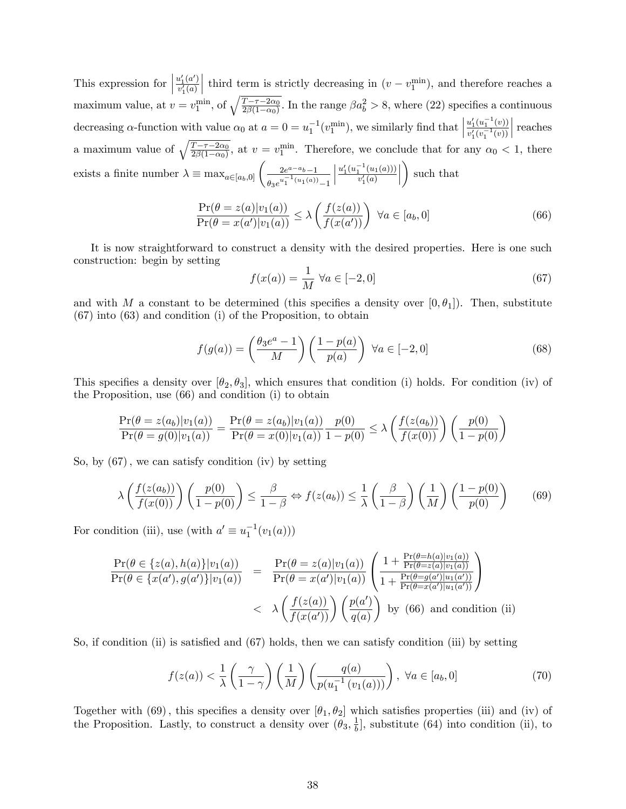This expression for  $\vert$  $u'_{1}(a')$  $v_1'(a)$ third term is strictly decreasing in  $(v - v_1^{\text{min}})$ , and therefore reaches a maximum value, at  $v = v_1^{\min}$ , of  $\sqrt{\frac{T-\tau-2\alpha_0}{2\beta(1-\alpha_0)}}$ . In the range  $\beta a_b^2 > 8$ , where (22) specifies a continuous decreasing  $\alpha$ -function with value  $\alpha_0$  at  $a = 0 = u_1^{-1}(v_1^{\text{min}})$ , we similarly find that  $u'_1(u_1^{-1}(v))$  $v'_1(v_1^{-1}(v))$    reaches a maximum value of  $\sqrt{\frac{T-\tau-2\alpha_0}{2\beta(1-\alpha_0)}}$ , at  $v=v_1^{\min}$ . Therefore, we conclude that for any  $\alpha_0 < 1$ , there exists a finite number  $\lambda \equiv \max_{a \in [a_b,0]} \left( \frac{2e^{a-a_b}-1}{a_{\alpha}e^{a_1^{-1}(a_1(a))}} \right)$  $\sqrt{\theta_3 e^{u_1^{-1}(u_1(a))}-1}$   $u'_1(u_1^{-1}(u_1(a)))$  $v_1'(a)$   $\setminus$ such that

$$
\frac{\Pr(\theta = z(a)|v_1(a))}{\Pr(\theta = x(a')|v_1(a))} \le \lambda \left(\frac{f(z(a))}{f(x(a'))}\right) \ \forall a \in [a_b, 0]
$$
\n
$$
(66)
$$

It is now straightforward to construct a density with the desired properties. Here is one such construction: begin by setting

$$
f(x(a)) = \frac{1}{M} \,\forall a \in [-2, 0] \tag{67}
$$

and with M a constant to be determined (this specifies a density over  $[0, \theta_1]$ ). Then, substitute (67) into (63) and condition (i) of the Proposition, to obtain

$$
f(g(a)) = \left(\frac{\theta_3 e^a - 1}{M}\right) \left(\frac{1 - p(a)}{p(a)}\right) \ \forall a \in [-2, 0]
$$
\n
$$
(68)
$$

This specifies a density over  $[\theta_2, \theta_3]$ , which ensures that condition (i) holds. For condition (iv) of the Proposition, use (66) and condition (i) to obtain

$$
\frac{\Pr(\theta = z(a_b)|v_1(a))}{\Pr(\theta = g(0)|v_1(a))} = \frac{\Pr(\theta = z(a_b)|v_1(a))}{\Pr(\theta = x(0)|v_1(a))} \frac{p(0)}{1 - p(0)} \le \lambda \left(\frac{f(z(a_b))}{f(x(0))}\right) \left(\frac{p(0)}{1 - p(0)}\right)
$$

So, by  $(67)$ , we can satisfy condition (iv) by setting

$$
\lambda \left( \frac{f(z(a_b))}{f(x(0))} \right) \left( \frac{p(0)}{1 - p(0)} \right) \le \frac{\beta}{1 - \beta} \Leftrightarrow f(z(a_b)) \le \frac{1}{\lambda} \left( \frac{\beta}{1 - \beta} \right) \left( \frac{1}{M} \right) \left( \frac{1 - p(0)}{p(0)} \right) \tag{69}
$$

For condition (iii), use (with  $a' \equiv u_1^{-1}(v_1(a))$ )

$$
\frac{\Pr(\theta \in \{z(a), h(a)\}|v_1(a))}{\Pr(\theta \in \{x(a'), g(a')\}|v_1(a))} = \frac{\Pr(\theta = z(a)|v_1(a))}{\Pr(\theta = x(a')|v_1(a))} \left(\frac{1 + \frac{\Pr(\theta = h(a)|v_1(a))}{\Pr(\theta = z(a)|v_1(a))}}{1 + \frac{\Pr(\theta = g(a')|u_1(a'))}{\Pr(\theta = x(a')|u_1(a'))}}\right)
$$
\n
$$
< \lambda \left(\frac{f(z(a))}{f(x(a'))}\right) \left(\frac{p(a')}{q(a)}\right) \text{ by (66) and condition (ii)}
$$

So, if condition (ii) is satisfied and  $(67)$  holds, then we can satisfy condition (iii) by setting

$$
f(z(a)) < \frac{1}{\lambda} \left(\frac{\gamma}{1-\gamma}\right) \left(\frac{1}{M}\right) \left(\frac{q(a)}{p(u_1^{-1}(v_1(a)))}\right), \ \forall a \in [a_b, 0]
$$
\n
$$
(70)
$$

Together with (69), this specifies a density over  $[\theta_1, \theta_2]$  which satisfies properties (iii) and (iv) of the Proposition. Lastly, to construct a density over  $(\theta_3, \frac{1}{b})$  $\frac{1}{b}$ , substitute (64) into condition (ii), to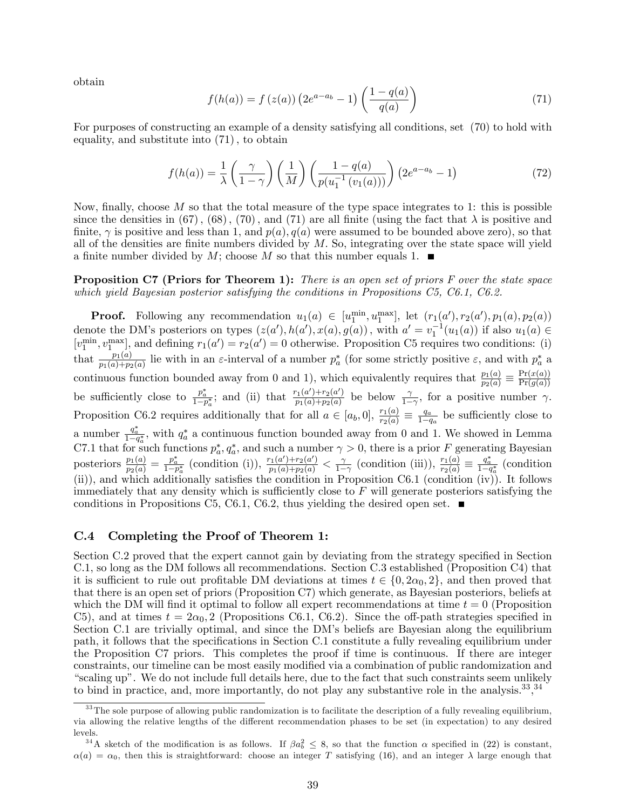obtain

$$
f(h(a)) = f(z(a)) (2e^{a-a_b} - 1) \left( \frac{1 - q(a)}{q(a)} \right)
$$
 (71)

For purposes of constructing an example of a density satisfying all conditions, set (70) to hold with equality, and substitute into  $(71)$ , to obtain

$$
f(h(a)) = \frac{1}{\lambda} \left(\frac{\gamma}{1-\gamma}\right) \left(\frac{1}{M}\right) \left(\frac{1-q(a)}{p(u_1^{-1}(v_1(a)))}\right) \left(2e^{a-a_b}-1\right) \tag{72}
$$

Now, finally, choose  $M$  so that the total measure of the type space integrates to 1: this is possible since the densities in (67), (68), (70), and (71) are all finite (using the fact that  $\lambda$  is positive and finite,  $\gamma$  is positive and less than 1, and  $p(a), q(a)$  were assumed to be bounded above zero), so that all of the densities are finite numbers divided by  $M$ . So, integrating over the state space will yield a finite number divided by M; choose M so that this number equals 1.  $\blacksquare$ 

**Proposition C7 (Priors for Theorem 1):** There is an open set of priors F over the state space which yield Bayesian posterior satisfying the conditions in Propositions C5, C6.1, C6.2.

**Proof.** Following any recommendation  $u_1(a) \in [u_1^{\min}, u_1^{\max}]$ , let  $(r_1(a'), r_2(a'), p_1(a), p_2(a))$ denote the DM's posteriors on types  $(z(a'), h(a'), x(a), g(a))$ , with  $a' = v_1^{-1}(u_1(a))$  if also  $u_1(a) \in$  $[v_1^{\min}, v_1^{\max}]$ , and defining  $r_1(a') = r_2(a') = 0$  otherwise. Proposition C5 requires two conditions: (i) that  $\frac{p_1(a)}{p_1(a)+p_2(a)}$  lie with in an  $\varepsilon$ -interval of a number  $p_a^*$  (for some strictly positive  $\varepsilon$ , and with  $p_a^*$  a continuous function bounded away from 0 and 1), which equivalently requires that  $\frac{p_1(a)}{p_2(a)} \equiv \frac{\Pr(x(a))}{\Pr(g(a))}$  $Pr(g(a))$ be sufficiently close to  $\frac{p_a^*}{1-p_a^*}$ ; and (ii) that  $\frac{r_1(a') + r_2(a')}{p_1(a) + p_2(a)}$  $\frac{\gamma_1(a') + r_2(a')}{p_1(a) + p_2(a)}$  be below  $\frac{\gamma}{1-\gamma}$ , for a positive number  $\gamma$ . Proposition C6.2 requires additionally that for all  $a \in [a_b, 0], \frac{r_1(a)}{r_2(a)} \equiv \frac{q_a}{1-q_a}$  $\frac{q_a}{1-q_a}$  be sufficiently close to a number  $\frac{q_a^*}{1-q_a^*}$ , with  $q_a^*$  a continuous function bounded away from 0 and 1. We showed in Lemma a number  $\frac{1}{1-q_a^*}$ , with  $q_a$  a continuous function bounded away from 0 and 1. We showed in Benina<br>C7.1 that for such functions  $p_a^*, q_a^*$ , and such a number  $\gamma > 0$ , there is a prior F generating Bayesian posteriors  $\frac{p_1(a)}{p_2(a)} = \frac{p_a^*}{1-p_a^*}$  (condition (i)),  $\frac{r_1(a') + r_2(a')}{p_1(a) + p_2(a)} < \frac{\gamma}{1-\gamma_a}$  $\frac{\gamma}{1-\gamma}$  (condition (iii)),  $\frac{r_1(a)}{r_2(a)} \equiv \frac{q_a^*}{1-q_a^*}$  (condition  $(iii)$ , and which additionally satisfies the condition in Proposition C6.1 (condition  $(iv)$ ). It follows immediately that any density which is sufficiently close to  $F$  will generate posteriors satisfying the conditions in Propositions C5, C6.1, C6.2, thus yielding the desired open set.  $\blacksquare$ 

#### C.4 Completing the Proof of Theorem 1:

Section C.2 proved that the expert cannot gain by deviating from the strategy specified in Section C.1, so long as the DM follows all recommendations. Section C.3 established (Proposition C4) that it is sufficient to rule out profitable DM deviations at times  $t \in \{0, 2\alpha_0, 2\}$ , and then proved that that there is an open set of priors (Proposition C7) which generate, as Bayesian posteriors, beliefs at which the DM will find it optimal to follow all expert recommendations at time  $t = 0$  (Proposition C5), and at times  $t = 2\alpha_0$ , 2 (Propositions C6.1, C6.2). Since the off-path strategies specified in Section C.1 are trivially optimal, and since the DM's beliefs are Bayesian along the equilibrium path, it follows that the specifications in Section C.1 constitute a fully revealing equilibrium under the Proposition C7 priors. This completes the proof if time is continuous. If there are integer constraints, our timeline can be most easily modified via a combination of public randomization and ìscaling upî. We do not include full details here, due to the fact that such constraints seem unlikely to bind in practice, and, more importantly, do not play any substantive role in the analysis.<sup>33</sup>,<sup>34</sup>

 $33$  The sole purpose of allowing public randomization is to facilitate the description of a fully revealing equilibrium, via allowing the relative lengths of the different recommendation phases to be set (in expectation) to any desired levels.

<sup>&</sup>lt;sup>34</sup>A sketch of the modification is as follows. If  $\beta a_b^2 \leq 8$ , so that the function  $\alpha$  specified in (22) is constant,  $\alpha(a) = \alpha_0$ , then this is straightforward: choose an integer T satisfying (16), and an integer  $\lambda$  large enough that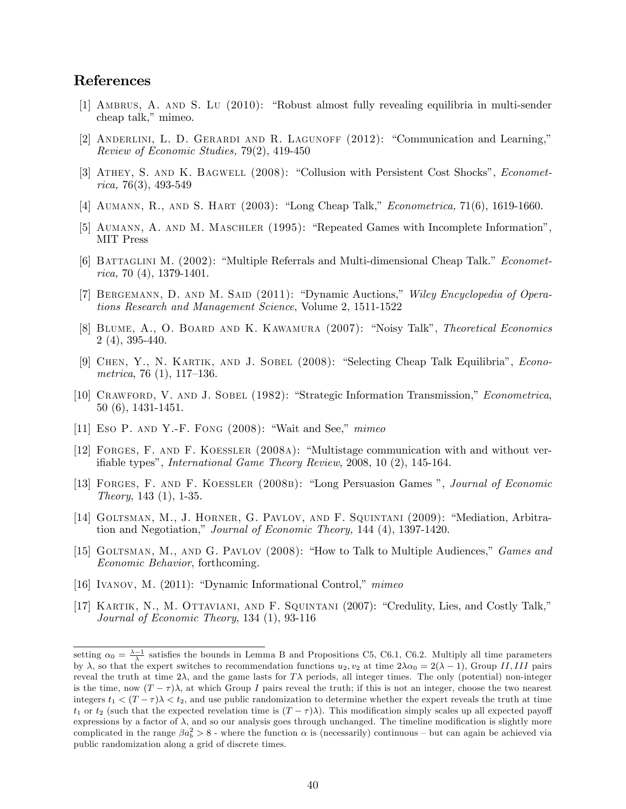# References

- [1] AMBRUS, A. AND S. LU  $(2010)$ : "Robust almost fully revealing equilibria in multi-sender cheap talk," mimeo.
- [2] ANDERLINI, L. D. GERARDI AND R. LAGUNOFF  $(2012)$ : "Communication and Learning," Review of Economic Studies, 79(2), 419-450
- [3] ATHEY, S. AND K. BAGWELL (2008): "Collusion with Persistent Cost Shocks", *Economet* $rica, 76(3), 493-549$
- [4] AUMANN, R., AND S. HART  $(2003)$ : "Long Cheap Talk," *Econometrica*, 71(6), 1619-1660.
- [5] AUMANN, A. AND M. MASCHLER  $(1995)$ : "Repeated Games with Incomplete Information", MIT Press
- [6] BATTAGLINI M.  $(2002)$ : "Multiple Referrals and Multi-dimensional Cheap Talk." *Economet* $rica, 70 (4), 1379-1401.$
- [7] BERGEMANN, D. AND M. SAID (2011): "Dynamic Auctions," Wiley Encyclopedia of Operations Research and Management Science, Volume 2, 1511-1522
- [8] BLUME, A., O. BOARD AND K. KAWAMURA (2007): "Noisy Talk", *Theoretical Economics* 2 (4), 395-440.
- [9] CHEN, Y., N. KARTIK, AND J. SOBEL (2008): "Selecting Cheap Talk Equilibria", *Econo*metrica, 76 $(1)$ , 117–136.
- [10] CRAWFORD, V. AND J. SOBEL (1982): "Strategic Information Transmission," *Econometrica*, 50 (6), 1431-1451.
- [11] Eso P. AND Y.-F. FONG  $(2008)$ : "Wait and See," mimeo
- [12] FORGES, F. AND F. KOESSLER (2008A): "Multistage communication with and without verifiable types", *International Game Theory Review*,  $2008$ ,  $10$   $(2)$ ,  $145-164$ .
- [13] FORGES, F. AND F. KOESSLER (2008B): "Long Persuasion Games ", Journal of Economic Theory, 143 (1), 1-35.
- [14] GOLTSMAN, M., J. HORNER, G. PAVLOV, AND F. SQUINTANI (2009): "Mediation, Arbitration and Negotiation," Journal of Economic Theory, 144  $(4)$ , 1397-1420.
- [15] GOLTSMAN, M., AND G. PAVLOV (2008): "How to Talk to Multiple Audiences," Games and Economic Behavior, forthcoming.
- [16] IVANOV, M.  $(2011)$ : "Dynamic Informational Control," mimeo
- [17] KARTIK, N., M. OTTAVIANI, AND F. SQUINTANI (2007): "Credulity, Lies, and Costly Talk," Journal of Economic Theory, 134 (1), 93-116

setting  $\alpha_0 = \frac{\lambda - 1}{\lambda}$  satisfies the bounds in Lemma B and Propositions C5, C6.1, C6.2. Multiply all time parameters by  $\lambda$ , so that the expert switches to recommendation functions  $u_2, v_2$  at time  $2\lambda\alpha_0 = 2(\lambda - 1)$ , Group II, III pairs reveal the truth at time  $2\lambda$ , and the game lasts for T $\lambda$  periods, all integer times. The only (potential) non-integer is the time, now  $(T - \tau)\lambda$ , at which Group I pairs reveal the truth; if this is not an integer, choose the two nearest integers  $t_1 < (T - \tau)\lambda < t_2$ , and use public randomization to determine whether the expert reveals the truth at time  $t_1$  or  $t_2$  (such that the expected revelation time is  $(T - \tau)\lambda$ ). This modification simply scales up all expected payoff expressions by a factor of  $\lambda$ , and so our analysis goes through unchanged. The timeline modification is slightly more complicated in the range  $\beta a_b^2 > 8$  - where the function  $\alpha$  is (necessarily) continuous – but can again be achieved via public randomization along a grid of discrete times.